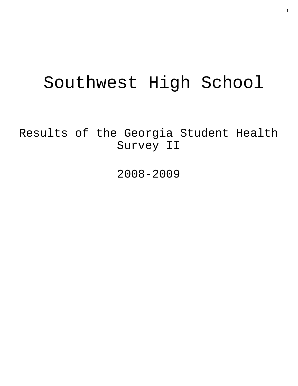# Southwest High School

Results of the Georgia Student Health Survey II

2008-2009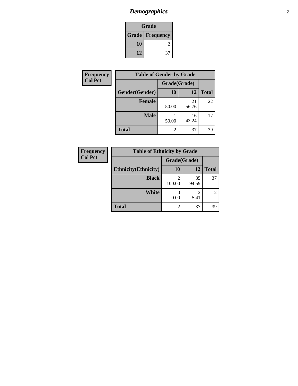### *Demographics* **2**

| Grade                    |    |  |
|--------------------------|----|--|
| <b>Grade   Frequency</b> |    |  |
| 10                       |    |  |
| 12                       | 37 |  |

| Frequency      | <b>Table of Gender by Grade</b> |                |             |              |
|----------------|---------------------------------|----------------|-------------|--------------|
| <b>Col Pct</b> |                                 | Grade(Grade)   |             |              |
|                | Gender(Gender)                  | <b>10</b>      | 12          | <b>Total</b> |
|                | <b>Female</b>                   | 50.00          | 21<br>56.76 | 22           |
|                | <b>Male</b>                     | 50.00          | 16<br>43.24 | 17           |
|                | <b>Total</b>                    | $\overline{c}$ | 37          | 39           |

| <b>Frequency</b> | <b>Table of Ethnicity by Grade</b> |              |             |                |  |
|------------------|------------------------------------|--------------|-------------|----------------|--|
| <b>Col Pct</b>   |                                    | Grade(Grade) |             |                |  |
|                  | <b>Ethnicity</b> (Ethnicity)       | <b>10</b>    | 12          | <b>Total</b>   |  |
|                  | <b>Black</b>                       | 100.00       | 35<br>94.59 | 37             |  |
|                  | White                              | 0.00         | 5.41        | $\overline{2}$ |  |
|                  | <b>Total</b>                       | 2            | 37          | 39             |  |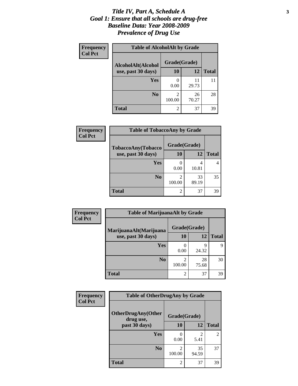#### *Title IV, Part A, Schedule A* **3** *Goal 1: Ensure that all schools are drug-free Baseline Data: Year 2008-2009 Prevalence of Drug Use*

| Frequency<br><b>Col Pct</b> | <b>Table of AlcoholAlt by Grade</b> |                |             |              |  |
|-----------------------------|-------------------------------------|----------------|-------------|--------------|--|
|                             | AlcoholAlt(Alcohol                  | Grade(Grade)   |             |              |  |
|                             | use, past 30 days)                  | <b>10</b>      | 12          | <b>Total</b> |  |
|                             | Yes                                 | 0.00           | 11<br>29.73 | 11           |  |
|                             | N <sub>0</sub>                      | 2<br>100.00    | 26<br>70.27 | 28           |  |
|                             | <b>Total</b>                        | $\overline{2}$ | 37          | 39           |  |

| <b>Frequency</b><br><b>Col Pct</b> | <b>Table of TobaccoAny by Grade</b> |              |             |              |  |
|------------------------------------|-------------------------------------|--------------|-------------|--------------|--|
|                                    | TobaccoAny(Tobacco                  | Grade(Grade) |             |              |  |
|                                    | use, past 30 days)                  | 10           | 12          | <b>Total</b> |  |
|                                    | Yes                                 | 0.00         | 4<br>10.81  |              |  |
|                                    | N <sub>0</sub>                      | 100.00       | 33<br>89.19 | 35           |  |
|                                    | <b>Total</b>                        | 2            | 37          | 39           |  |

| Frequency<br><b>Col Pct</b> | <b>Table of MarijuanaAlt by Grade</b> |                          |             |              |  |
|-----------------------------|---------------------------------------|--------------------------|-------------|--------------|--|
|                             | MarijuanaAlt(Marijuana                | Grade(Grade)             |             |              |  |
|                             | use, past 30 days)                    | 10                       | 12          | <b>Total</b> |  |
|                             | Yes                                   | $\left( \right)$<br>0.00 | q<br>24.32  | Q            |  |
|                             | N <sub>0</sub>                        | 2<br>100.00              | 28<br>75.68 | 30           |  |
|                             | <b>Total</b>                          | $\overline{2}$           | 37          | 39           |  |

| <b>Frequency</b> | <b>Table of OtherDrugAny by Grade</b>  |              |                        |                |
|------------------|----------------------------------------|--------------|------------------------|----------------|
| <b>Col Pct</b>   | <b>OtherDrugAny(Other</b><br>drug use, | Grade(Grade) |                        |                |
|                  | past 30 days)                          | 10           | 12                     | <b>Total</b>   |
|                  | Yes                                    | 0.00         | $\mathfrak{D}$<br>5.41 | $\overline{c}$ |
|                  | N <sub>0</sub>                         | 100.00       | 35<br>94.59            | 37             |
|                  | <b>Total</b>                           | 2            | 37                     | 39             |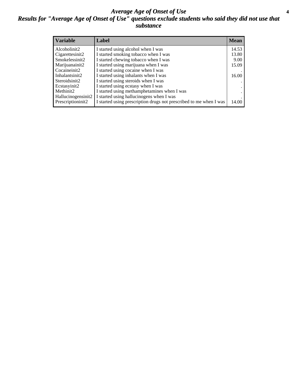#### *Average Age of Onset of Use* **4** *Results for "Average Age of Onset of Use" questions exclude students who said they did not use that substance*

| <b>Variable</b>    | Label                                                              | <b>Mean</b> |
|--------------------|--------------------------------------------------------------------|-------------|
| Alcoholinit2       | I started using alcohol when I was                                 | 14.53       |
| Cigarettesinit2    | I started smoking tobacco when I was                               | 13.80       |
| Smokelessinit2     | I started chewing tobacco when I was                               | 9.00        |
| Marijuanainit2     | I started using marijuana when I was                               | 15.09       |
| Cocaineinit2       | I started using cocaine when I was                                 |             |
| Inhalantsinit2     | I started using inhalants when I was                               | 16.00       |
| Steroidsinit2      | I started using steroids when I was                                |             |
| Ecstasyinit2       | I started using ecstasy when I was                                 |             |
| Methinit2          | I started using methamphetamines when I was                        |             |
| Hallucinogensinit2 | I started using hallucinogens when I was                           |             |
| Prescriptioninit2  | I started using prescription drugs not prescribed to me when I was | 14.00       |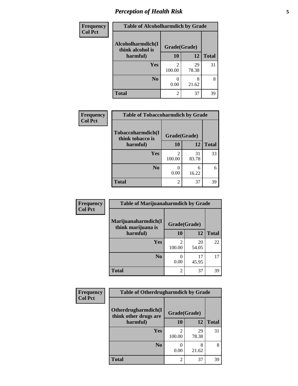## *Perception of Health Risk* **5**

| Frequency      | <b>Table of Alcoholharmdich by Grade</b> |              |             |              |
|----------------|------------------------------------------|--------------|-------------|--------------|
| <b>Col Pct</b> | Alcoholharmdich(I<br>think alcohol is    | Grade(Grade) |             |              |
|                | harmful)                                 | <b>10</b>    | 12          | <b>Total</b> |
|                | Yes                                      | 2<br>100.00  | 29<br>78.38 | 31           |
|                | N <sub>0</sub>                           | 0.00         | 8<br>21.62  | 8            |
|                | <b>Total</b>                             | 2            | 37          | 39           |

| Frequency      | <b>Table of Tobaccoharmdich by Grade</b> |                |             |              |
|----------------|------------------------------------------|----------------|-------------|--------------|
| <b>Col Pct</b> | Tobaccoharmdich(I<br>think tobacco is    | Grade(Grade)   |             |              |
|                | harmful)                                 | 10             | 12          | <b>Total</b> |
|                | <b>Yes</b>                               | 100.00         | 31<br>83.78 | 33           |
|                | N <sub>0</sub>                           | 0.00           | 6<br>16.22  | 6            |
|                | <b>Total</b>                             | $\mathfrak{D}$ | 37          | 39           |

| Frequency      | <b>Table of Marijuanaharmdich by Grade</b> |              |             |              |
|----------------|--------------------------------------------|--------------|-------------|--------------|
| <b>Col Pct</b> | Marijuanaharmdich(I<br>think marijuana is  | Grade(Grade) |             |              |
|                | harmful)                                   | 10           | 12          | <b>Total</b> |
|                | <b>Yes</b>                                 | 100.00       | 20<br>54.05 | 22           |
|                | N <sub>0</sub>                             | 0.00         | 17<br>45.95 | 17           |
|                | <b>Total</b>                               | 2            | 37          | 39           |

| Frequency      | <b>Table of Otherdrugharmdich by Grade</b>   |              |             |              |
|----------------|----------------------------------------------|--------------|-------------|--------------|
| <b>Col Pct</b> | Otherdrugharmdich(I<br>think other drugs are | Grade(Grade) |             |              |
|                | harmful)                                     | <b>10</b>    | 12          | <b>Total</b> |
|                | Yes                                          | 100.00       | 29<br>78.38 | 31           |
|                | N <sub>0</sub>                               | 0.00         | 8<br>21.62  | 8            |
|                | <b>Total</b>                                 | 2            | 37          | 39           |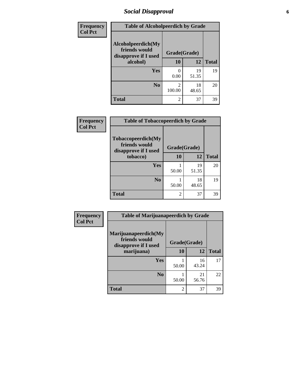### *Social Disapproval* **6**

| Frequency      | <b>Table of Alcoholpeerdich by Grade</b>                    |                          |             |              |
|----------------|-------------------------------------------------------------|--------------------------|-------------|--------------|
| <b>Col Pct</b> | Alcoholpeerdich(My<br>friends would<br>disapprove if I used | Grade(Grade)             |             |              |
|                | alcohol)                                                    | 10                       | 12          | <b>Total</b> |
|                | Yes                                                         | 0<br>0.00                | 19<br>51.35 | 19           |
|                | N <sub>0</sub>                                              | $\mathfrak{D}$<br>100.00 | 18<br>48.65 | 20           |
|                | <b>Total</b>                                                | $\mathfrak{D}$           | 37          | 39           |

| <b>Frequency</b> |
|------------------|
| <b>Col Pct</b>   |

| <b>Table of Tobaccopeerdich by Grade</b>                    |              |             |              |  |  |
|-------------------------------------------------------------|--------------|-------------|--------------|--|--|
| Tobaccopeerdich(My<br>friends would<br>disapprove if I used | Grade(Grade) |             |              |  |  |
| tobacco)                                                    | 10           | 12          | <b>Total</b> |  |  |
| Yes                                                         | 50.00        | 19<br>51.35 | 20           |  |  |
| N <sub>0</sub>                                              | 50.00        | 18<br>48.65 | 19           |  |  |
| <b>Total</b>                                                | 2            | 37          | 39           |  |  |

| <b>Frequency</b> | <b>Table of Marijuanapeerdich by Grade</b>                    |              |             |              |  |
|------------------|---------------------------------------------------------------|--------------|-------------|--------------|--|
| <b>Col Pct</b>   | Marijuanapeerdich(My<br>friends would<br>disapprove if I used | Grade(Grade) |             |              |  |
|                  | marijuana)                                                    | 10           | 12          | <b>Total</b> |  |
|                  | <b>Yes</b>                                                    | 50.00        | 16<br>43.24 | 17           |  |
|                  | N <sub>0</sub>                                                | 50.00        | 21<br>56.76 | 22           |  |
|                  | <b>Total</b>                                                  | 2            | 37          | 39           |  |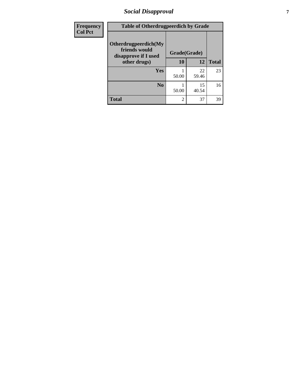### *Social Disapproval* **7**

| Frequency      | <b>Table of Otherdrugpeerdich by Grade</b>                    |       |              |              |  |
|----------------|---------------------------------------------------------------|-------|--------------|--------------|--|
| <b>Col Pct</b> | Otherdrugpeerdich(My<br>friends would<br>disapprove if I used |       | Grade(Grade) |              |  |
|                | other drugs)                                                  | 10    | 12           | <b>Total</b> |  |
|                | <b>Yes</b>                                                    | 50.00 | 22<br>59.46  | 23           |  |
|                | N <sub>0</sub>                                                | 50.00 | 15<br>40.54  | 16           |  |
|                | <b>Total</b>                                                  | 2     | 37           | 39           |  |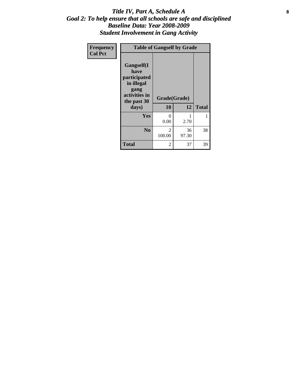#### Title IV, Part A, Schedule A **8** *Goal 2: To help ensure that all schools are safe and disciplined Baseline Data: Year 2008-2009 Student Involvement in Gang Activity*

| Frequency      |                                                                                                   | <b>Table of Gangself by Grade</b> |             |              |
|----------------|---------------------------------------------------------------------------------------------------|-----------------------------------|-------------|--------------|
| <b>Col Pct</b> | Gangself(I<br>have<br>participated<br>in illegal<br>gang<br>activities in<br>the past 30<br>days) | Grade(Grade)<br>10                | 12          | <b>Total</b> |
|                | Yes                                                                                               | $\theta$<br>0.00                  | 1<br>2.70   | 1            |
|                | N <sub>0</sub>                                                                                    | 2<br>100.00                       | 36<br>97.30 | 38           |
|                | <b>Total</b>                                                                                      | 2                                 | 37          | 39           |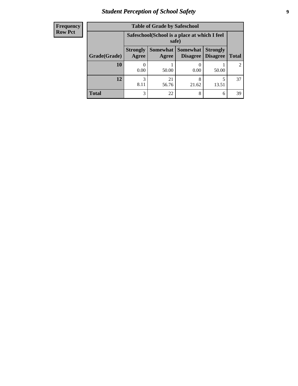### *Student Perception of School Safety* **9**

| <b>Frequency</b> |
|------------------|
| <b>Row Pct</b>   |

| <b>Table of Grade by Safeschool</b> |                                                                                                                            |                                                        |            |            |               |  |
|-------------------------------------|----------------------------------------------------------------------------------------------------------------------------|--------------------------------------------------------|------------|------------|---------------|--|
|                                     |                                                                                                                            | Safeschool (School is a place at which I feel<br>safe) |            |            |               |  |
| Grade(Grade)                        | Somewhat   Somewhat<br><b>Strongly</b><br><b>Strongly</b><br><b>Disagree</b><br>Agree<br>Disagree<br><b>Total</b><br>Agree |                                                        |            |            |               |  |
| <b>10</b>                           | 0.00                                                                                                                       | 50.00                                                  | 0.00       | 50.00      | $\mathcal{L}$ |  |
| 12                                  | 3<br>8.11                                                                                                                  | 21<br>56.76                                            | 8<br>21.62 | 5<br>13.51 | 37            |  |
| <b>Total</b>                        | 3                                                                                                                          | 22                                                     | 8          | 6          | 39            |  |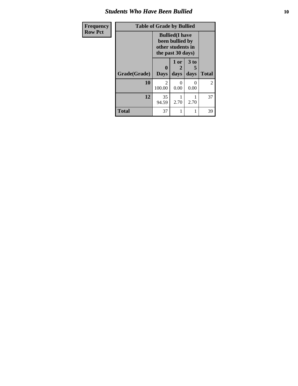#### *Students Who Have Been Bullied* **10**

| Frequency      | <b>Table of Grade by Bullied</b> |                                                                                     |                   |                              |              |
|----------------|----------------------------------|-------------------------------------------------------------------------------------|-------------------|------------------------------|--------------|
| <b>Row Pct</b> |                                  | <b>Bullied</b> (I have<br>been bullied by<br>other students in<br>the past 30 days) |                   |                              |              |
|                | Grade(Grade)                     | 0<br><b>Days</b>                                                                    | 1 or<br>2<br>days | 3 <sub>to</sub><br>5<br>days | <b>Total</b> |
|                | 10                               | 2<br>100.00                                                                         | 0<br>0.00         | 0<br>0.00                    | 2            |
|                | 12                               | 35<br>94.59                                                                         | 2.70              | 2.70                         | 37           |
|                | <b>Total</b>                     | 37                                                                                  | 1                 |                              | 39           |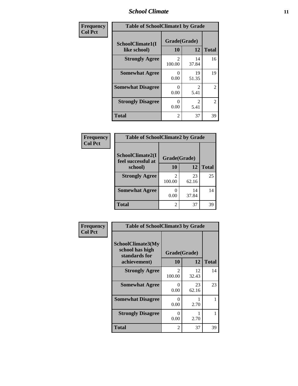#### *School Climate* **11**

| Frequency      | <b>Table of SchoolClimate1 by Grade</b> |                          |             |                |  |
|----------------|-----------------------------------------|--------------------------|-------------|----------------|--|
| <b>Col Pct</b> | SchoolClimate1(I<br>like school)        | Grade(Grade)<br>10       | 12          | <b>Total</b>   |  |
|                | <b>Strongly Agree</b>                   | $\mathfrak{D}$<br>100.00 | 14<br>37.84 | 16             |  |
|                | <b>Somewhat Agree</b>                   | 0<br>0.00                | 19<br>51.35 | 19             |  |
|                | <b>Somewhat Disagree</b>                | $_{0}$<br>0.00           | 2<br>5.41   | 2              |  |
|                | <b>Strongly Disagree</b>                | 0<br>0.00                | 2<br>5.41   | $\overline{2}$ |  |
|                | <b>Total</b>                            | 2                        | 37          | 39             |  |

#### **Frequency Col Pct**

| <b>Table of SchoolClimate2 by Grade</b> |              |             |              |  |  |  |
|-----------------------------------------|--------------|-------------|--------------|--|--|--|
| SchoolClimate2(I<br>feel successful at  | Grade(Grade) |             |              |  |  |  |
| school)                                 | 10           | 12          | <b>Total</b> |  |  |  |
| <b>Strongly Agree</b>                   | 2<br>100.00  | 23<br>62.16 | 25           |  |  |  |
| <b>Somewhat Agree</b>                   | 0.00         | 14<br>37.84 | 14           |  |  |  |
| <b>Total</b>                            | 2            | 37          | 39           |  |  |  |

| Frequency      | <b>Table of SchoolClimate3 by Grade</b>                                      |                           |             |              |  |
|----------------|------------------------------------------------------------------------------|---------------------------|-------------|--------------|--|
| <b>Col Pct</b> | <b>SchoolClimate3(My</b><br>school has high<br>standards for<br>achievement) | Grade(Grade)<br><b>10</b> | 12          | <b>Total</b> |  |
|                | <b>Strongly Agree</b>                                                        | $\overline{c}$<br>100.00  | 12<br>32.43 | 14           |  |
|                | <b>Somewhat Agree</b>                                                        | 0<br>0.00                 | 23<br>62.16 | 23           |  |
|                | <b>Somewhat Disagree</b>                                                     | $\Omega$<br>0.00          | 2.70        |              |  |
|                | <b>Strongly Disagree</b>                                                     | 0<br>0.00                 | 2.70        | 1            |  |
|                | <b>Total</b>                                                                 | 2                         | 37          | 39           |  |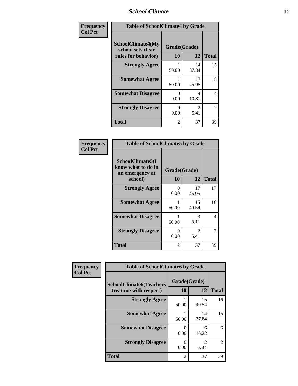#### *School Climate* **12**

| Frequency      | <b>Table of SchoolClimate4 by Grade</b>                              |                           |             |              |
|----------------|----------------------------------------------------------------------|---------------------------|-------------|--------------|
| <b>Col Pct</b> | <b>SchoolClimate4(My</b><br>school sets clear<br>rules for behavior) | Grade(Grade)<br>10        | 12          | <b>Total</b> |
|                | <b>Strongly Agree</b>                                                | 50.00                     | 14<br>37.84 | 15           |
|                | <b>Somewhat Agree</b>                                                | 50.00                     | 17<br>45.95 | 18           |
|                | <b>Somewhat Disagree</b>                                             | $\mathbf{\Omega}$<br>0.00 | 4<br>10.81  | 4            |
|                | <b>Strongly Disagree</b>                                             | 0<br>0.00                 | 2<br>5.41   | 2            |
|                | <b>Total</b>                                                         | 2                         | 37          | 39           |

#### **Frequency Col Pct**

| <b>Table of SchoolClimate5 by Grade</b>                              |                    |                        |              |
|----------------------------------------------------------------------|--------------------|------------------------|--------------|
| SchoolClimate5(I<br>know what to do in<br>an emergency at<br>school) | Grade(Grade)<br>10 | 12                     | <b>Total</b> |
| <b>Strongly Agree</b>                                                | 0<br>0.00          | 17<br>45.95            | 17           |
| <b>Somewhat Agree</b>                                                | 1<br>50.00         | 15<br>40.54            | 16           |
| <b>Somewhat Disagree</b>                                             | 1<br>50.00         | 3<br>8.11              | 4            |
| <b>Strongly Disagree</b>                                             | 0<br>0.00          | $\mathfrak{D}$<br>5.41 | 2            |
| <b>Total</b>                                                         | $\overline{2}$     | 37                     | 39           |

| Frequency      | <b>Table of SchoolClimate6 by Grade</b>                  |                    |                                     |                |
|----------------|----------------------------------------------------------|--------------------|-------------------------------------|----------------|
| <b>Col Pct</b> | <b>SchoolClimate6(Teachers</b><br>treat me with respect) | Grade(Grade)<br>10 | 12                                  | <b>Total</b>   |
|                | <b>Strongly Agree</b>                                    | 50.00              | 15<br>40.54                         | 16             |
|                | <b>Somewhat Agree</b>                                    | 50.00              | 14<br>37.84                         | 15             |
|                | <b>Somewhat Disagree</b>                                 | 0<br>0.00          | 6<br>16.22                          | 6              |
|                | <b>Strongly Disagree</b>                                 | 0.00               | $\mathcal{D}_{\mathcal{L}}$<br>5.41 | $\mathfrak{D}$ |
|                | <b>Total</b>                                             | $\overline{2}$     | 37                                  | 39             |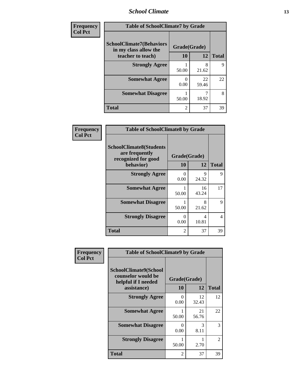#### *School Climate* **13**

| Frequency      | <b>Table of SchoolClimate7 by Grade</b>                  |                |             |              |
|----------------|----------------------------------------------------------|----------------|-------------|--------------|
| <b>Col Pct</b> | <b>SchoolClimate7(Behaviors</b><br>in my class allow the | Grade(Grade)   |             |              |
|                | teacher to teach)                                        | <b>10</b>      | 12          | <b>Total</b> |
|                | <b>Strongly Agree</b>                                    | 50.00          | 8<br>21.62  | $\mathbf Q$  |
|                | <b>Somewhat Agree</b>                                    | 0<br>0.00      | 22<br>59.46 | 22           |
|                | <b>Somewhat Disagree</b>                                 | 50.00          | 18.92       | 8            |
|                | <b>Total</b>                                             | $\mathfrak{D}$ | 37          | 39           |

| Frequency      | <b>Table of SchoolClimate8 by Grade</b>                                 |                |             |              |
|----------------|-------------------------------------------------------------------------|----------------|-------------|--------------|
| <b>Col Pct</b> | <b>SchoolClimate8(Students</b><br>are frequently<br>recognized for good | Grade(Grade)   |             |              |
|                | behavior)                                                               | 10             | 12          | <b>Total</b> |
|                | <b>Strongly Agree</b>                                                   | 0<br>0.00      | 9<br>24.32  | 9            |
|                | <b>Somewhat Agree</b>                                                   | 50.00          | 16<br>43.24 | 17           |
|                | <b>Somewhat Disagree</b>                                                | 50.00          | 8<br>21.62  | 9            |
|                | <b>Strongly Disagree</b>                                                | 0<br>0.00      | 4<br>10.81  | 4            |
|                | <b>Total</b>                                                            | $\overline{2}$ | 37          | 39           |

| <b>Frequency</b> | <b>Table of SchoolClimate9 by Grade</b>                                           |                    |             |              |
|------------------|-----------------------------------------------------------------------------------|--------------------|-------------|--------------|
| <b>Col Pct</b>   | SchoolClimate9(School<br>counselor would be<br>helpful if I needed<br>assistance) | Grade(Grade)<br>10 | 12          | <b>Total</b> |
|                  | <b>Strongly Agree</b>                                                             | 0<br>0.00          | 12<br>32.43 | 12           |
|                  | <b>Somewhat Agree</b>                                                             | 50.00              | 21<br>56.76 | 22           |
|                  | <b>Somewhat Disagree</b>                                                          | 0<br>0.00          | 3<br>8.11   | 3            |
|                  | <b>Strongly Disagree</b>                                                          | 1<br>50.00         | 2.70        | 2            |
|                  | Total                                                                             | 2                  | 37          | 39           |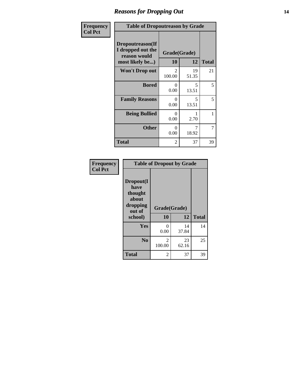#### *Reasons for Dropping Out* **14**

| Frequency      | <b>Table of Dropoutreason by Grade</b>                                   |                          |                    |              |
|----------------|--------------------------------------------------------------------------|--------------------------|--------------------|--------------|
| <b>Col Pct</b> | Dropoutreason(If<br>I dropped out the<br>reason would<br>most likely be) | 10                       | Grade(Grade)<br>12 | <b>Total</b> |
|                | Won't Drop out                                                           | $\mathfrak{D}$<br>100.00 | 19<br>51.35        | 21           |
|                | <b>Bored</b>                                                             | 0<br>0.00                | 5<br>13.51         | 5            |
|                | <b>Family Reasons</b>                                                    | 0<br>0.00                | 5<br>13.51         | 5            |
|                | <b>Being Bullied</b>                                                     | 0<br>0.00                | 2.70               | 1            |
|                | <b>Other</b>                                                             | 0<br>0.00                | 18.92              | 7            |
|                | <b>Total</b>                                                             | 2                        | 37                 | 39           |

| Frequency<br><b>Col Pct</b> | <b>Table of Dropout by Grade</b>                            |              |             |              |  |
|-----------------------------|-------------------------------------------------------------|--------------|-------------|--------------|--|
|                             | Dropout(I<br>have<br>thought<br>about<br>dropping<br>out of | Grade(Grade) |             |              |  |
|                             | school)                                                     | 10           | 12          | <b>Total</b> |  |
|                             | Yes                                                         | 0<br>0.00    | 14<br>37.84 | 14           |  |
|                             | N <sub>0</sub>                                              | 2<br>100.00  | 23<br>62.16 | 25           |  |
|                             | <b>Total</b>                                                | 2            | 37          | 39           |  |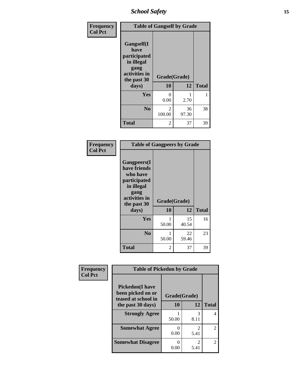*School Safety* **15**

| Frequency      | <b>Table of Gangself by Grade</b>                                                                 |                         |             |              |
|----------------|---------------------------------------------------------------------------------------------------|-------------------------|-------------|--------------|
| <b>Col Pct</b> | Gangself(I<br>have<br>participated<br>in illegal<br>gang<br>activities in<br>the past 30<br>days) | Grade(Grade)<br>10      | 12          | <b>Total</b> |
|                | Yes                                                                                               | 0<br>0.00               | 1<br>2.70   | 1            |
|                | N <sub>0</sub>                                                                                    | $\mathcal{L}$<br>100.00 | 36<br>97.30 | 38           |
|                | <b>Total</b>                                                                                      | 2                       | 37          | 39           |

| Frequency<br><b>Col Pct</b> | <b>Table of Gangpeers by Grade</b>                                                                                             |                    |             |              |
|-----------------------------|--------------------------------------------------------------------------------------------------------------------------------|--------------------|-------------|--------------|
|                             | <b>Gangpeers</b> (I<br>have friends<br>who have<br>participated<br>in illegal<br>gang<br>activities in<br>the past 30<br>days) | Grade(Grade)<br>10 | 12          | <b>Total</b> |
|                             | Yes                                                                                                                            | 50.00              | 15<br>40.54 | 16           |
|                             | N <sub>0</sub>                                                                                                                 | 50.00              | 22<br>59.46 | 23           |
|                             | <b>Total</b>                                                                                                                   | 2                  | 37          | 39           |

| Frequency      | <b>Table of Pickedon by Grade</b>                                                        |                    |                        |                |
|----------------|------------------------------------------------------------------------------------------|--------------------|------------------------|----------------|
| <b>Col Pct</b> | <b>Pickedon</b> (I have<br>been picked on or<br>teased at school in<br>the past 30 days) | Grade(Grade)<br>10 | 12                     | <b>Total</b>   |
|                |                                                                                          |                    |                        |                |
|                | <b>Strongly Agree</b>                                                                    | 50.00              | 3<br>8.11              | 4              |
|                | <b>Somewhat Agree</b>                                                                    | 0<br>0.00          | 2<br>5.41              | $\mathfrak{D}$ |
|                | <b>Somewhat Disagree</b>                                                                 | ∩<br>0.00          | $\mathfrak{D}$<br>5.41 | $\mathfrak{D}$ |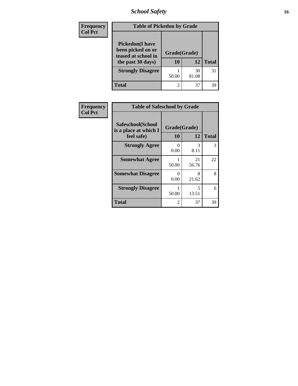*School Safety* **16**

| <b>Frequency</b> | <b>Table of Pickedon by Grade</b>                                                        |                    |             |              |  |
|------------------|------------------------------------------------------------------------------------------|--------------------|-------------|--------------|--|
| <b>Col Pct</b>   | <b>Pickedon</b> (I have<br>been picked on or<br>teased at school in<br>the past 30 days) | Grade(Grade)<br>10 | 12          | <b>Total</b> |  |
|                  | <b>Strongly Disagree</b>                                                                 | 50.00              | 30<br>81.08 | 31           |  |
|                  | Total                                                                                    | $\overline{2}$     | 37          | 39           |  |

| Frequency      | <b>Table of Safeschool by Grade</b>                      |                          |             |              |
|----------------|----------------------------------------------------------|--------------------------|-------------|--------------|
| <b>Col Pct</b> | Safeschool(School<br>is a place at which I<br>feel safe) | Grade(Grade)<br>12<br>10 |             | <b>Total</b> |
|                | <b>Strongly Agree</b>                                    | 0<br>0.00                | 3<br>8.11   | 3            |
|                | <b>Somewhat Agree</b>                                    | 50.00                    | 21<br>56.76 | 22           |
|                | <b>Somewhat Disagree</b>                                 | 0<br>0.00                | 8<br>21.62  | 8            |
|                | <b>Strongly Disagree</b>                                 | 50.00                    | 5<br>13.51  | 6            |
|                | <b>Total</b>                                             | 2                        | 37          | 39           |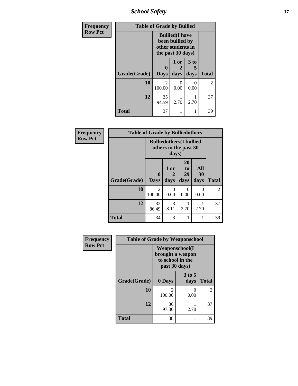*School Safety* **17**

| <b>Frequency</b> | <b>Table of Grade by Bullied</b> |                                                                                     |                   |                   |                |  |  |  |
|------------------|----------------------------------|-------------------------------------------------------------------------------------|-------------------|-------------------|----------------|--|--|--|
| <b>Row Pct</b>   |                                  | <b>Bullied</b> (I have<br>been bullied by<br>other students in<br>the past 30 days) |                   |                   |                |  |  |  |
|                  | Grade(Grade)                     | 0<br><b>Days</b>                                                                    | 1 or<br>2<br>days | 3 to<br>5<br>days | <b>Total</b>   |  |  |  |
|                  | 10                               | 2<br>100.00                                                                         | $\theta$<br>0.00  | 0<br>0.00         | $\overline{2}$ |  |  |  |
|                  | 12                               | 35<br>94.59                                                                         | 2.70              | 2.70              | 37             |  |  |  |
|                  | <b>Total</b>                     | 37                                                                                  | 1                 |                   | 39             |  |  |  |

| Frequency      |              | <b>Table of Grade by Bulliedothers</b> |                                                                   |                           |                   |                |
|----------------|--------------|----------------------------------------|-------------------------------------------------------------------|---------------------------|-------------------|----------------|
| <b>Row Pct</b> |              |                                        | <b>Bulliedothers</b> (I bullied<br>others in the past 30<br>days) |                           |                   |                |
|                | Grade(Grade) | 0<br><b>Days</b>                       | 1 or<br>2<br>days                                                 | 20<br>to<br>29<br>days    | All<br>30<br>days | <b>Total</b>   |
|                | 10           | $\overline{2}$<br>100.00               | 0<br>0.00                                                         | $\mathbf{\Omega}$<br>0.00 | $\Omega$<br>0.00  | $\overline{2}$ |
|                | 12           | 32<br>86.49                            | 3<br>8.11                                                         | 2.70                      | 2.70              | 37             |
|                | <b>Total</b> | 34                                     | 3                                                                 |                           |                   | 39             |

| Frequency      | <b>Table of Grade by Weaponschool</b> |                                                                                 |                  |                |  |  |
|----------------|---------------------------------------|---------------------------------------------------------------------------------|------------------|----------------|--|--|
| <b>Row Pct</b> |                                       | <b>Weaponschool</b> (I<br>brought a weapon<br>to school in the<br>past 30 days) |                  |                |  |  |
|                | Grade(Grade)                          | 0 Days                                                                          | $3$ to 5<br>days | <b>Total</b>   |  |  |
|                | 10                                    | $\mathfrak{D}$<br>100.00                                                        | 0.00             | $\overline{2}$ |  |  |
|                | 12                                    | 36<br>97.30                                                                     | 2.70             | 37             |  |  |
|                | <b>Total</b>                          | 38                                                                              |                  | 39             |  |  |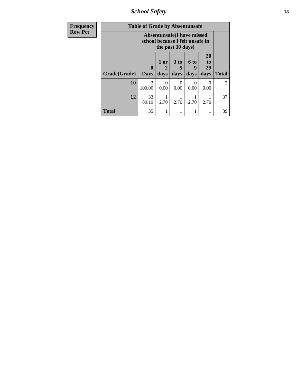*School Safety* **18**

| <b>Frequency</b> | <b>Table of Grade by Absentunsafe</b> |                            |                                                                      |                         |                   |                        |                |
|------------------|---------------------------------------|----------------------------|----------------------------------------------------------------------|-------------------------|-------------------|------------------------|----------------|
| <b>Row Pct</b>   |                                       |                            | <b>Absentunsafe(I have missed</b><br>school because I felt unsafe in | the past 30 days)       |                   |                        |                |
|                  | Grade(Grade)                          | $\mathbf 0$<br><b>Days</b> | $1$ or<br>days                                                       | 3 <sub>to</sub><br>days | 6 to<br>9<br>days | 20<br>to<br>29<br>days | <b>Total</b>   |
|                  | 10                                    | $\mathfrak{D}$<br>100.00   | $\Omega$<br>0.00                                                     | $\mathbf{0}$<br>0.00    | 0<br>0.00         | 0.00                   | $\overline{2}$ |
|                  | 12                                    | 33<br>89.19                | 2.70                                                                 | 2.70                    | 2.70              | 2.70                   | 37             |
|                  | Total                                 | 35                         |                                                                      |                         |                   |                        | 39             |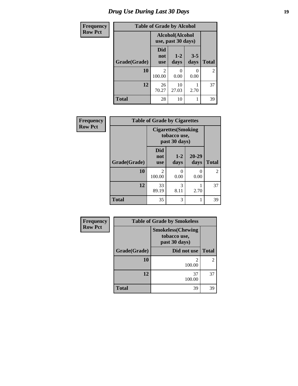### *Drug Use During Last 30 Days* **19**

| <b>Frequency</b> | <b>Table of Grade by Alcohol</b> |                                       |                 |                 |                |
|------------------|----------------------------------|---------------------------------------|-----------------|-----------------|----------------|
| <b>Row Pct</b>   |                                  | Alcohol(Alcohol<br>use, past 30 days) |                 |                 |                |
|                  | Grade(Grade)                     | Did<br>not<br><b>use</b>              | $1 - 2$<br>days | $3 - 5$<br>days | <b>Total</b>   |
|                  | 10                               | 2<br>100.00                           | 0<br>0.00       | 0.00            | $\overline{2}$ |
|                  | 12                               | 26<br>70.27                           | 10<br>27.03     | 2.70            | 37             |
|                  | <b>Total</b>                     | 28                                    | 10              |                 | 39             |

| Frequency      |              | <b>Table of Grade by Cigarettes</b>                         |                 |                   |                |
|----------------|--------------|-------------------------------------------------------------|-----------------|-------------------|----------------|
| <b>Row Pct</b> |              | <b>Cigarettes</b> (Smoking<br>tobacco use,<br>past 30 days) |                 |                   |                |
|                | Grade(Grade) | <b>Did</b><br>not<br><b>use</b>                             | $1 - 2$<br>days | $20 - 29$<br>days | <b>Total</b>   |
|                | 10           | 2<br>100.00                                                 | 0<br>0.00       | 0<br>0.00         | $\overline{2}$ |
|                | 12           | 33<br>89.19                                                 | 3<br>8.11       | 2.70              | 37             |
|                | <b>Total</b> | 35                                                          | 3               | 1                 | 39             |

| Frequency      | <b>Table of Grade by Smokeless</b> |                                                            |                |  |  |
|----------------|------------------------------------|------------------------------------------------------------|----------------|--|--|
| <b>Row Pct</b> |                                    | <b>Smokeless</b> (Chewing<br>tobacco use,<br>past 30 days) |                |  |  |
|                | Grade(Grade)                       | Did not use                                                | <b>Total</b>   |  |  |
|                | 10                                 | $\mathfrak{D}$<br>100.00                                   | $\overline{2}$ |  |  |
|                | 12                                 | 37<br>100.00                                               | 37             |  |  |
|                | <b>Total</b>                       | 39                                                         | 39             |  |  |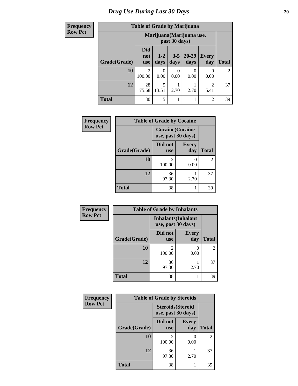#### **Frequency Row Pct**

## **Table of Grade by Marijuana**

| лісу |              | Table of Graue by Intarguana    |                                            |                 |                   |                     |                |
|------|--------------|---------------------------------|--------------------------------------------|-----------------|-------------------|---------------------|----------------|
| ct   |              |                                 | Marijuana (Marijuana use,<br>past 30 days) |                 |                   |                     |                |
|      | Grade(Grade) | <b>Did</b><br>not<br><b>use</b> | $1 - 2$<br>days                            | $3 - 5$<br>days | $20 - 29$<br>days | <b>Every</b><br>day | <b>Total</b>   |
|      | 10           | 2<br>100.00                     | $\theta$<br>0.00                           | 0.00            | 0.00              | 0.00                | $\overline{2}$ |
|      | 12           | 28<br>75.68                     | 5<br>13.51                                 | 2.70            | 2.70              | 2<br>5.41           | 37             |
|      | <b>Total</b> | 30                              | 5                                          |                 |                   | 2                   | 39             |

| Frequency      |              | <b>Table of Grade by Cocaine</b>              |                     |              |
|----------------|--------------|-----------------------------------------------|---------------------|--------------|
| <b>Row Pct</b> |              | <b>Cocaine</b> (Cocaine<br>use, past 30 days) |                     |              |
|                | Grade(Grade) | Did not<br><b>use</b>                         | <b>Every</b><br>day | <b>Total</b> |
|                | 10           | 2<br>100.00                                   | 0.00                | 2            |
|                | 12           | 36<br>97.30                                   | 2.70                | 37           |
|                | <b>Total</b> | 38                                            |                     | 39           |

| Frequency      |              | <b>Table of Grade by Inhalants</b> |                                                  |                |  |  |
|----------------|--------------|------------------------------------|--------------------------------------------------|----------------|--|--|
| <b>Row Pct</b> |              |                                    | <b>Inhalants</b> (Inhalant<br>use, past 30 days) |                |  |  |
|                | Grade(Grade) | Did not<br><b>use</b>              | <b>Every</b><br>day                              | <b>Total</b>   |  |  |
|                | 10           | っ<br>100.00                        | 0.00                                             | $\overline{c}$ |  |  |
|                | 12           | 36<br>97.30                        | 2.70                                             | 37             |  |  |
|                | <b>Total</b> | 38                                 |                                                  | 39             |  |  |

| Frequency      | <b>Table of Grade by Steroids</b> |                                                |                     |                |
|----------------|-----------------------------------|------------------------------------------------|---------------------|----------------|
| <b>Row Pct</b> |                                   | <b>Steroids</b> (Steroid<br>use, past 30 days) |                     |                |
|                | Grade(Grade)                      | Did not<br><b>use</b>                          | <b>Every</b><br>day | <b>Total</b>   |
|                | 10                                | 2<br>100.00                                    | 0.00                | $\overline{2}$ |
|                | 12                                | 36<br>97.30                                    | 2.70                | 37             |
|                | <b>Total</b>                      | 38                                             |                     | 39             |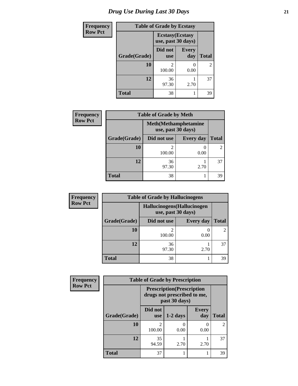### *Drug Use During Last 30 Days* **21**

| <b>Frequency</b> | <b>Table of Grade by Ecstasy</b> |                                               |                     |                |
|------------------|----------------------------------|-----------------------------------------------|---------------------|----------------|
| <b>Row Pct</b>   |                                  | <b>Ecstasy</b> (Ecstasy<br>use, past 30 days) |                     |                |
|                  | Grade(Grade)                     | Did not<br><b>use</b>                         | <b>Every</b><br>day | <b>Total</b>   |
|                  | 10                               | 2<br>100.00                                   | 0<br>0.00           | $\overline{2}$ |
|                  | 12                               | 36<br>97.30                                   | 2.70                | 37             |
|                  | Total                            | 38                                            |                     | 39             |

| <b>Frequency</b> | <b>Table of Grade by Meth</b> |                                                    |                  |                |
|------------------|-------------------------------|----------------------------------------------------|------------------|----------------|
| <b>Row Pct</b>   |                               | <b>Meth</b> (Methamphetamine<br>use, past 30 days) |                  |                |
|                  | Grade(Grade)                  | Did not use                                        | <b>Every day</b> | <b>Total</b>   |
|                  | <b>10</b>                     | $\overline{2}$<br>100.00                           | 0.00             | $\overline{2}$ |
|                  | 12                            | 36<br>97.30                                        | 2.70             | 37             |
|                  | <b>Total</b>                  | 38                                                 |                  | 39             |

| <b>Frequency</b> | <b>Table of Grade by Hallucinogens</b> |                                                   |                  |              |
|------------------|----------------------------------------|---------------------------------------------------|------------------|--------------|
| <b>Row Pct</b>   |                                        | Hallucinogens (Hallucinogen<br>use, past 30 days) |                  |              |
|                  | Grade(Grade)                           | Did not use                                       | <b>Every day</b> | <b>Total</b> |
|                  | 10                                     | 100.00                                            | 0.00             |              |
|                  | 12                                     | 36<br>97.30                                       | 2.70             | 37           |
|                  | <b>Total</b>                           | 38                                                |                  | 39           |

| <b>Frequency</b> |              | <b>Table of Grade by Prescription</b>                                             |            |                     |               |
|------------------|--------------|-----------------------------------------------------------------------------------|------------|---------------------|---------------|
| <b>Row Pct</b>   |              | <b>Prescription</b> (Prescription<br>drugs not prescribed to me,<br>past 30 days) |            |                     |               |
|                  | Grade(Grade) | Did not<br><b>use</b>                                                             | $1-2$ days | <b>Every</b><br>day | <b>Total</b>  |
|                  | 10           | 2<br>100.00                                                                       | 0.00       | 0.00                | $\mathcal{D}$ |
|                  | 12           | 35<br>94.59                                                                       | 2.70       | 2.70                | 37            |
|                  | <b>Total</b> | 37                                                                                |            |                     | 39            |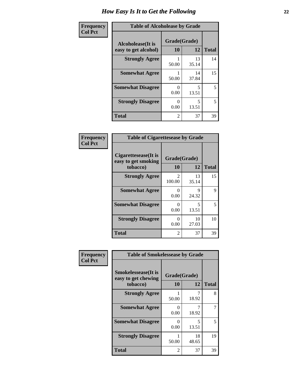| Frequency      | <b>Table of Alcoholease by Grade</b>              |                    |             |              |
|----------------|---------------------------------------------------|--------------------|-------------|--------------|
| <b>Col Pct</b> | <b>Alcoholease</b> (It is<br>easy to get alcohol) | Grade(Grade)<br>10 | 12          | <b>Total</b> |
|                | <b>Strongly Agree</b>                             | 50.00              | 13<br>35.14 | 14           |
|                | <b>Somewhat Agree</b>                             | 50.00              | 14<br>37.84 | 15           |
|                | <b>Somewhat Disagree</b>                          | 0.00               | 5<br>13.51  | 5            |
|                | <b>Strongly Disagree</b>                          | 0<br>0.00          | 5<br>13.51  | 5            |
|                | <b>Total</b>                                      | 2                  | 37          | 39           |

| Frequency      | <b>Table of Cigarettesease by Grade</b>                  |                          |             |              |
|----------------|----------------------------------------------------------|--------------------------|-------------|--------------|
| <b>Col Pct</b> | Cigarettesease (It is<br>easy to get smoking<br>tobacco) | Grade(Grade)<br>10       | 12          | <b>Total</b> |
|                | <b>Strongly Agree</b>                                    | $\mathfrak{D}$<br>100.00 | 13<br>35.14 | 15           |
|                | <b>Somewhat Agree</b>                                    | 0<br>0.00                | 9<br>24.32  | 9            |
|                | <b>Somewhat Disagree</b>                                 | 0<br>0.00                | 5<br>13.51  | 5            |
|                | <b>Strongly Disagree</b>                                 | 0<br>0.00                | 10<br>27.03 | 10           |
|                | Total                                                    | 2                        | 37          | 39           |

| Frequency      | <b>Table of Smokelessease by Grade</b>                         |                    |             |              |
|----------------|----------------------------------------------------------------|--------------------|-------------|--------------|
| <b>Col Pct</b> | <b>Smokelessease</b> (It is<br>easy to get chewing<br>tobacco) | Grade(Grade)<br>10 | 12          | <b>Total</b> |
|                | <b>Strongly Agree</b>                                          | 50.00              | 18.92       | 8            |
|                | <b>Somewhat Agree</b>                                          | 0<br>0.00          | 18.92       | 7            |
|                | <b>Somewhat Disagree</b>                                       | 0<br>0.00          | 5<br>13.51  | 5            |
|                | <b>Strongly Disagree</b>                                       | 50.00              | 18<br>48.65 | 19           |
|                | <b>Total</b>                                                   | 2                  | 37          | 39           |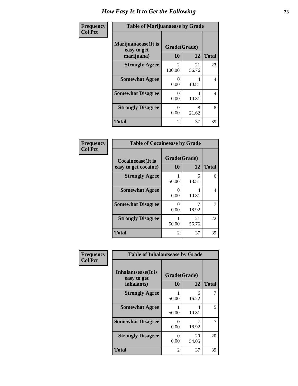| Frequency      | <b>Table of Marijuanaease by Grade</b>           |                                       |             |              |
|----------------|--------------------------------------------------|---------------------------------------|-------------|--------------|
| <b>Col Pct</b> | Marijuanaease(It is<br>easy to get<br>marijuana) | Grade(Grade)<br><b>10</b>             | 12          | <b>Total</b> |
|                | <b>Strongly Agree</b>                            | $\mathcal{D}_{\mathcal{L}}$<br>100.00 | 21<br>56.76 | 23           |
|                | <b>Somewhat Agree</b>                            | 0<br>0.00                             | 4<br>10.81  | 4            |
|                | <b>Somewhat Disagree</b>                         | 0<br>0.00                             | 4<br>10.81  | 4            |
|                | <b>Strongly Disagree</b>                         | $\mathbf{\Omega}$<br>0.00             | 8<br>21.62  | 8            |
|                | <b>Total</b>                                     | 2                                     | 37          | 39           |

#### **Frequency Col Pct**

| <b>Table of Cocaineease by Grade</b> |              |             |              |  |
|--------------------------------------|--------------|-------------|--------------|--|
| <b>Cocaineease</b> (It is            | Grade(Grade) |             |              |  |
| easy to get cocaine)                 | 10           | 12          | <b>Total</b> |  |
| <b>Strongly Agree</b>                | 50.00        | 5<br>13.51  | 6            |  |
| <b>Somewhat Agree</b>                | 0<br>0.00    | 4<br>10.81  | 4            |  |
| <b>Somewhat Disagree</b>             | 0.00         | 18.92       |              |  |
| <b>Strongly Disagree</b>             | 50.00        | 21<br>56.76 | 22           |  |
| <b>Total</b>                         | 2            | 37          | 39           |  |

| Frequency      | <b>Table of Inhalantsease by Grade</b>                   |                           |             |              |
|----------------|----------------------------------------------------------|---------------------------|-------------|--------------|
| <b>Col Pct</b> | <b>Inhalantsease</b> (It is<br>easy to get<br>inhalants) | Grade(Grade)<br><b>10</b> | 12          | <b>Total</b> |
|                | <b>Strongly Agree</b>                                    | 50.00                     | 6<br>16.22  |              |
|                | <b>Somewhat Agree</b>                                    | 50.00                     | 4<br>10.81  | 5            |
|                | <b>Somewhat Disagree</b>                                 | 0<br>0.00                 | 18.92       | 7            |
|                | <b>Strongly Disagree</b>                                 | 0<br>0.00                 | 20<br>54.05 | 20           |
|                | <b>Total</b>                                             | $\overline{2}$            | 37          | 39           |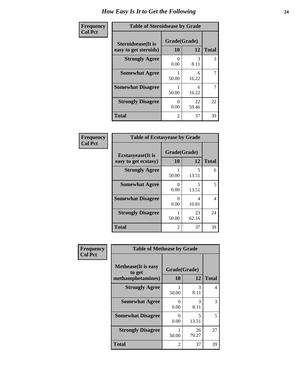| Frequency      | <b>Table of Steroidsease by Grade</b>               |                    |             |              |
|----------------|-----------------------------------------------------|--------------------|-------------|--------------|
| <b>Col Pct</b> | <b>Steroidsease</b> (It is<br>easy to get steroids) | Grade(Grade)<br>10 | 12          | <b>Total</b> |
|                | <b>Strongly Agree</b>                               | 0.00               | 3<br>8.11   | 3            |
|                | <b>Somewhat Agree</b>                               | 50.00              | 6<br>16.22  | 7            |
|                | <b>Somewhat Disagree</b>                            | 50.00              | 6<br>16.22  | 7            |
|                | <b>Strongly Disagree</b>                            | 0<br>0.00          | 22<br>59.46 | 22           |
|                | <b>Total</b>                                        | 2                  | 37          | 39           |

| Frequency      | <b>Table of Ecstasyease by Grade</b>              |                    |                                   |              |
|----------------|---------------------------------------------------|--------------------|-----------------------------------|--------------|
| <b>Col Pct</b> | <b>Ecstasyease</b> (It is<br>easy to get ecstasy) | Grade(Grade)<br>10 | 12                                | <b>Total</b> |
|                | <b>Strongly Agree</b>                             | 50.00              | 5<br>13.51                        | 6            |
|                | <b>Somewhat Agree</b>                             | 0<br>0.00          | $\overline{\phantom{0}}$<br>13.51 | 5            |
|                | <b>Somewhat Disagree</b>                          | $\theta$<br>0.00   | 4<br>10.81                        | 4            |
|                | <b>Strongly Disagree</b>                          | 50.00              | 23<br>62.16                       | 24           |
|                | Total                                             | $\mathfrak{D}$     | 37                                | 39           |

| Frequency      | <b>Table of Methease by Grade</b>                          |                           |             |              |  |  |  |
|----------------|------------------------------------------------------------|---------------------------|-------------|--------------|--|--|--|
| <b>Col Pct</b> | <b>Methease</b> (It is easy<br>to get<br>methamphetamines) | Grade(Grade)<br>10        | 12          | <b>Total</b> |  |  |  |
|                | <b>Strongly Agree</b>                                      | 50.00                     | 3<br>8.11   | 4            |  |  |  |
|                | <b>Somewhat Agree</b>                                      | $\mathbf{\Omega}$<br>0.00 | 3<br>8.11   | 3            |  |  |  |
|                | <b>Somewhat Disagree</b>                                   | 0<br>0.00                 | 5<br>13.51  | 5            |  |  |  |
|                | <b>Strongly Disagree</b>                                   | 50.00                     | 26<br>70.27 | 27           |  |  |  |
|                | <b>Total</b>                                               | 2                         | 37          | 39           |  |  |  |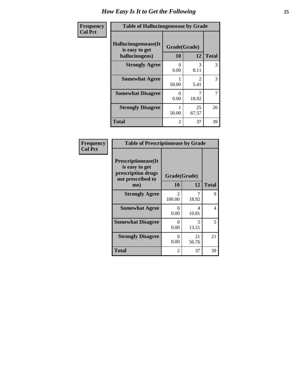| <b>Frequency</b> | <b>Table of Hallucinogensease by Grade</b>               |                    |             |              |  |  |
|------------------|----------------------------------------------------------|--------------------|-------------|--------------|--|--|
| <b>Col Pct</b>   | Hallucinogensease(It<br>is easy to get<br>hallucinogens) | Grade(Grade)<br>10 | 12          | <b>Total</b> |  |  |
|                  | <b>Strongly Agree</b>                                    | ∩<br>0.00          | 3<br>8.11   | 3            |  |  |
|                  | <b>Somewhat Agree</b>                                    | 50.00              | 5.41        | 3            |  |  |
|                  | <b>Somewhat Disagree</b>                                 | $\Omega$<br>0.00   | 7<br>18.92  | 7            |  |  |
|                  | <b>Strongly Disagree</b>                                 | 50.00              | 25<br>67.57 | 26           |  |  |
|                  | <b>Total</b>                                             | $\overline{2}$     | 37          | 39           |  |  |

| Frequency<br>  Col Pct |
|------------------------|

| <b>Table of Prescriptionease by Grade</b>                                                |              |             |              |  |  |  |
|------------------------------------------------------------------------------------------|--------------|-------------|--------------|--|--|--|
| <b>Prescriptionease</b> (It<br>is easy to get<br>prescription drugs<br>not prescribed to | Grade(Grade) |             |              |  |  |  |
| me)                                                                                      | 10           | 12          | <b>Total</b> |  |  |  |
| <b>Strongly Agree</b>                                                                    | 2<br>100.00  | 18.92       | Q            |  |  |  |
| <b>Somewhat Agree</b>                                                                    | 0<br>0.00    | 4<br>10.81  | 4            |  |  |  |
| <b>Somewhat Disagree</b>                                                                 | 0.00         | 5<br>13.51  | 5            |  |  |  |
| <b>Strongly Disagree</b>                                                                 | 0<br>0.00    | 21<br>56.76 | 21           |  |  |  |
| Total                                                                                    | 2            | 37          | 39           |  |  |  |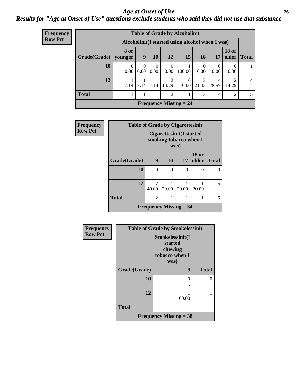#### *Age at Onset of Use* **26** *Results for "Age at Onset of Use" questions exclude students who said they did not use that substance*

| <b>Frequency</b> | <b>Table of Grade by Alcoholinit</b> |                                                  |                  |                  |                                      |                               |                  |                  |                                      |              |
|------------------|--------------------------------------|--------------------------------------------------|------------------|------------------|--------------------------------------|-------------------------------|------------------|------------------|--------------------------------------|--------------|
| <b>Row Pct</b>   |                                      | Alcoholinit (I started using alcohol when I was) |                  |                  |                                      |                               |                  |                  |                                      |              |
|                  | Grade(Grade)                         | 8 or<br>younger                                  | 9                | 10               | 12                                   | 15                            | <b>16</b>        | 17               | <b>18 or</b><br>$\Omega$ older       | <b>Total</b> |
|                  | <b>10</b>                            | $\Omega$<br>0.00                                 | $\theta$<br>0.00 | $\theta$<br>0.00 | 0.00                                 | 100.00                        | $\Omega$<br>0.00 | $\theta$<br>0.00 | $\Omega$<br>0.00                     |              |
|                  | 12                                   | 7.14                                             |                  | $7.14$ 7.14      | $\mathcal{D}_{\mathcal{A}}$<br>14.29 | $\Omega$<br>0.00              | 3<br>21.43       | 4<br>28.57       | $\mathcal{D}_{\mathcal{L}}$<br>14.29 | 14           |
|                  | <b>Total</b>                         |                                                  |                  |                  | $\mathcal{D}_{\mathcal{A}}$          |                               | 3                | $\overline{4}$   | 2                                    | 15           |
|                  |                                      |                                                  |                  |                  |                                      | <b>Frequency Missing = 24</b> |                  |                  |                                      |              |

| Frequency      | <b>Table of Grade by Cigarettesinit</b> |                                                           |           |          |                       |              |  |  |
|----------------|-----------------------------------------|-----------------------------------------------------------|-----------|----------|-----------------------|--------------|--|--|
| <b>Row Pct</b> |                                         | <b>Cigarettesinit(I started</b><br>smoking tobacco when I |           |          |                       |              |  |  |
|                | Grade(Grade)                            | 9                                                         | <b>16</b> | 17       | <b>18 or</b><br>older | <b>Total</b> |  |  |
|                | 10                                      | 0                                                         | 0         | $\Omega$ | 0                     |              |  |  |
|                | 12                                      | $\mathfrak{D}$<br>40.00                                   | 20.00     | 20.00    | 20.00                 | 5            |  |  |
|                | <b>Total</b>                            | $\overline{2}$                                            |           | 1        |                       |              |  |  |
|                | <b>Frequency Missing = 34</b>           |                                                           |           |          |                       |              |  |  |

| Frequency      | <b>Table of Grade by Smokelessinit</b> |                                                                 |              |  |  |
|----------------|----------------------------------------|-----------------------------------------------------------------|--------------|--|--|
| <b>Row Pct</b> |                                        | Smokelessinit(I<br>started<br>chewing<br>tobacco when I<br>was) |              |  |  |
|                | Grade(Grade)                           | 9                                                               | <b>Total</b> |  |  |
|                | 10                                     | 0                                                               | 0            |  |  |
|                | 12                                     | 100.00                                                          |              |  |  |
|                | <b>Total</b>                           |                                                                 |              |  |  |
|                | <b>Frequency Missing = 38</b>          |                                                                 |              |  |  |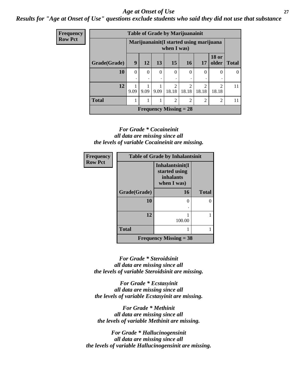#### *Age at Onset of Use* **27**

*Results for "Age at Onset of Use" questions exclude students who said they did not use that substance*

| <b>Frequency</b> | <b>Table of Grade by Marijuanainit</b> |          |                                                        |          |                               |                         |                         |                         |              |
|------------------|----------------------------------------|----------|--------------------------------------------------------|----------|-------------------------------|-------------------------|-------------------------|-------------------------|--------------|
| <b>Row Pct</b>   |                                        |          | Marijuanainit(I started using marijuana<br>when I was) |          |                               |                         |                         |                         |              |
|                  | Grade(Grade)                           | 9        | <b>12</b>                                              | 13       | 15                            | <b>16</b>               | 17                      | <b>18 or</b><br>older   | <b>Total</b> |
|                  | 10                                     | $\Omega$ | $\Omega$                                               | $\Omega$ | $\Omega$                      | $\theta$<br>٠           | 0                       | 0                       | $\Omega$     |
|                  | 12                                     | 9.09     | 9.09                                                   | 9.09     | $\overline{2}$<br>18.18       | $\overline{2}$<br>18.18 | $\overline{c}$<br>18.18 | $\mathfrak{D}$<br>18.18 | 11           |
|                  | <b>Total</b>                           |          | 1                                                      |          | $\overline{2}$                | $\overline{2}$          | $\overline{2}$          | $\overline{c}$          | 11           |
|                  |                                        |          |                                                        |          | <b>Frequency Missing = 28</b> |                         |                         |                         |              |

#### *For Grade \* Cocaineinit all data are missing since all the levels of variable Cocaineinit are missing.*

| Frequency      | <b>Table of Grade by Inhalantsinit</b> |                                                                     |              |  |  |
|----------------|----------------------------------------|---------------------------------------------------------------------|--------------|--|--|
| <b>Row Pct</b> |                                        | Inhalantsinit(I<br>started using<br><i>inhalants</i><br>when I was) |              |  |  |
|                | Grade(Grade)                           | 16                                                                  | <b>Total</b> |  |  |
|                | 10                                     | 0                                                                   |              |  |  |
|                | 12                                     | 100.00                                                              |              |  |  |
|                | <b>Total</b>                           |                                                                     |              |  |  |
|                | <b>Frequency Missing = 38</b>          |                                                                     |              |  |  |

*For Grade \* Steroidsinit all data are missing since all the levels of variable Steroidsinit are missing.*

*For Grade \* Ecstasyinit all data are missing since all the levels of variable Ecstasyinit are missing.*

*For Grade \* Methinit all data are missing since all the levels of variable Methinit are missing.*

*For Grade \* Hallucinogensinit all data are missing since all the levels of variable Hallucinogensinit are missing.*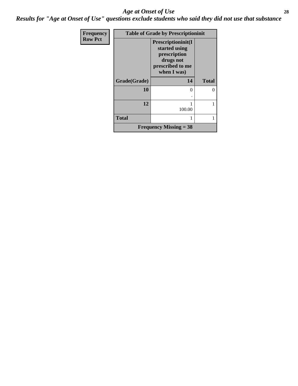#### *Age at Onset of Use* **28**

*Results for "Age at Onset of Use" questions exclude students who said they did not use that substance*

| Frequency      | <b>Table of Grade by Prescriptioninit</b> |                                                                                                     |              |  |  |  |
|----------------|-------------------------------------------|-----------------------------------------------------------------------------------------------------|--------------|--|--|--|
| <b>Row Pct</b> |                                           | Prescriptioninit(I<br>started using<br>prescription<br>drugs not<br>prescribed to me<br>when I was) |              |  |  |  |
|                | Grade(Grade)                              | 14                                                                                                  | <b>Total</b> |  |  |  |
|                | 10                                        | 0                                                                                                   | 0            |  |  |  |
|                |                                           |                                                                                                     |              |  |  |  |
|                | 12                                        | 100.00                                                                                              |              |  |  |  |
|                | <b>Total</b>                              |                                                                                                     |              |  |  |  |
|                |                                           | <b>Frequency Missing = 38</b>                                                                       |              |  |  |  |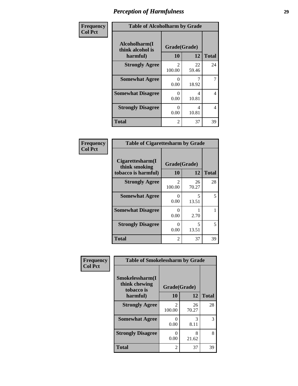| Frequency      | <b>Table of Alcoholharm by Grade</b>          |                          |             |              |  |  |
|----------------|-----------------------------------------------|--------------------------|-------------|--------------|--|--|
| <b>Col Pct</b> | Alcoholharm(I<br>think alcohol is<br>harmful) | Grade(Grade)<br>10       | 12          | <b>Total</b> |  |  |
|                | <b>Strongly Agree</b>                         | $\mathfrak{D}$<br>100.00 | 22<br>59.46 | 24           |  |  |
|                | <b>Somewhat Agree</b>                         | 0<br>0.00                | 18.92       | 7            |  |  |
|                | <b>Somewhat Disagree</b>                      | $\Omega$<br>0.00         | 4<br>10.81  | 4            |  |  |
|                | <b>Strongly Disagree</b>                      | $\Omega$<br>0.00         | 4<br>10.81  | 4            |  |  |
|                | Total                                         | $\overline{2}$           | 37          | 39           |  |  |

#### **Frequency Col Pct**

| <b>Table of Cigarettesharm by Grade</b>                  |                    |              |    |  |  |  |
|----------------------------------------------------------|--------------------|--------------|----|--|--|--|
| Cigarettesharm(I<br>think smoking<br>tobacco is harmful) | Grade(Grade)<br>10 | <b>Total</b> |    |  |  |  |
| <b>Strongly Agree</b>                                    | 2<br>100.00        | 26<br>70.27  | 28 |  |  |  |
| <b>Somewhat Agree</b>                                    | $_{0}$<br>0.00     | 5<br>13.51   | 5  |  |  |  |
| <b>Somewhat Disagree</b>                                 | 0<br>0.00          | 2.70         |    |  |  |  |
| <b>Strongly Disagree</b>                                 | 0<br>0.00          | 5<br>13.51   | 5  |  |  |  |
| <b>Total</b>                                             | 2                  | 37           | 39 |  |  |  |

|              |             |                          | <b>Table of Smokelessharm by Grade</b>         | Frequency      |
|--------------|-------------|--------------------------|------------------------------------------------|----------------|
|              |             | Grade(Grade)             | Smokelessharm(I<br>think chewing<br>tobacco is | <b>Col Pct</b> |
| <b>Total</b> | 12          | 10                       | harmful)                                       |                |
| 28           | 26<br>70.27 | $\mathfrak{D}$<br>100.00 | <b>Strongly Agree</b>                          |                |
| 3            | 3<br>8.11   | 0<br>0.00                | <b>Somewhat Agree</b>                          |                |
| 8            | 8<br>21.62  | 0<br>0.00                | <b>Strongly Disagree</b>                       |                |
| 39           | 37          | $\overline{2}$           | <b>Total</b>                                   |                |
|              |             |                          |                                                |                |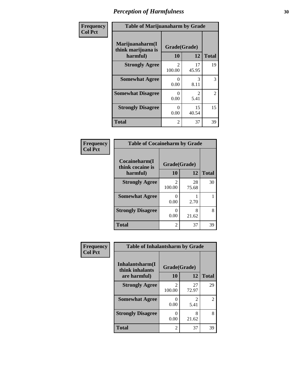| Frequency      | <b>Table of Marijuanaharm by Grade</b>            |                          |             |              |
|----------------|---------------------------------------------------|--------------------------|-------------|--------------|
| <b>Col Pct</b> | Marijuanaharm(I<br>think marijuana is<br>harmful) | Grade(Grade)<br>10       | 12          | <b>Total</b> |
|                | <b>Strongly Agree</b>                             | $\mathfrak{D}$<br>100.00 | 17<br>45.95 | 19           |
|                | <b>Somewhat Agree</b>                             | 0<br>0.00                | 3<br>8.11   | 3            |
|                | <b>Somewhat Disagree</b>                          | 0<br>0.00                | 2<br>5.41   | 2            |
|                | <b>Strongly Disagree</b>                          | 0<br>0.00                | 15<br>40.54 | 15           |
|                | <b>Total</b>                                      | $\overline{2}$           | 37          | 39           |

#### **Frequency Col Pct**

| <b>Table of Cocaineharm by Grade</b> |                         |             |              |  |  |
|--------------------------------------|-------------------------|-------------|--------------|--|--|
| Cocaineharm(I<br>think cocaine is    | Grade(Grade)            |             |              |  |  |
| harmful)                             | 10                      | 12          | <b>Total</b> |  |  |
| <b>Strongly Agree</b>                | $\mathcal{L}$<br>100.00 | 28<br>75.68 | 30           |  |  |
| <b>Somewhat Agree</b>                | 0<br>0.00               | 2.70        |              |  |  |
| <b>Strongly Disagree</b>             | 0<br>0.00               | 8<br>21.62  | 8            |  |  |
| <b>Total</b>                         | 2                       | 37          | 39           |  |  |

#### **Frequency Col Pct**

| <b>Table of Inhalantsharm by Grade</b> |              |              |                             |  |  |
|----------------------------------------|--------------|--------------|-----------------------------|--|--|
| Inhalantsharm(I<br>think inhalants     | Grade(Grade) |              |                             |  |  |
| are harmful)                           | 10           | <b>Total</b> |                             |  |  |
| <b>Strongly Agree</b>                  | 2<br>100.00  | 27<br>72.97  | 29                          |  |  |
| <b>Somewhat Agree</b>                  | 0<br>0.00    | 2<br>5.41    | $\mathcal{D}_{\mathcal{L}}$ |  |  |
| <b>Strongly Disagree</b>               | 0<br>0.00    | 8<br>21.62   | 8                           |  |  |
| Total                                  | 2            | 37           |                             |  |  |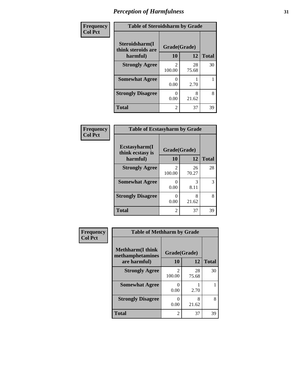| Frequency      | <b>Table of Steroidsharm by Grade</b> |                           |             |              |
|----------------|---------------------------------------|---------------------------|-------------|--------------|
| <b>Col Pct</b> | Steroidsharm(I<br>think steroids are  | Grade(Grade)              |             |              |
|                | harmful)                              | 10                        | 12          | <b>Total</b> |
|                | <b>Strongly Agree</b>                 | 100.00                    | 28<br>75.68 | 30           |
|                | <b>Somewhat Agree</b>                 | $\mathbf{\Omega}$<br>0.00 | 2.70        |              |
|                | <b>Strongly Disagree</b>              | 0.00                      | 8<br>21.62  | 8            |
|                | <b>Total</b>                          | 2                         | 37          | 39           |

| Frequency      | <b>Table of Ecstasyharm by Grade</b> |                           |             |              |
|----------------|--------------------------------------|---------------------------|-------------|--------------|
| <b>Col Pct</b> | Ecstasyharm(I<br>think ecstasy is    | Grade(Grade)              |             |              |
|                | harmful)                             |                           | 12          | <b>Total</b> |
|                | <b>Strongly Agree</b>                | $\mathfrak{D}$<br>100.00  | 26<br>70.27 | 28           |
|                | <b>Somewhat Agree</b>                | $\Omega$<br>0.00          | 3<br>8.11   | 3            |
|                | <b>Strongly Disagree</b>             | $\mathbf{\Omega}$<br>0.00 | 8<br>21.62  | 8            |
|                | <b>Total</b>                         | 2                         | 37          | 39           |

| Frequency      | <b>Table of Methharm by Grade</b>            |                          |             |              |
|----------------|----------------------------------------------|--------------------------|-------------|--------------|
| <b>Col Pct</b> | <b>Methharm</b> (I think<br>methamphetamines | Grade(Grade)             |             |              |
|                | are harmful)                                 | 10                       | 12          | <b>Total</b> |
|                | <b>Strongly Agree</b>                        | $\mathfrak{D}$<br>100.00 | 28<br>75.68 | 30           |
|                | <b>Somewhat Agree</b>                        | 0<br>0.00                | 2.70        |              |
|                | <b>Strongly Disagree</b>                     | 0<br>0.00                | 8<br>21.62  | 8            |
|                | <b>Total</b>                                 | $\overline{c}$           | 37          | 39           |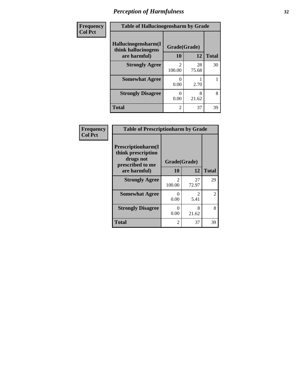| Frequency      | <b>Table of Hallucinogensharm by Grade</b> |                          |             |              |
|----------------|--------------------------------------------|--------------------------|-------------|--------------|
| <b>Col Pct</b> | Hallucinogensharm(I<br>think hallucinogens | Grade(Grade)             |             |              |
|                | are harmful)                               | 10                       | 12          | <b>Total</b> |
|                | <b>Strongly Agree</b>                      | $\mathfrak{D}$<br>100.00 | 28<br>75.68 | 30           |
|                | <b>Somewhat Agree</b>                      | 0.00                     | 2.70        |              |
|                | <b>Strongly Disagree</b>                   | 0.00                     | 8<br>21.62  | 8            |
|                | <b>Total</b>                               | $\overline{c}$           | 37          | 39           |

| Frequency      | <b>Table of Prescriptionharm by Grade</b>                                                 |                          |                        |              |
|----------------|-------------------------------------------------------------------------------------------|--------------------------|------------------------|--------------|
| <b>Col Pct</b> | Prescriptionharm(I<br>think prescription<br>drugs not<br>prescribed to me<br>are harmful) | Grade(Grade)<br>10<br>12 |                        | <b>Total</b> |
|                |                                                                                           |                          |                        |              |
|                | <b>Strongly Agree</b>                                                                     | $\mathfrak{D}$<br>100.00 | 27<br>72.97            | 29           |
|                | <b>Somewhat Agree</b>                                                                     | 0<br>0.00                | $\mathfrak{D}$<br>5.41 | 2            |
|                | <b>Strongly Disagree</b>                                                                  | 0<br>0.00                | 8<br>21.62             | 8            |
|                | <b>Total</b>                                                                              | $\overline{c}$           | 37                     | 39           |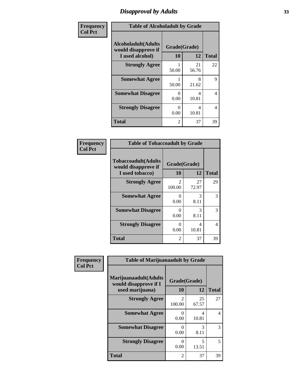### *Disapproval by Adults* **33**

| Frequency      |                                                                       | <b>Table of Alcoholadult by Grade</b> |             |              |  |
|----------------|-----------------------------------------------------------------------|---------------------------------------|-------------|--------------|--|
| <b>Col Pct</b> | <b>Alcoholadult</b> (Adults<br>would disapprove if<br>I used alcohol) | Grade(Grade)<br>10                    | 12          | <b>Total</b> |  |
|                | <b>Strongly Agree</b>                                                 | 50.00                                 | 21<br>56.76 | 22           |  |
|                | <b>Somewhat Agree</b>                                                 | 50.00                                 | 8<br>21.62  | 9            |  |
|                | <b>Somewhat Disagree</b>                                              | 0<br>0.00                             | 4<br>10.81  | 4            |  |
|                | <b>Strongly Disagree</b>                                              | 0<br>0.00                             | 4<br>10.81  | 4            |  |
|                | <b>Total</b>                                                          | $\overline{2}$                        | 37          | 39           |  |

#### **Frequency Col Pct**

| <b>Table of Tobaccoadult by Grade</b>                                 |                          |             |    |  |  |
|-----------------------------------------------------------------------|--------------------------|-------------|----|--|--|
| <b>Tobaccoadult</b> (Adults<br>would disapprove if<br>I used tobacco) | Grade(Grade)<br>10<br>12 |             |    |  |  |
| <b>Strongly Agree</b>                                                 | $\mathcal{L}$<br>100.00  | 27<br>72.97 | 29 |  |  |
| <b>Somewhat Agree</b>                                                 | 0<br>0.00                | 3<br>8.11   | 3  |  |  |
| <b>Somewhat Disagree</b>                                              | 0.00                     | 3<br>8.11   | 3  |  |  |
| <b>Strongly Disagree</b>                                              | 0.00                     | Δ<br>10.81  | 4  |  |  |
| <b>Total</b>                                                          | 2                        | 37          | 39 |  |  |

| Frequency      | <b>Table of Marijuanaadult by Grade</b>                           |                          |             |                          |
|----------------|-------------------------------------------------------------------|--------------------------|-------------|--------------------------|
| <b>Col Pct</b> | Marijuanaadult(Adults<br>would disapprove if I<br>used marijuana) | Grade(Grade)<br>10       | 12          | <b>Total</b>             |
|                | <b>Strongly Agree</b>                                             | $\mathfrak{D}$<br>100.00 | 25<br>67.57 | 27                       |
|                | <b>Somewhat Agree</b>                                             | $\mathbf{0}$<br>0.00     | 4<br>10.81  | $\overline{\mathcal{A}}$ |
|                | <b>Somewhat Disagree</b>                                          | 0<br>0.00                | 3<br>8.11   | 3                        |
|                | <b>Strongly Disagree</b>                                          | 0<br>0.00                | 5<br>13.51  | 5                        |
|                | <b>Total</b>                                                      | 2                        | 37          | 39                       |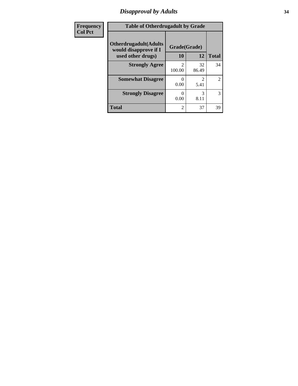### *Disapproval by Adults* **34**

| Frequency      | <b>Table of Otherdrugadult by Grade</b>                                     |                    |             |                |
|----------------|-----------------------------------------------------------------------------|--------------------|-------------|----------------|
| <b>Col Pct</b> | <b>Otherdrugadult</b> (Adults<br>would disapprove if I<br>used other drugs) | Grade(Grade)<br>10 | 12          | <b>Total</b>   |
|                | <b>Strongly Agree</b>                                                       | 100.00             | 32<br>86.49 | 34             |
|                | <b>Somewhat Disagree</b>                                                    | 0.00               | 5.41        | $\overline{2}$ |
|                | <b>Strongly Disagree</b>                                                    | 0.00               | 3<br>8.11   | 3              |
|                | <b>Total</b>                                                                | $\mathfrak{D}$     | 37          | 39             |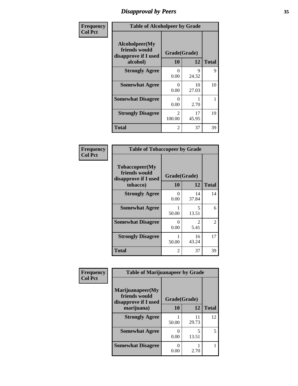### *Disapproval by Peers* **35**

| Frequency      | <b>Table of Alcoholpeer by Grade</b>                    |                           |             |              |
|----------------|---------------------------------------------------------|---------------------------|-------------|--------------|
| <b>Col Pct</b> | Alcoholpeer(My<br>friends would<br>disapprove if I used | Grade(Grade)<br>10        |             |              |
|                | alcohol)                                                |                           | 12          | <b>Total</b> |
|                | <b>Strongly Agree</b>                                   | ∩<br>0.00                 | 9<br>24.32  | 9            |
|                | <b>Somewhat Agree</b>                                   | $\mathbf{0}$<br>0.00      | 10<br>27.03 | 10           |
|                | <b>Somewhat Disagree</b>                                | $\mathbf{\Omega}$<br>0.00 | 2.70        |              |
|                | <b>Strongly Disagree</b>                                | $\mathfrak{D}$<br>100.00  | 17<br>45.95 | 19           |
|                | Total                                                   | 2                         | 37          | 39           |

| Frequency      | <b>Table of Tobaccopeer by Grade</b>                                |                           |             |              |
|----------------|---------------------------------------------------------------------|---------------------------|-------------|--------------|
| <b>Col Pct</b> | Tobaccopeer(My<br>friends would<br>disapprove if I used<br>tobacco) | Grade(Grade)<br><b>10</b> | 12          | <b>Total</b> |
|                | <b>Strongly Agree</b>                                               | 0<br>0.00                 | 14<br>37.84 | 14           |
|                | <b>Somewhat Agree</b>                                               | 50.00                     | 5<br>13.51  | 6            |
|                | <b>Somewhat Disagree</b>                                            | 0<br>0.00                 | 2<br>5.41   | 2            |
|                | <b>Strongly Disagree</b>                                            | 50.00                     | 16<br>43.24 | 17           |
|                | <b>Total</b>                                                        | 2                         | 37          | 39           |

| Frequency      | <b>Table of Marijuanapeer by Grade</b>                    |              |             |              |
|----------------|-----------------------------------------------------------|--------------|-------------|--------------|
| <b>Col Pct</b> | Marijuanapeer(My<br>friends would<br>disapprove if I used | Grade(Grade) |             |              |
|                | marijuana)                                                | 10           | 12          | <b>Total</b> |
|                | <b>Strongly Agree</b>                                     | 50.00        | 11<br>29.73 | 12           |
|                | <b>Somewhat Agree</b>                                     | 0.00         | 5<br>13.51  | 5            |
|                | <b>Somewhat Disagree</b>                                  | 0.00         | 2.70        |              |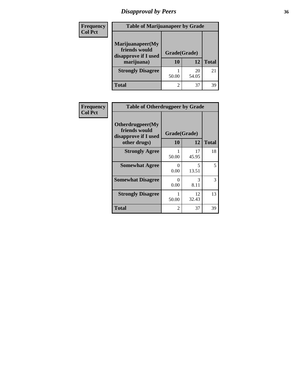### *Disapproval by Peers* **36**

| <b>Frequency</b> | <b>Table of Marijuanapeer by Grade</b>                                  |                    |             |              |
|------------------|-------------------------------------------------------------------------|--------------------|-------------|--------------|
| <b>Col Pct</b>   | Marijuanapeer(My<br>friends would<br>disapprove if I used<br>marijuana) | Grade(Grade)<br>10 | 12          | <b>Total</b> |
|                  | <b>Strongly Disagree</b>                                                | 50.00              | 20<br>54.05 | 21           |
|                  | <b>Total</b>                                                            |                    | 37          | 39           |

| <b>Frequency</b> | <b>Table of Otherdrugpeer by Grade</b>                                    |                                 |             |              |
|------------------|---------------------------------------------------------------------------|---------------------------------|-------------|--------------|
| <b>Col Pct</b>   | Otherdrugpeer(My<br>friends would<br>disapprove if I used<br>other drugs) | Grade(Grade)<br>12<br><b>10</b> |             | <b>Total</b> |
|                  | <b>Strongly Agree</b>                                                     | 50.00                           | 17<br>45.95 | 18           |
|                  | <b>Somewhat Agree</b>                                                     | $\Omega$<br>0.00                | 5<br>13.51  | 5            |
|                  | <b>Somewhat Disagree</b>                                                  | 0<br>0.00                       | 3<br>8.11   | 3            |
|                  | <b>Strongly Disagree</b>                                                  | 50.00                           | 12<br>32.43 | 13           |
|                  | Total                                                                     | 2                               | 37          | 39           |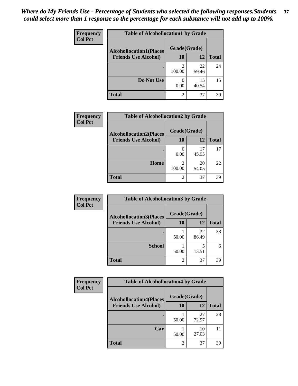| Frequency<br><b>Col Pct</b> | <b>Table of Alcohollocation1 by Grade</b><br>Grade(Grade)<br><b>Alcohollocation1(Places</b> |                |             |              |
|-----------------------------|---------------------------------------------------------------------------------------------|----------------|-------------|--------------|
|                             |                                                                                             |                |             |              |
|                             | <b>Friends Use Alcohol)</b>                                                                 | 10             | 12          | <b>Total</b> |
|                             |                                                                                             | 100.00         | 22<br>59.46 | 24           |
|                             | Do Not Use                                                                                  | 0.00           | 15<br>40.54 | 15           |
|                             | <b>Total</b>                                                                                | $\overline{2}$ | 37          | 39           |

| <b>Frequency</b> | <b>Table of Alcohollocation2 by Grade</b>                     |                    |             |              |
|------------------|---------------------------------------------------------------|--------------------|-------------|--------------|
| <b>Col Pct</b>   | <b>Alcohollocation2(Places</b><br><b>Friends Use Alcohol)</b> | Grade(Grade)<br>10 | 12          | <b>Total</b> |
|                  |                                                               | 0.00               | 17<br>45.95 | 17           |
|                  | Home                                                          | っ<br>100.00        | 20<br>54.05 | 22           |
|                  | <b>Total</b>                                                  | 2                  | 37          | 39           |

| Frequency      | <b>Table of Alcohollocation 3 by Grade</b>                    |                           |             |              |
|----------------|---------------------------------------------------------------|---------------------------|-------------|--------------|
| <b>Col Pct</b> | <b>Alcohollocation3(Places</b><br><b>Friends Use Alcohol)</b> | Grade(Grade)<br><b>10</b> | 12          | <b>Total</b> |
|                |                                                               |                           |             |              |
|                |                                                               | 50.00                     | 32<br>86.49 | 33           |
|                | <b>School</b>                                                 | 50.00                     | 5<br>13.51  |              |
|                | <b>Total</b>                                                  | 2                         | 37          | 39           |

| <b>Frequency</b> | <b>Table of Alcohollocation4 by Grade</b> |              |             |              |  |
|------------------|-------------------------------------------|--------------|-------------|--------------|--|
| <b>Col Pct</b>   | <b>Alcohollocation4(Places</b>            | Grade(Grade) |             |              |  |
|                  | <b>Friends Use Alcohol)</b>               | 10           | 12          | <b>Total</b> |  |
|                  |                                           | 50.00        | 27<br>72.97 | 28           |  |
|                  | Car                                       | 50.00        | 10<br>27.03 | 11           |  |
|                  | <b>Total</b>                              | 2            | 37          | 39           |  |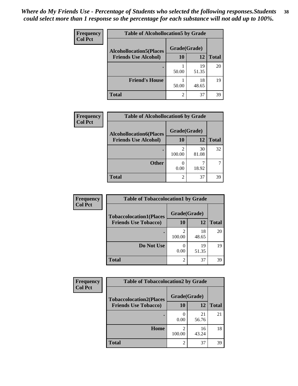| Frequency<br><b>Col Pct</b> | <b>Table of Alcohollocation5 by Grade</b> |       |             |              |  |
|-----------------------------|-------------------------------------------|-------|-------------|--------------|--|
|                             | <b>Alcohollocation5(Places</b>            |       |             |              |  |
|                             | <b>Friends Use Alcohol)</b>               | 10    | 12          | <b>Total</b> |  |
|                             |                                           | 50.00 | 19<br>51.35 | 20           |  |
|                             | <b>Friend's House</b>                     | 50.00 | 18<br>48.65 | 19           |  |
|                             | <b>Total</b>                              | 2     | 37          | 39           |  |

| <b>Frequency</b> | <b>Table of Alcohollocation6 by Grade</b> |               |             |              |
|------------------|-------------------------------------------|---------------|-------------|--------------|
| <b>Col Pct</b>   | <b>Alcohollocation6(Places</b>            | Grade(Grade)  |             |              |
|                  | <b>Friends Use Alcohol)</b>               | <b>10</b>     | 12          | <b>Total</b> |
|                  |                                           | 2<br>100.00   | 30<br>81.08 | 32           |
|                  | <b>Other</b>                              | 0.00          | 18.92       |              |
|                  | <b>Total</b>                              | $\mathcal{D}$ | 37          | 39           |

| Frequency      | <b>Table of Tobaccolocation1 by Grade</b> |                |             |              |
|----------------|-------------------------------------------|----------------|-------------|--------------|
| <b>Col Pct</b> | <b>Tobaccolocation1(Places</b>            | Grade(Grade)   |             |              |
|                | <b>Friends Use Tobacco)</b>               | <b>10</b>      | 12          | <b>Total</b> |
|                |                                           | 2<br>100.00    | 18<br>48.65 | 20           |
|                | Do Not Use                                | 0.00           | 19<br>51.35 | 19           |
|                | <b>Total</b>                              | $\overline{c}$ | 37          | 39           |

| <b>Frequency</b> | <b>Table of Tobaccolocation2 by Grade</b> |                          |             |              |  |
|------------------|-------------------------------------------|--------------------------|-------------|--------------|--|
| <b>Col Pct</b>   | <b>Tobaccolocation2(Places</b>            | Grade(Grade)             |             |              |  |
|                  | <b>Friends Use Tobacco)</b>               | 10                       | 12          | <b>Total</b> |  |
|                  |                                           | 0.00                     | 21<br>56.76 | 21           |  |
|                  | Home                                      | $\overline{c}$<br>100.00 | 16<br>43.24 | 18           |  |
|                  | <b>Total</b>                              | 2                        | 37          | 39           |  |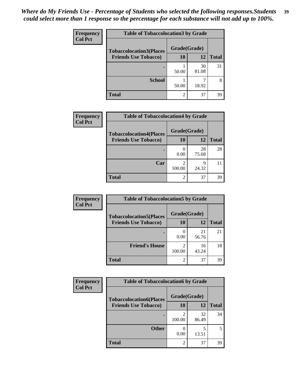| Frequency      | <b>Table of Tobaccolocation 3 by Grade</b> |                |             |              |  |
|----------------|--------------------------------------------|----------------|-------------|--------------|--|
| <b>Col Pct</b> | <b>Tobaccolocation3(Places</b>             | Grade(Grade)   |             |              |  |
|                | <b>Friends Use Tobacco)</b>                | <b>10</b>      | 12          | <b>Total</b> |  |
|                |                                            | 50.00          | 30<br>81.08 | 31           |  |
|                | <b>School</b>                              | 50.00          | 18.92       | 8            |  |
|                | <b>Total</b>                               | $\overline{2}$ | 37          | 39           |  |

| Frequency      | <b>Table of Tobaccolocation4 by Grade</b> |                          |             |              |
|----------------|-------------------------------------------|--------------------------|-------------|--------------|
| <b>Col Pct</b> | <b>Tobaccolocation4(Places</b>            | Grade(Grade)             |             |              |
|                | <b>Friends Use Tobacco)</b>               | 10                       | 12          | <b>Total</b> |
|                |                                           | 0.00                     | 28<br>75.68 | 28           |
|                | Car                                       | $\overline{c}$<br>100.00 | q<br>24.32  |              |
|                | <b>Total</b>                              | $\overline{c}$           | 37          | 39           |

| Frequency      | <b>Table of Tobaccolocation5 by Grade</b> |                |             |              |
|----------------|-------------------------------------------|----------------|-------------|--------------|
| <b>Col Pct</b> | <b>Tobaccolocation5(Places</b>            | Grade(Grade)   |             |              |
|                | <b>Friends Use Tobacco)</b>               | 10             | 12          | <b>Total</b> |
|                |                                           | 0.00           | 21<br>56.76 | 21           |
|                | <b>Friend's House</b>                     | 2<br>100.00    | 16<br>43.24 | 18           |
|                | <b>Total</b>                              | $\mathfrak{D}$ | 37          | 39           |

| <b>Frequency</b> | <b>Table of Tobaccolocation6 by Grade</b> |              |             |              |  |
|------------------|-------------------------------------------|--------------|-------------|--------------|--|
| <b>Col Pct</b>   | <b>Tobaccolocation6(Places</b>            | Grade(Grade) |             |              |  |
|                  | <b>Friends Use Tobacco)</b>               | 10           | 12          | <b>Total</b> |  |
|                  |                                           | 100.00       | 32<br>86.49 | 34           |  |
|                  | <b>Other</b>                              | 0.00         | 5<br>13.51  |              |  |
|                  | <b>Total</b>                              | 2            | 37          | 39           |  |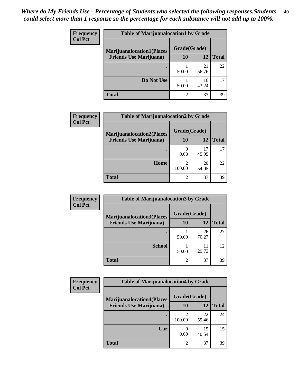| <b>Frequency</b> | <b>Table of Marijuanalocation1 by Grade</b> |                |             |              |  |
|------------------|---------------------------------------------|----------------|-------------|--------------|--|
| <b>Col Pct</b>   | <b>Marijuanalocation1(Places</b>            | Grade(Grade)   |             |              |  |
|                  | <b>Friends Use Marijuana</b> )              | 10             | 12          | <b>Total</b> |  |
|                  |                                             | 50.00          | 21<br>56.76 | 22           |  |
|                  | Do Not Use                                  | 50.00          | 16<br>43.24 | 17           |  |
|                  | Total                                       | $\mathfrak{D}$ | 37          | 39           |  |

| <b>Frequency</b> | <b>Table of Marijuanalocation2 by Grade</b>                        |                           |             |              |
|------------------|--------------------------------------------------------------------|---------------------------|-------------|--------------|
| <b>Col Pct</b>   | <b>Marijuanalocation2(Places</b><br><b>Friends Use Marijuana</b> ) | Grade(Grade)<br><b>10</b> | 12          | <b>Total</b> |
|                  |                                                                    | 0.00                      | 17<br>45.95 | 17           |
|                  | <b>Home</b>                                                        | 2<br>100.00               | 20<br>54.05 | 22           |
|                  | <b>Total</b>                                                       | 2                         | 37          | 39           |

| Frequency      | <b>Table of Marijuanalocation3 by Grade</b> |                |             |              |
|----------------|---------------------------------------------|----------------|-------------|--------------|
| <b>Col Pct</b> | <b>Marijuanalocation3</b> (Places           | Grade(Grade)   |             |              |
|                | <b>Friends Use Marijuana</b> )              | 10             | 12          | <b>Total</b> |
|                |                                             | 50.00          | 26<br>70.27 | 27           |
|                | <b>School</b>                               | 50.00          | 11<br>29.73 | 12           |
|                | <b>Total</b>                                | $\mathfrak{D}$ | 37          | 39           |

| <b>Frequency</b> | <b>Table of Marijuanalocation4 by Grade</b> |                |             |              |
|------------------|---------------------------------------------|----------------|-------------|--------------|
| <b>Col Pct</b>   | <b>Marijuanalocation4(Places</b>            | Grade(Grade)   |             |              |
|                  | <b>Friends Use Marijuana</b> )              | <b>10</b>      | 12          | <b>Total</b> |
|                  |                                             | 100.00         | 22<br>59.46 | 24           |
|                  | Car                                         | 0.00           | 15<br>40.54 | 15           |
|                  | <b>Total</b>                                | $\mathfrak{D}$ | 37          | 39           |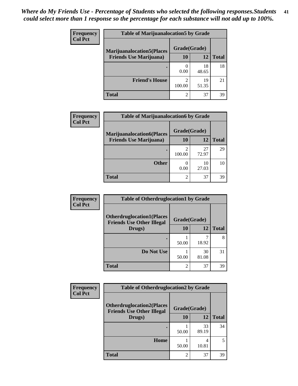| <b>Frequency</b> | <b>Table of Marijuanalocation5 by Grade</b> |              |             |              |
|------------------|---------------------------------------------|--------------|-------------|--------------|
| <b>Col Pct</b>   | <b>Marijuanalocation5(Places</b>            | Grade(Grade) |             |              |
|                  | <b>Friends Use Marijuana</b> )              | 10           | 12          | <b>Total</b> |
|                  |                                             | 0.00         | 18<br>48.65 | 18           |
|                  | <b>Friend's House</b>                       | っ<br>100.00  | 19<br>51.35 | 21           |
|                  | <b>Total</b>                                | ာ            | 37          | 39           |

| Frequency      | <b>Table of Marijuanalocation6 by Grade</b>                        |                          |             |              |
|----------------|--------------------------------------------------------------------|--------------------------|-------------|--------------|
| <b>Col Pct</b> | <b>Marijuanalocation6(Places</b><br><b>Friends Use Marijuana</b> ) | Grade(Grade)<br>10       | 12          | <b>Total</b> |
|                |                                                                    |                          |             |              |
|                |                                                                    | $\mathfrak{D}$<br>100.00 | 27<br>72.97 | 29           |
|                | <b>Other</b>                                                       | 0.00                     | 10<br>27.03 | 10           |
|                | <b>Total</b>                                                       | $\mathfrak{D}$           | 37          | 39           |

| <b>Frequency</b> | <b>Table of Otherdruglocation1 by Grade</b>                          |              |             |              |
|------------------|----------------------------------------------------------------------|--------------|-------------|--------------|
| <b>Col Pct</b>   | <b>Otherdruglocation1(Places</b><br><b>Friends Use Other Illegal</b> | Grade(Grade) |             |              |
|                  | Drugs)                                                               | 10           | 12          | <b>Total</b> |
|                  |                                                                      | 50.00        | 18.92       | 8            |
|                  | Do Not Use                                                           | 50.00        | 30<br>81.08 | 31           |
|                  | <b>Total</b>                                                         |              | 37          | 39           |

| Frequency      | <b>Table of Otherdruglocation2 by Grade</b>                          |              |             |              |
|----------------|----------------------------------------------------------------------|--------------|-------------|--------------|
| <b>Col Pct</b> | <b>Otherdruglocation2(Places</b><br><b>Friends Use Other Illegal</b> | Grade(Grade) |             |              |
|                | Drugs)                                                               | 10           | 12          | <b>Total</b> |
|                |                                                                      | 50.00        | 33<br>89.19 | 34           |
|                | Home                                                                 | 50.00        | 4<br>10.81  | 5            |
|                | <b>Total</b>                                                         | 2            | 37          | 39           |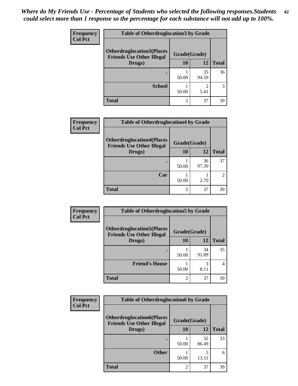| <b>Frequency</b> | <b>Table of Otherdruglocation3 by Grade</b>                          |              |                        |              |
|------------------|----------------------------------------------------------------------|--------------|------------------------|--------------|
| <b>Col Pct</b>   | <b>Otherdruglocation3(Places</b><br><b>Friends Use Other Illegal</b> | Grade(Grade) |                        |              |
|                  | Drugs)                                                               | 10           | 12                     | <b>Total</b> |
|                  |                                                                      | 50.00        | 35<br>94.59            | 36           |
|                  | <b>School</b>                                                        | 50.00        | $\mathfrak{D}$<br>5.41 | 3            |
|                  | <b>Total</b>                                                         | 2            | 37                     | 39           |

| Frequency      | <b>Table of Otherdruglocation4 by Grade</b>                          |                |             |              |
|----------------|----------------------------------------------------------------------|----------------|-------------|--------------|
| <b>Col Pct</b> | <b>Otherdruglocation4(Places</b><br><b>Friends Use Other Illegal</b> | Grade(Grade)   |             |              |
|                | Drugs)                                                               | <b>10</b>      | 12          | <b>Total</b> |
|                |                                                                      | 50.00          | 36<br>97.30 | 37           |
|                | Car                                                                  | 50.00          | 2.70        | 2            |
|                | <b>Total</b>                                                         | $\mathfrak{D}$ | 37          | 39           |

| <b>Frequency</b> | <b>Table of Otherdruglocation5 by Grade</b>                          |              |             |              |
|------------------|----------------------------------------------------------------------|--------------|-------------|--------------|
| <b>Col Pct</b>   | <b>Otherdruglocation5(Places</b><br><b>Friends Use Other Illegal</b> | Grade(Grade) |             |              |
|                  | Drugs)                                                               | <b>10</b>    | 12          | <b>Total</b> |
|                  |                                                                      | 50.00        | 34<br>91.89 | 35           |
|                  | <b>Friend's House</b>                                                | 50.00        | 3<br>8.11   |              |
|                  | <b>Total</b>                                                         | 2            | 37          | 39           |

| <b>Frequency</b> | <b>Table of Otherdruglocation6 by Grade</b>                          |                |             |              |
|------------------|----------------------------------------------------------------------|----------------|-------------|--------------|
| <b>Col Pct</b>   | <b>Otherdruglocation6(Places</b><br><b>Friends Use Other Illegal</b> | Grade(Grade)   |             |              |
|                  | Drugs)                                                               | 10             | 12          | <b>Total</b> |
|                  |                                                                      | 50.00          | 32<br>86.49 | 33           |
|                  | <b>Other</b>                                                         | 50.00          | 13.51       | 6            |
|                  | <b>Total</b>                                                         | $\mathfrak{D}$ | 37          | 39           |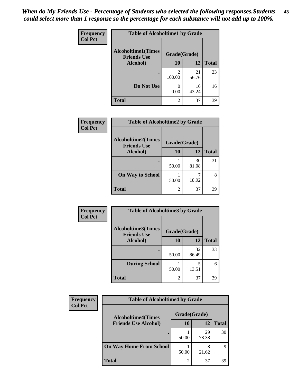| Frequency      | <b>Table of Alcoholtime1 by Grade</b>           |              |             |              |
|----------------|-------------------------------------------------|--------------|-------------|--------------|
| <b>Col Pct</b> | <b>Alcoholtime1(Times</b><br><b>Friends Use</b> | Grade(Grade) |             |              |
|                | Alcohol)                                        | 10           | 12          | <b>Total</b> |
|                |                                                 | 100.00       | 21<br>56.76 | 23           |
|                | Do Not Use                                      | 0.00         | 16<br>43.24 | 16           |
|                | <b>Total</b>                                    | 2            | 37          | 39           |

| Frequency      | <b>Table of Alcoholtime2 by Grade</b>           |                |             |              |
|----------------|-------------------------------------------------|----------------|-------------|--------------|
| <b>Col Pct</b> | <b>Alcoholtime2(Times</b><br><b>Friends Use</b> | Grade(Grade)   |             |              |
|                | Alcohol)                                        | 10             | 12          | <b>Total</b> |
|                |                                                 | 50.00          | 30<br>81.08 | 31           |
|                | <b>On Way to School</b>                         | 50.00          | 7<br>18.92  | 8            |
|                | <b>Total</b>                                    | $\mathfrak{D}$ | 37          | 39           |

| Frequency<br><b>Col Pct</b> | <b>Table of Alcoholtime3 by Grade</b>                           |                |             |              |
|-----------------------------|-----------------------------------------------------------------|----------------|-------------|--------------|
|                             | <b>Alcoholtime3(Times</b><br>Grade(Grade)<br><b>Friends Use</b> |                |             |              |
|                             | Alcohol)                                                        | 10             | 12          | <b>Total</b> |
|                             |                                                                 | 50.00          | 32<br>86.49 | 33           |
|                             | <b>During School</b>                                            | 50.00          | 5<br>13.51  | 6            |
|                             | <b>Total</b>                                                    | $\mathfrak{D}$ | 37          | 39           |

| <b>Frequency</b><br><b>Col Pct</b> | <b>Table of Alcoholtime4 by Grade</b> |              |             |              |
|------------------------------------|---------------------------------------|--------------|-------------|--------------|
|                                    | <b>Alcoholtime4(Times</b>             | Grade(Grade) |             |              |
|                                    | <b>Friends Use Alcohol)</b>           | 10           | 12          | <b>Total</b> |
|                                    |                                       | 50.00        | 29<br>78.38 | 30           |
|                                    | <b>On Way Home From School</b>        | 50.00        | 8<br>21.62  | Q            |
|                                    | <b>Total</b>                          | ↑            | 37          | 39           |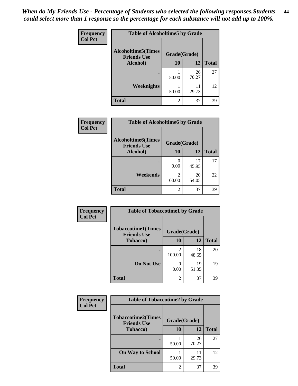| Frequency      | <b>Table of Alcoholtime5 by Grade</b>           |              |             |              |
|----------------|-------------------------------------------------|--------------|-------------|--------------|
| <b>Col Pct</b> | <b>Alcoholtime5(Times</b><br><b>Friends Use</b> | Grade(Grade) |             |              |
|                | Alcohol)                                        | <b>10</b>    | 12          | <b>Total</b> |
|                |                                                 | 50.00        | 26<br>70.27 | 27           |
|                | <b>Weeknights</b>                               | 50.00        | 11<br>29.73 | 12           |
|                | <b>Total</b>                                    | 2            | 37          | 39           |

| <b>Frequency</b> | <b>Table of Alcoholtime6 by Grade</b>           |                |             |              |
|------------------|-------------------------------------------------|----------------|-------------|--------------|
| <b>Col Pct</b>   | <b>Alcoholtime6(Times</b><br><b>Friends Use</b> | Grade(Grade)   |             |              |
|                  | Alcohol)                                        | 10             | 12          | <b>Total</b> |
|                  |                                                 | 0<br>0.00      | 17<br>45.95 | 17           |
|                  | Weekends                                        | 2<br>100.00    | 20<br>54.05 | 22           |
|                  | <b>Total</b>                                    | $\overline{2}$ | 37          | 39           |

| Frequency      | <b>Table of Tobaccotime1 by Grade</b>           |                |             |              |
|----------------|-------------------------------------------------|----------------|-------------|--------------|
| <b>Col Pct</b> | <b>Tobaccotime1(Times</b><br><b>Friends Use</b> | Grade(Grade)   |             |              |
|                | <b>Tobacco</b> )                                | 10             | 12          | <b>Total</b> |
|                | ٠                                               | っ<br>100.00    | 18<br>48.65 | 20           |
|                | Do Not Use                                      | 0.00           | 19<br>51.35 | 19           |
|                | <b>Total</b>                                    | $\overline{2}$ | 37          | 39           |

| <b>Frequency</b> | <b>Table of Tobaccotime2 by Grade</b>           |              |             |              |
|------------------|-------------------------------------------------|--------------|-------------|--------------|
| <b>Col Pct</b>   | <b>Tobaccotime2(Times</b><br><b>Friends Use</b> | Grade(Grade) |             |              |
|                  | Tobacco)                                        | <b>10</b>    | 12          | <b>Total</b> |
|                  |                                                 | 50.00        | 26<br>70.27 | 27           |
|                  | <b>On Way to School</b>                         | 50.00        | 11<br>29.73 | 12           |
|                  | <b>Total</b>                                    | 2            | 37          | 39           |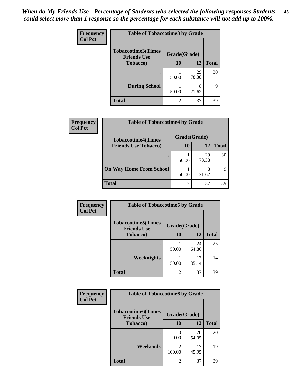| <b>Frequency</b> | <b>Table of Tobaccotime3 by Grade</b>           |                |             |              |
|------------------|-------------------------------------------------|----------------|-------------|--------------|
| <b>Col Pct</b>   | <b>Tobaccotime3(Times</b><br><b>Friends Use</b> | Grade(Grade)   |             |              |
|                  | <b>Tobacco</b> )                                | 10             | 12          | <b>Total</b> |
|                  | ٠                                               | 50.00          | 29<br>78.38 | 30           |
|                  | <b>During School</b>                            | 50.00          | 8<br>21.62  | q            |
|                  | <b>Total</b>                                    | $\mathfrak{D}$ | 37          | 39           |

| Frequency<br><b>Col Pct</b> | <b>Table of Tobaccotime4 by Grade</b> |                |             |              |
|-----------------------------|---------------------------------------|----------------|-------------|--------------|
|                             | <b>Tobaccotime4(Times</b>             | Grade(Grade)   |             |              |
|                             | <b>Friends Use Tobacco)</b>           | 10             | 12          | <b>Total</b> |
|                             |                                       | 50.00          | 29<br>78.38 | 30           |
|                             | <b>On Way Home From School</b>        | 50.00          | 8<br>21.62  | 9            |
|                             | <b>Total</b>                          | $\overline{2}$ | 37          | 39           |

| <b>Frequency</b> | <b>Table of Tobaccotime5 by Grade</b>           |                |             |              |
|------------------|-------------------------------------------------|----------------|-------------|--------------|
| <b>Col Pct</b>   | <b>Tobaccotime5(Times</b><br><b>Friends Use</b> | Grade(Grade)   |             |              |
|                  | <b>Tobacco</b> )                                | 10             | 12          | <b>Total</b> |
|                  |                                                 | 50.00          | 24<br>64.86 | 25           |
|                  | Weeknights                                      | 50.00          | 13<br>35.14 | 14           |
|                  | <b>Total</b>                                    | $\mathfrak{D}$ | 37          | 39           |

| Frequency<br><b>Col Pct</b> | <b>Table of Tobaccotime6 by Grade</b>                           |                          |             |              |
|-----------------------------|-----------------------------------------------------------------|--------------------------|-------------|--------------|
|                             | <b>Tobaccotime6(Times</b><br>Grade(Grade)<br><b>Friends Use</b> |                          |             |              |
|                             | <b>Tobacco</b> )                                                | <b>10</b>                | 12          | <b>Total</b> |
|                             |                                                                 | $\mathcal{L}$<br>0.00    | 20<br>54.05 | 20           |
|                             | Weekends                                                        | $\mathfrak{D}$<br>100.00 | 17<br>45.95 | 19           |
|                             | <b>Total</b>                                                    | $\mathfrak{D}$           | 37          | 39           |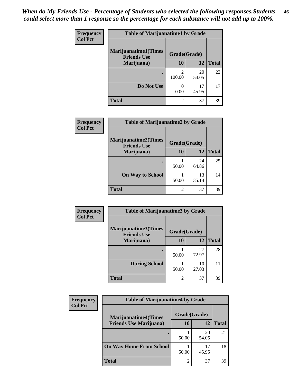| Frequency      | <b>Table of Marijuanatime1 by Grade</b>           |                          |             |              |
|----------------|---------------------------------------------------|--------------------------|-------------|--------------|
| <b>Col Pct</b> | <b>Marijuanatime1(Times</b><br><b>Friends Use</b> | Grade(Grade)             |             |              |
|                | Marijuana)                                        | 10                       | 12          | <b>Total</b> |
|                |                                                   | $\mathfrak{D}$<br>100.00 | 20<br>54.05 | 22           |
|                | Do Not Use                                        | 0.00                     | 17<br>45.95 | 17           |
|                | <b>Total</b>                                      | $\overline{2}$           | 37          | 39           |

| <b>Frequency</b> |                                                   |                | <b>Table of Marijuanatime2 by Grade</b> |              |  |
|------------------|---------------------------------------------------|----------------|-----------------------------------------|--------------|--|
| <b>Col Pct</b>   | <b>Marijuanatime2(Times</b><br><b>Friends Use</b> | Grade(Grade)   |                                         |              |  |
|                  | Marijuana)                                        | 10             | 12                                      | <b>Total</b> |  |
|                  |                                                   | 50.00          | 24<br>64.86                             | 25           |  |
|                  | <b>On Way to School</b>                           | 50.00          | 13<br>35.14                             | 14           |  |
|                  | <b>Total</b>                                      | $\overline{c}$ | 37                                      | 39           |  |

| Frequency      | <b>Table of Marijuanatime3 by Grade</b>    |                |             |              |
|----------------|--------------------------------------------|----------------|-------------|--------------|
| <b>Col Pct</b> | Marijuanatime3(Times<br><b>Friends Use</b> | Grade(Grade)   |             |              |
|                | Marijuana)                                 | 10             | 12          | <b>Total</b> |
|                |                                            | 50.00          | 27<br>72.97 | 28           |
|                | <b>During School</b>                       | 50.00          | 10<br>27.03 | 11           |
|                | <b>Total</b>                               | $\overline{c}$ | 37          | 39           |

| <b>Frequency</b><br><b>Col Pct</b> | <b>Table of Marijuanatime4 by Grade</b> |                |             |       |
|------------------------------------|-----------------------------------------|----------------|-------------|-------|
|                                    | <b>Marijuanatime4(Times</b>             | Grade(Grade)   |             |       |
|                                    | <b>Friends Use Marijuana</b> )          | 10             | 12          | Total |
|                                    |                                         | 50.00          | 20<br>54.05 | 21    |
|                                    | <b>On Way Home From School</b>          | 50.00          | 17<br>45.95 | 18    |
|                                    | <b>Total</b>                            | $\mathfrak{D}$ | 37          | 39    |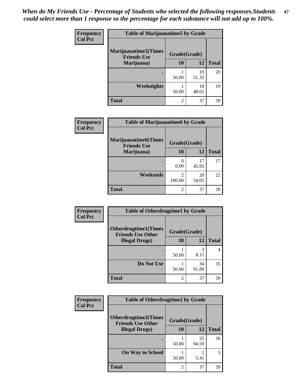| Frequency      | <b>Table of Marijuanatime5 by Grade</b>            |              |             |              |
|----------------|----------------------------------------------------|--------------|-------------|--------------|
| <b>Col Pct</b> | <b>Marijuanatime5</b> (Times<br><b>Friends Use</b> | Grade(Grade) |             |              |
|                | Marijuana)                                         | 10           | 12          | <b>Total</b> |
|                |                                                    | 50.00        | 19<br>51.35 | 20           |
|                | Weeknights                                         | 50.00        | 18<br>48.65 | 19           |
|                | <b>Total</b>                                       | 2            | 37          | 39           |

| <b>Frequency</b><br><b>Col Pct</b> | <b>Table of Marijuanatime6 by Grade</b>            |                          |             |              |
|------------------------------------|----------------------------------------------------|--------------------------|-------------|--------------|
|                                    | <b>Marijuanatime6</b> (Times<br><b>Friends Use</b> | Grade(Grade)             |             |              |
|                                    | Marijuana)                                         | 10                       | 12          | <b>Total</b> |
|                                    |                                                    | 0<br>0.00                | 17<br>45.95 | 17           |
|                                    | Weekends                                           | $\mathfrak{D}$<br>100.00 | 20<br>54.05 | 22           |
|                                    | <b>Total</b>                                       | $\overline{c}$           | 37          | 39           |

| Frequency      | <b>Table of Otherdrugtime1 by Grade</b>                 |              |             |              |
|----------------|---------------------------------------------------------|--------------|-------------|--------------|
| <b>Col Pct</b> | <b>Otherdrugtime1(Times</b><br><b>Friends Use Other</b> | Grade(Grade) |             |              |
|                | <b>Illegal Drugs</b> )                                  | 10           | 12          | <b>Total</b> |
|                |                                                         | 50.00        | 3<br>8.11   |              |
|                | Do Not Use                                              | 50.00        | 34<br>91.89 | 35           |
|                | <b>Total</b>                                            | 2            | 37          | 39           |

| <b>Frequency</b> | <b>Table of Otherdrugtime2 by Grade</b>                 |              |             |              |
|------------------|---------------------------------------------------------|--------------|-------------|--------------|
| <b>Col Pct</b>   | <b>Otherdrugtime2(Times</b><br><b>Friends Use Other</b> | Grade(Grade) |             |              |
|                  | <b>Illegal Drugs</b> )                                  | 10           | 12          | <b>Total</b> |
|                  |                                                         | 50.00        | 35<br>94.59 | 36           |
|                  | <b>On Way to School</b>                                 | 50.00        | 2<br>5.41   | 3            |
|                  | <b>Total</b>                                            | 2            | 37          | 39           |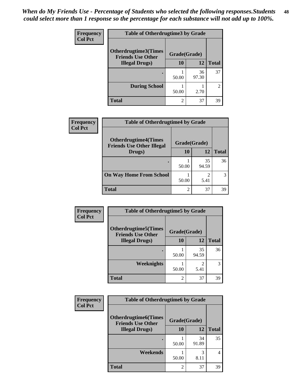| <b>Frequency</b> | <b>Table of Otherdrugtime3 by Grade</b>          |                |             |                |
|------------------|--------------------------------------------------|----------------|-------------|----------------|
| <b>Col Pct</b>   | Otherdrugtime3(Times<br><b>Friends Use Other</b> | Grade(Grade)   |             |                |
|                  | <b>Illegal Drugs</b> )                           | 10             | 12          | <b>Total</b>   |
|                  |                                                  | 50.00          | 36<br>97.30 | 37             |
|                  | <b>During School</b>                             | 50.00          | 2.70        | $\mathfrak{D}$ |
|                  | <b>Total</b>                                     | $\overline{c}$ | 37          | 39             |

| Frequency      | <b>Table of Otherdrugtime4 by Grade</b>                         |                |             |              |
|----------------|-----------------------------------------------------------------|----------------|-------------|--------------|
| <b>Col Pct</b> | <b>Otherdrugtime4(Times</b><br><b>Friends Use Other Illegal</b> | Grade(Grade)   |             |              |
|                | Drugs)                                                          | 10             | 12          | <b>Total</b> |
|                | ٠                                                               | 50.00          | 35<br>94.59 | 36           |
|                | <b>On Way Home From School</b>                                  | 50.00          | 5.41        |              |
|                | <b>Total</b>                                                    | $\mathfrak{D}$ | 37          | 39           |

| <b>Frequency</b> | <b>Table of Otherdrugtime5 by Grade</b>                  |                |                        |              |
|------------------|----------------------------------------------------------|----------------|------------------------|--------------|
| <b>Col Pct</b>   | <b>Otherdrugtime5</b> (Times<br><b>Friends Use Other</b> | Grade(Grade)   |                        |              |
|                  | <b>Illegal Drugs</b> )                                   | 10             | 12                     | <b>Total</b> |
|                  |                                                          | 50.00          | 35<br>94.59            | 36           |
|                  | Weeknights                                               | 50.00          | $\mathfrak{D}$<br>5.41 | 3            |
|                  | Total                                                    | $\overline{c}$ | 37                     | 39           |

| Frequency      | <b>Table of Otherdrugtime6 by Grade</b>                 |                |             |                |
|----------------|---------------------------------------------------------|----------------|-------------|----------------|
| <b>Col Pct</b> | <b>Otherdrugtime6(Times</b><br><b>Friends Use Other</b> | Grade(Grade)   |             |                |
|                | <b>Illegal Drugs</b> )                                  | 10             | 12          | <b>Total</b>   |
|                |                                                         | 50.00          | 34<br>91.89 | 35             |
|                | Weekends                                                | 50.00          | 3<br>8.11   | $\overline{4}$ |
|                | Total                                                   | $\mathfrak{D}$ | 37          | 39             |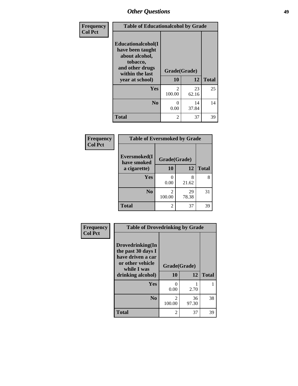| Frequency<br><b>Col Pct</b> | <b>Table of Educationalcohol by Grade</b>                                                                  |                |             |              |  |  |  |
|-----------------------------|------------------------------------------------------------------------------------------------------------|----------------|-------------|--------------|--|--|--|
|                             | Educationalcohol(I<br>have been taught<br>about alcohol,<br>tobacco,<br>and other drugs<br>within the last | Grade(Grade)   |             |              |  |  |  |
|                             | year at school)                                                                                            | 10             | 12          | <b>Total</b> |  |  |  |
|                             | Yes                                                                                                        | 2<br>100.00    | 23<br>62.16 | 25           |  |  |  |
|                             | N <sub>0</sub>                                                                                             | 0<br>0.00      | 14<br>37.84 | 14           |  |  |  |
|                             | <b>Total</b>                                                                                               | $\overline{c}$ | 37          | 39           |  |  |  |

| Frequency      | <b>Table of Eversmoked by Grade</b> |                                    |             |              |  |  |
|----------------|-------------------------------------|------------------------------------|-------------|--------------|--|--|
| <b>Col Pct</b> | Eversmoked(I<br>have smoked         | Grade(Grade)                       |             |              |  |  |
|                | a cigarette)                        | 10<br>12                           |             | <b>Total</b> |  |  |
|                | Yes                                 | 0.00                               | 8<br>21.62  | 8            |  |  |
|                | N <sub>0</sub>                      | $\overline{\mathcal{L}}$<br>100.00 | 29<br>78.38 | 31           |  |  |
|                | <b>Total</b>                        | 2                                  | 37          | 39           |  |  |

| Frequency      | <b>Table of Drovedrinking by Grade</b>                                                                              |                    |             |              |
|----------------|---------------------------------------------------------------------------------------------------------------------|--------------------|-------------|--------------|
| <b>Col Pct</b> | Drovedrinking(In<br>the past 30 days I<br>have driven a car<br>or other vehicle<br>while I was<br>drinking alcohol) | Grade(Grade)<br>10 | 12          | <b>Total</b> |
|                | Yes                                                                                                                 | 0<br>0.00          | 2.70        |              |
|                | N <sub>0</sub>                                                                                                      | 2<br>100.00        | 36<br>97.30 | 38           |
|                | <b>Total</b>                                                                                                        | 2                  | 37          | 39           |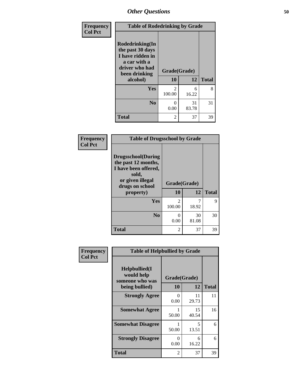| <b>Frequency</b><br><b>Col Pct</b> | <b>Table of Rodedrinking by Grade</b>                                                                                  |                          |             |              |  |
|------------------------------------|------------------------------------------------------------------------------------------------------------------------|--------------------------|-------------|--------------|--|
|                                    | Rodedrinking(In<br>the past 30 days<br>I have ridden in<br>a car with a<br>driver who had<br>been drinking<br>alcohol) | Grade(Grade)<br>10       | 12          | <b>Total</b> |  |
|                                    | <b>Yes</b>                                                                                                             | $\mathfrak{D}$<br>100.00 | 6<br>16.22  | 8            |  |
|                                    | N <sub>0</sub>                                                                                                         | 0<br>0.00                | 31<br>83.78 | 31           |  |
|                                    | <b>Total</b>                                                                                                           | 2                        | 37          | 39           |  |

### **Frequency Col Pct**

|                                                                                                                           | <b>Table of Drugsschool by Grade</b> |             |              |  |  |  |  |  |
|---------------------------------------------------------------------------------------------------------------------------|--------------------------------------|-------------|--------------|--|--|--|--|--|
| <b>Drugsschool</b> (During<br>the past 12 months,<br>I have been offered,<br>sold,<br>or given illegal<br>drugs on school | Grade(Grade)                         |             |              |  |  |  |  |  |
| property)                                                                                                                 | 10                                   | 12          | <b>Total</b> |  |  |  |  |  |
| Yes                                                                                                                       | 2<br>100.00                          | 18.92       | Q            |  |  |  |  |  |
| N <sub>0</sub>                                                                                                            | 0                                    |             |              |  |  |  |  |  |
|                                                                                                                           | 0.00                                 | 30<br>81.08 | 30           |  |  |  |  |  |
| <b>Total</b>                                                                                                              | 2                                    | 37          | 39           |  |  |  |  |  |

| Frequency      | <b>Table of Helpbullied by Grade</b>                                   |                           |                    |              |  |  |
|----------------|------------------------------------------------------------------------|---------------------------|--------------------|--------------|--|--|
| <b>Col Pct</b> | $Helpb$ ullied $(I$<br>would help<br>someone who was<br>being bullied) | <b>10</b>                 | Grade(Grade)<br>12 | <b>Total</b> |  |  |
|                |                                                                        |                           |                    |              |  |  |
|                | <b>Strongly Agree</b>                                                  | $\mathbf{\Omega}$<br>0.00 | 11<br>29.73        | 11           |  |  |
|                | <b>Somewhat Agree</b>                                                  | 50.00                     | 15<br>40.54        | 16           |  |  |
|                | <b>Somewhat Disagree</b>                                               | 50.00                     | 5<br>13.51         | 6            |  |  |
|                | <b>Strongly Disagree</b>                                               | $\mathbf{\Omega}$<br>0.00 | 6<br>16.22         | 6            |  |  |
|                | <b>Total</b>                                                           | 2                         | 37                 | 39           |  |  |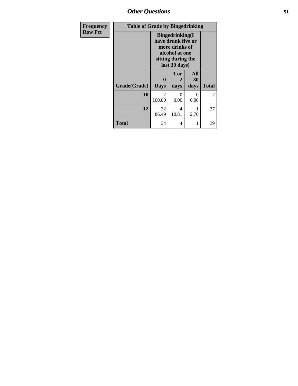*Other Questions* **51**

| <b>Frequency</b> |              | <b>Table of Grade by Bingedrinking</b>                                                                                   |                   |                          |                |  |
|------------------|--------------|--------------------------------------------------------------------------------------------------------------------------|-------------------|--------------------------|----------------|--|
| <b>Row Pct</b>   |              | <b>Bingedrinking</b> (I<br>have drunk five or<br>more drinks of<br>alcohol at one<br>sitting during the<br>last 30 days) |                   |                          |                |  |
|                  | Grade(Grade) | 0<br><b>Days</b>                                                                                                         | 1 or<br>2<br>days | <b>All</b><br>30<br>days | <b>Total</b>   |  |
|                  | 10           | $\mathfrak{D}$<br>100.00                                                                                                 | 0<br>0.00         | $\mathcal{L}$<br>0.00    | $\overline{2}$ |  |
|                  | 12           | 32<br>86.49                                                                                                              | 4<br>10.81        | 2.70                     | 37             |  |
|                  | <b>Total</b> | 34                                                                                                                       | 4                 |                          | 39             |  |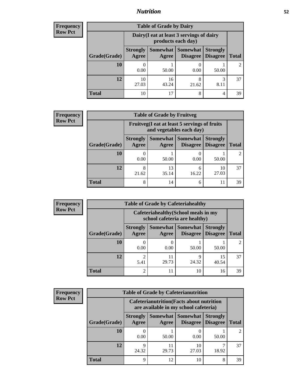### *Nutrition* **52**

| <b>Frequency</b> |
|------------------|
| <b>Row Pct</b>   |

| <b>Table of Grade by Dairy</b> |             |                                                                                                                                                                                                    |            |           |    |  |  |  |
|--------------------------------|-------------|----------------------------------------------------------------------------------------------------------------------------------------------------------------------------------------------------|------------|-----------|----|--|--|--|
|                                |             | Dairy (I eat at least 3 servings of dairy<br>products each day)<br><b>Somewhat Somewhat</b><br><b>Strongly</b><br><b>Strongly</b><br><b>Disagree</b><br>Disagree<br><b>Total</b><br>Agree<br>Agree |            |           |    |  |  |  |
| Grade(Grade)                   |             |                                                                                                                                                                                                    |            |           |    |  |  |  |
| 10                             | 0.00        | 50.00                                                                                                                                                                                              | 0.00       | 50.00     |    |  |  |  |
| 12                             | 10<br>27.03 | 16<br>43.24                                                                                                                                                                                        | 8<br>21.62 | 3<br>8.11 | 37 |  |  |  |
| <b>Total</b>                   | 10          | 17                                                                                                                                                                                                 | 8          | 4         | 39 |  |  |  |

| <b>Frequency</b> |  |
|------------------|--|
| <b>Row Pct</b>   |  |

| $\mathbf{y}$ | <b>Table of Grade by Fruitveg</b> |                          |                                                                                              |            |             |    |  |  |
|--------------|-----------------------------------|--------------------------|----------------------------------------------------------------------------------------------|------------|-------------|----|--|--|
|              |                                   |                          | Fruitveg(I eat at least 5 servings of fruits<br>and vegetables each day)                     |            |             |    |  |  |
|              | Grade(Grade)                      | <b>Strongly</b><br>Agree | Somewhat Somewhat<br><b>Strongly</b><br><b>Disagree</b><br>Disagree<br><b>Total</b><br>Agree |            |             |    |  |  |
|              | 10                                | 0.00                     | 50.00                                                                                        | 0.00       | 50.00       |    |  |  |
|              | 12                                | 8<br>21.62               | 13<br>35.14                                                                                  | 6<br>16.22 | 10<br>27.03 | 37 |  |  |
|              | <b>Total</b>                      | 8                        | 14                                                                                           | 6          |             | 39 |  |  |

| <b>Frequency</b> | <b>Table of Grade by Cafeteriahealthy</b> |                          |                                                                       |                                      |                                    |              |  |
|------------------|-------------------------------------------|--------------------------|-----------------------------------------------------------------------|--------------------------------------|------------------------------------|--------------|--|
| <b>Row Pct</b>   |                                           |                          | Cafeteriahealthy (School meals in my<br>school cafeteria are healthy) |                                      |                                    |              |  |
|                  | Grade(Grade)                              | <b>Strongly</b><br>Agree | Agree                                                                 | Somewhat Somewhat<br><b>Disagree</b> | <b>Strongly</b><br><b>Disagree</b> | <b>Total</b> |  |
|                  | 10                                        | 0.00                     | $\theta$<br>0.00                                                      | 50.00                                | 50.00                              | 2            |  |
|                  | 12                                        | ◠<br>5.41                | 11<br>29.73                                                           | 24.32                                | 15<br>40.54                        | 37           |  |
|                  | Total                                     | ◠                        | 11                                                                    | 10                                   | 16                                 | 39           |  |

| <b>Frequency</b><br>Row Pct |
|-----------------------------|

| <b>Table of Grade by Cafeterianutrition</b> |                                                                                           |                     |                             |                                    |              |  |  |
|---------------------------------------------|-------------------------------------------------------------------------------------------|---------------------|-----------------------------|------------------------------------|--------------|--|--|
|                                             | <b>Cafeterianutrition</b> (Facts about nutrition<br>are available in my school cafeteria) |                     |                             |                                    |              |  |  |
| Grade(Grade)                                | <b>Strongly</b><br>Agree                                                                  | Somewhat  <br>Agree | <b>Somewhat</b><br>Disagree | <b>Strongly</b><br><b>Disagree</b> | <b>Total</b> |  |  |
| 10                                          | 0.00                                                                                      | 50.00               | 0.00                        | 50.00                              |              |  |  |
| 12                                          | Q<br>24.32                                                                                | 29.73               | 10<br>27.03                 | 18.92                              | 37           |  |  |
| Total                                       | 9                                                                                         | 12                  | 10                          | 8                                  | 39           |  |  |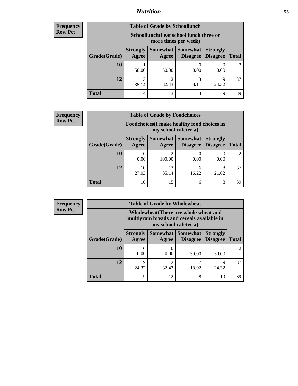### *Nutrition* **53**

| Frequency |
|-----------|
| Row Pct   |

| <b>Table of Grade by Schoollunch</b> |                                                                                                                                      |                                                                 |           |            |                |  |  |
|--------------------------------------|--------------------------------------------------------------------------------------------------------------------------------------|-----------------------------------------------------------------|-----------|------------|----------------|--|--|
|                                      |                                                                                                                                      | Schoollunch(I eat school lunch three or<br>more times per week) |           |            |                |  |  |
| Grade(Grade)                         | Somewhat  <br><b>Somewhat</b><br><b>Strongly</b><br><b>Strongly</b><br><b>Disagree</b><br>Disagree<br><b>Total</b><br>Agree<br>Agree |                                                                 |           |            |                |  |  |
| 10                                   | 50.00                                                                                                                                | 50.00                                                           | 0.00      | 0.00       | $\mathfrak{D}$ |  |  |
| 12                                   | 13<br>35.14                                                                                                                          | 12<br>32.43                                                     | 3<br>8.11 | q<br>24.32 | 37             |  |  |
| <b>Total</b>                         | 14                                                                                                                                   | 13                                                              | 3         | 9          | 39             |  |  |

| <b>Frequency</b> |  |
|------------------|--|
| <b>Row Pct</b>   |  |

| <b>Table of Grade by Foodchoices</b>                                       |                          |                     |            |                                        |              |  |  |
|----------------------------------------------------------------------------|--------------------------|---------------------|------------|----------------------------------------|--------------|--|--|
| <b>Foodchoices</b> (I make healthy food choices in<br>my school cafeteria) |                          |                     |            |                                        |              |  |  |
| Grade(Grade)                                                               | <b>Strongly</b><br>Agree | Somewhat  <br>Agree | Somewhat   | <b>Strongly</b><br>Disagree   Disagree | <b>Total</b> |  |  |
| 10                                                                         | 0.00                     | 2<br>100.00         | 0.00       | 0.00                                   |              |  |  |
| 12                                                                         | 10<br>27.03              | 13<br>35.14         | 6<br>16.22 | 8<br>21.62                             | 37           |  |  |
| <b>Total</b>                                                               | 10                       | 15                  | 6          | 8                                      | 39           |  |  |

| <b>Frequency</b> | <b>Table of Grade by Wholewheat</b> |                          |                      |                                                                                     |                                    |              |  |
|------------------|-------------------------------------|--------------------------|----------------------|-------------------------------------------------------------------------------------|------------------------------------|--------------|--|
| <b>Row Pct</b>   |                                     |                          | my school cafeteria) | Wholewheat (There are whole wheat and<br>multigrain breads and cereals available in |                                    |              |  |
|                  | Grade(Grade)                        | <b>Strongly</b><br>Agree | Agree                | Somewhat   Somewhat  <br>Disagree                                                   | <b>Strongly</b><br><b>Disagree</b> | <b>Total</b> |  |
|                  | 10                                  | 0.00                     | 0.00                 | 50.00                                                                               | 50.00                              | 2            |  |
|                  | 12                                  | Q<br>24.32               | 12<br>32.43          | 18.92                                                                               | Q<br>24.32                         | 37           |  |
|                  | <b>Total</b>                        | 9                        | 12                   | 8                                                                                   | 10                                 | 39           |  |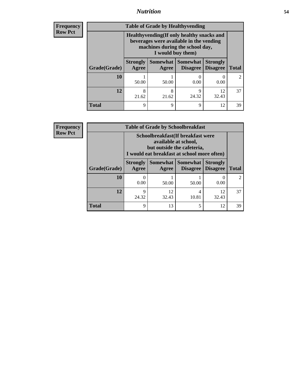### *Nutrition* **54**

**Frequency Row Pct**

| <b>Table of Grade by Healthyvending</b> |                                                                                                                                               |                          |                             |                                    |              |  |  |  |
|-----------------------------------------|-----------------------------------------------------------------------------------------------------------------------------------------------|--------------------------|-----------------------------|------------------------------------|--------------|--|--|--|
|                                         | Healthyvending (If only healthy snacks and<br>beverages were available in the vending<br>machines during the school day,<br>I would buy them) |                          |                             |                                    |              |  |  |  |
| Grade(Grade)                            | <b>Strongly</b><br>Agree                                                                                                                      | <b>Somewhat</b><br>Agree | <b>Somewhat</b><br>Disagree | <b>Strongly</b><br><b>Disagree</b> | <b>Total</b> |  |  |  |
| 10                                      | 50.00                                                                                                                                         | 50.00                    | 0.00                        | 0.00                               | 2            |  |  |  |
| 12                                      | 8<br>21.62                                                                                                                                    | 8<br>21.62               | q<br>24.32                  | 12<br>32.43                        | 37           |  |  |  |
| <b>Total</b>                            | 9                                                                                                                                             | Q                        | 9                           | 12                                 | 39           |  |  |  |

**Frequency Row Pct**

| <b>Table of Grade by Schoolbreakfast</b> |                          |                                                                                                                                         |                                              |                 |              |  |  |  |
|------------------------------------------|--------------------------|-----------------------------------------------------------------------------------------------------------------------------------------|----------------------------------------------|-----------------|--------------|--|--|--|
|                                          |                          | Schoolbreakfast (If breakfast were<br>available at school,<br>but outside the cafeteria,<br>I would eat breakfast at school more often) |                                              |                 |              |  |  |  |
| Grade(Grade)                             | <b>Strongly</b><br>Agree | Agree                                                                                                                                   | Somewhat   Somewhat  <br>Disagree   Disagree | <b>Strongly</b> | <b>Total</b> |  |  |  |
| 10                                       | 0.00                     | 50.00                                                                                                                                   | 50.00                                        | 0.00            |              |  |  |  |
| 12                                       | 9<br>24.32               | 12<br>32.43                                                                                                                             | 4<br>10.81                                   | 12<br>32.43     | 37           |  |  |  |
| <b>Total</b>                             | 9                        | 13                                                                                                                                      | 5                                            | 12              | 39           |  |  |  |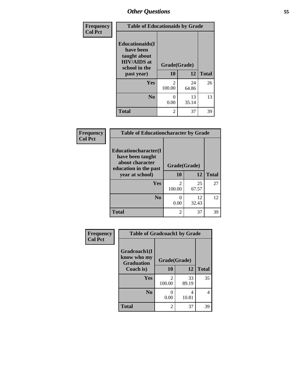| Frequency<br><b>Col Pct</b> | <b>Table of Educationaids by Grade</b>                                                                    |                    |             |              |  |  |
|-----------------------------|-----------------------------------------------------------------------------------------------------------|--------------------|-------------|--------------|--|--|
|                             | <b>Educationaids</b> (I<br>have been<br>taught about<br><b>HIV/AIDS</b> at<br>school in the<br>past year) | Grade(Grade)<br>10 | 12          | <b>Total</b> |  |  |
|                             | <b>Yes</b>                                                                                                | $\mathfrak{D}$     | 24          | 26           |  |  |
|                             |                                                                                                           | 100.00             | 64.86       |              |  |  |
|                             | N <sub>0</sub>                                                                                            | 0<br>0.00          | 13<br>35.14 | 13           |  |  |
|                             | <b>Total</b>                                                                                              | $\overline{2}$     | 37          | 39           |  |  |

| Frequency<br><b>Table of Educationcharacter by Grade</b> |                                                                                              |                          |             |              |
|----------------------------------------------------------|----------------------------------------------------------------------------------------------|--------------------------|-------------|--------------|
| <b>Col Pct</b>                                           | <b>Educationcharacter(I)</b><br>have been taught<br>about character<br>education in the past | Grade(Grade)             |             |              |
|                                                          | year at school)                                                                              | 10                       | <b>12</b>   | <b>Total</b> |
|                                                          | Yes                                                                                          | $\mathfrak{D}$<br>100.00 | 25<br>67.57 | 27           |
|                                                          | N <sub>0</sub>                                                                               | ∩<br>0.00                | 12<br>32.43 | 12           |
|                                                          | <b>Total</b>                                                                                 | $\overline{2}$           | 37          | 39           |

| Frequency      | <b>Table of Gradcoach1 by Grade</b> |                          |             |              |  |  |
|----------------|-------------------------------------|--------------------------|-------------|--------------|--|--|
| <b>Col Pct</b> | Gradcoach1(I<br>know who my         | Grade(Grade)             |             |              |  |  |
|                | <b>Graduation</b><br>Coach is)      | 10                       | 12          | <b>Total</b> |  |  |
|                | <b>Yes</b>                          | $\mathfrak{D}$<br>100.00 | 33<br>89.19 | 35           |  |  |
|                | N <sub>0</sub>                      | 0<br>0.00                | 4<br>10.81  | 4            |  |  |
|                | <b>Total</b>                        | 2                        | 37          | 39           |  |  |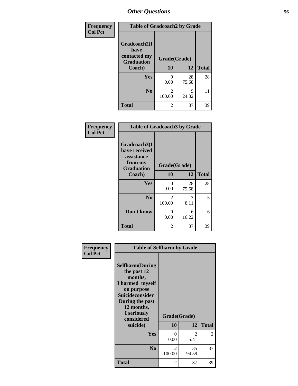| Frequency      | <b>Table of Gradcoach2 by Grade</b> |              |             |              |  |
|----------------|-------------------------------------|--------------|-------------|--------------|--|
| <b>Col Pct</b> |                                     |              |             |              |  |
|                | Gradcoach2(I<br>have                |              |             |              |  |
|                | contacted my<br><b>Graduation</b>   | Grade(Grade) |             |              |  |
|                | Coach)                              | 10           | 12          | <b>Total</b> |  |
|                | Yes                                 | 0<br>0.00    | 28<br>75.68 | 28           |  |
|                | N <sub>0</sub>                      | 2<br>100.00  | 9<br>24.32  | 11           |  |
|                | <b>Total</b>                        | 2            | 37          | 39           |  |

| Frequency<br><b>Col Pct</b> | <b>Table of Gradcoach3 by Grade</b>                    |              |             |              |  |
|-----------------------------|--------------------------------------------------------|--------------|-------------|--------------|--|
|                             | Gradcoach3(I<br>have received<br>assistance<br>from my | Grade(Grade) |             |              |  |
|                             | <b>Graduation</b><br>Coach)                            | 10           | 12          | <b>Total</b> |  |
|                             | Yes                                                    | 0<br>0.00    | 28<br>75.68 | 28           |  |
|                             | N <sub>0</sub>                                         | 2<br>100.00  | 3<br>8.11   | 5            |  |
|                             | Don't know                                             | 0<br>0.00    | 6<br>16.22  | 6            |  |
|                             | <b>Total</b>                                           | 2            | 37          | 39           |  |

| Frequency      | <b>Table of Selfharm by Grade</b>                                                                                                                                               |                    |             |              |
|----------------|---------------------------------------------------------------------------------------------------------------------------------------------------------------------------------|--------------------|-------------|--------------|
| <b>Col Pct</b> | <b>Selfharm</b> (During<br>the past 12<br>months,<br>I harmed myself<br>on purpose<br>Suicideconsider<br>During the past<br>12 months,<br>I seriously<br>considered<br>suicide) | Grade(Grade)<br>10 | 12          | <b>Total</b> |
|                | Yes                                                                                                                                                                             | 0<br>0.00          | 2<br>5.41   | 2            |
|                | N <sub>0</sub>                                                                                                                                                                  | 2<br>100.00        | 35<br>94.59 | 37           |
|                | <b>Total</b>                                                                                                                                                                    | 2                  | 37          | 39           |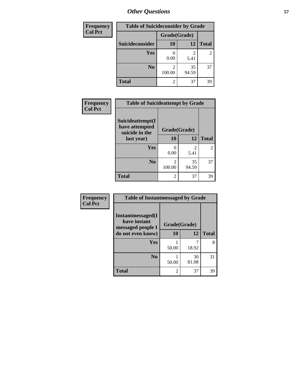| <b>Frequency</b> | <b>Table of Suicideconsider by Grade</b> |              |             |              |
|------------------|------------------------------------------|--------------|-------------|--------------|
| <b>Col Pct</b>   |                                          | Grade(Grade) |             |              |
|                  | Suicideconsider                          | <b>10</b>    | 12          | <b>Total</b> |
|                  | Yes                                      | 0.00         | 2<br>5.41   | 2            |
|                  | N <sub>0</sub>                           | 2<br>100.00  | 35<br>94.59 | 37           |
|                  | <b>Total</b>                             | 2            | 37          | 39           |

| Frequency      | <b>Table of Suicideattempt by Grade</b>              |                          |             |                |
|----------------|------------------------------------------------------|--------------------------|-------------|----------------|
| <b>Col Pct</b> | Suicideattempt(I<br>have attempted<br>suicide in the | Grade(Grade)             |             |                |
|                | last year)                                           | 10                       | 12          | <b>Total</b>   |
|                | Yes                                                  | 0<br>0.00                | 2<br>5.41   | $\overline{2}$ |
|                | N <sub>0</sub>                                       | $\mathfrak{D}$<br>100.00 | 35<br>94.59 | 37             |
|                | <b>Total</b>                                         | $\mathfrak{D}$           | 37          | 39             |

| Frequency      | <b>Table of Instantmessaged by Grade</b>               |              |             |              |  |
|----------------|--------------------------------------------------------|--------------|-------------|--------------|--|
| <b>Col Pct</b> | Instantmessaged(I<br>have instant<br>messaged people I | Grade(Grade) |             |              |  |
|                | do not even know)                                      | 10           | 12          | <b>Total</b> |  |
|                | <b>Yes</b>                                             | 50.00        | 18.92       | 8            |  |
|                | N <sub>0</sub>                                         | 50.00        | 30<br>81.08 | 31           |  |
|                | <b>Total</b>                                           | 2            | 37          | 39           |  |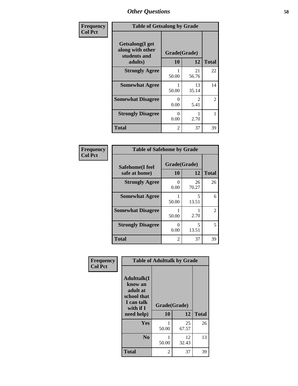| Frequency      | <b>Table of Getsalong by Grade</b>                          |              |             |                |  |  |
|----------------|-------------------------------------------------------------|--------------|-------------|----------------|--|--|
| <b>Col Pct</b> | <b>Getsalong</b> (I get<br>along with other<br>students and | Grade(Grade) |             |                |  |  |
|                | adults)                                                     | 10           | 12          | <b>Total</b>   |  |  |
|                | <b>Strongly Agree</b>                                       | 50.00        | 21<br>56.76 | 22             |  |  |
|                | <b>Somewhat Agree</b>                                       | 50.00        | 13<br>35.14 | 14             |  |  |
|                | <b>Somewhat Disagree</b>                                    | 0<br>0.00    | 2<br>5.41   | $\overline{2}$ |  |  |
|                | <b>Strongly Disagree</b>                                    | 0<br>0.00    | 2.70        |                |  |  |
|                | <b>Total</b>                                                | 2            | 37          | 39             |  |  |

| Frequency      | <b>Table of Safehome by Grade</b> |                    |             |                |  |  |
|----------------|-----------------------------------|--------------------|-------------|----------------|--|--|
| <b>Col Pct</b> | Safehome(I feel<br>safe at home)  | Grade(Grade)<br>10 | 12          | <b>Total</b>   |  |  |
|                | <b>Strongly Agree</b>             | 0.00               | 26<br>70.27 | 26             |  |  |
|                | <b>Somewhat Agree</b>             | 50.00              | 5<br>13.51  | 6              |  |  |
|                | <b>Somewhat Disagree</b>          | 50.00              | 2.70        | $\overline{2}$ |  |  |
|                | <b>Strongly Disagree</b>          | 0.00               | 5<br>13.51  | 5              |  |  |
|                | <b>Total</b>                      | $\mathfrak{D}$     | 37          | 39             |  |  |

| Frequency      | <b>Table of Adulttalk by Grade</b>                                                                 |                    |             |              |  |
|----------------|----------------------------------------------------------------------------------------------------|--------------------|-------------|--------------|--|
| <b>Col Pct</b> | <b>Adulttalk</b> (I<br>know an<br>adult at<br>school that<br>I can talk<br>with if I<br>need help) | Grade(Grade)<br>10 | 12          | <b>Total</b> |  |
|                | <b>Yes</b>                                                                                         | 50.00              | 25<br>67.57 | 26           |  |
|                | N <sub>0</sub>                                                                                     | 50.00              | 12<br>32.43 | 13           |  |
|                | <b>Total</b>                                                                                       | 2                  | 37          | 39           |  |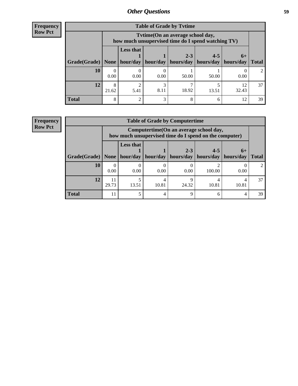**Frequency Row Pct**

| <b>Table of Grade by Tvtime</b> |            |                                                                                         |           |                       |         |             |              |
|---------------------------------|------------|-----------------------------------------------------------------------------------------|-----------|-----------------------|---------|-------------|--------------|
|                                 |            | Tytime (On an average school day,<br>how much unsupervised time do I spend watching TV) |           |                       |         |             |              |
|                                 |            | <b>Less that</b>                                                                        |           | $2 - 3$               | $4 - 5$ | $6+$        |              |
| Grade(Grade)   None   hour/day  |            |                                                                                         | hour/day  | hours/day   hours/day |         | hours/day   | <b>Total</b> |
| 10                              | 0.00       | 0.00                                                                                    | 0.00      | 50.00                 | 50.00   | 0.00        | $2^{\circ}$  |
| 12                              | 8<br>21.62 | 5.41                                                                                    | 3<br>8.11 | 18.92                 | 13.51   | 12<br>32.43 | 37           |
| <b>Total</b>                    | 8          | $\mathcal{D}$                                                                           | 3         | 8                     | 6       | 12          | 39           |

**Frequency Row Pct**

|              | <b>Table of Grade by Computertime</b> |                                                                                                              |            |       |        |              |                             |
|--------------|---------------------------------------|--------------------------------------------------------------------------------------------------------------|------------|-------|--------|--------------|-----------------------------|
|              |                                       | Computertime(On an average school day,<br>how much unsupervised time do I spend on the computer)             |            |       |        |              |                             |
| Grade(Grade) | None                                  | <b>Less that</b><br>$2 - 3$<br>$4 - 5$<br>$6+$<br>hour/day<br>hour/day   hours/day<br>hours/day<br>hours/day |            |       |        | <b>Total</b> |                             |
| 10           | 0.00                                  | 0.00                                                                                                         | 0.00       | 0.00  | 100.00 | 0.00         | $\mathcal{D}_{\mathcal{L}}$ |
| 12           | 11<br>29.73                           | 13.51                                                                                                        | 4<br>10.81 | 24.32 | 10.81  | 10.81        | 37                          |
| <b>Total</b> | 11                                    |                                                                                                              | 4          | Q     | 6      | 4            | 39                          |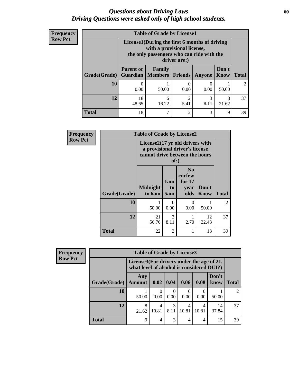### *Questions about Driving Laws* **60** *Driving Questions were asked only of high school students.*

| <b>Frequency</b> |
|------------------|
| <b>Row Pct</b>   |

| <b>Table of Grade by License1</b> |                                                                                                                                           |                                     |                |        |               |                             |  |  |
|-----------------------------------|-------------------------------------------------------------------------------------------------------------------------------------------|-------------------------------------|----------------|--------|---------------|-----------------------------|--|--|
|                                   | License1(During the first 6 months of driving<br>with a provisional license,<br>the only passengers who can ride with the<br>driver are:) |                                     |                |        |               |                             |  |  |
| Grade(Grade)                      | <b>Parent or</b>                                                                                                                          | Family<br><b>Guardian</b>   Members | <b>Friends</b> | Anyone | Don't<br>Know | <b>Total</b>                |  |  |
| 10                                | 0.00                                                                                                                                      | 50.00                               | 0.00           | 0.00   | 50.00         | $\mathcal{D}_{\mathcal{L}}$ |  |  |
| 12                                | $\overline{c}$<br>18<br>3<br>8<br>6<br>8.11<br>16.22<br>48.65<br>5.41<br>21.62                                                            |                                     |                |        |               |                             |  |  |
| Total                             | 18                                                                                                                                        |                                     | $\overline{c}$ | 3      | 9             | 39                          |  |  |

| Frequency      |              | <b>Table of Grade by License2</b>                                                                   |                  |                                                      |                      |                |
|----------------|--------------|-----------------------------------------------------------------------------------------------------|------------------|------------------------------------------------------|----------------------|----------------|
| <b>Row Pct</b> |              | License2(17 yr old drivers with<br>a provisional driver's license<br>cannot drive between the hours | of:)             |                                                      |                      |                |
|                | Grade(Grade) | <b>Midnight</b><br>to 6am                                                                           | 1am<br>to<br>5am | N <sub>0</sub><br>curfew<br>for $17$<br>year<br>olds | Don't<br><b>Know</b> | <b>Total</b>   |
|                | 10           | 50.00                                                                                               | 0<br>0.00        | $\mathbf{\Omega}$<br>0.00                            | 50.00                | $\mathfrak{D}$ |
|                | 12           | 21<br>56.76                                                                                         | 3<br>8.11        | 2.70                                                 | 12<br>32.43          | 37             |
|                | <b>Total</b> | 22                                                                                                  | 3                |                                                      | 13                   | 39             |

| Frequency      |              | <b>Table of Grade by License3</b> |                                                                                        |           |            |                |               |                             |  |
|----------------|--------------|-----------------------------------|----------------------------------------------------------------------------------------|-----------|------------|----------------|---------------|-----------------------------|--|
| <b>Row Pct</b> |              |                                   | License3(For drivers under the age of 21,<br>what level of alcohol is considered DUI?) |           |            |                |               |                             |  |
|                | Grade(Grade) | Any<br><b>Amount</b>              | $0.02 \mid 0.04$                                                                       |           | 0.06       | 0.08           | Don't<br>know | <b>Total</b>                |  |
|                | 10           | 50.00                             | 0.00                                                                                   | 0<br>0.00 | 0.00       | 0.00           | 50.00         | $\mathcal{D}_{\mathcal{A}}$ |  |
|                | 12           | 8<br>21.62                        | 4<br>10.81                                                                             | 3<br>8.11 | 4<br>10.81 | 4<br>10.81     | 14<br>37.84   | 37                          |  |
|                | <b>Total</b> | 9                                 | 4                                                                                      | 3         | 4          | $\overline{4}$ | 15            | 39                          |  |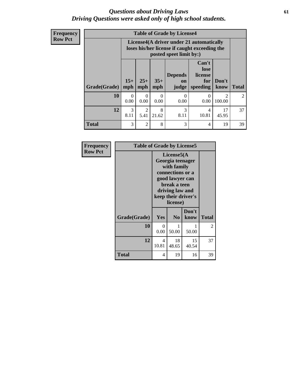### *Questions about Driving Laws* **61** *Driving Questions were asked only of high school students.*

**Frequency Row Pct**

| <b>Table of Grade by License4</b> |                  |                                                                                                                                                                                                                                                                                |            |                  |                  |                                       |                |  |
|-----------------------------------|------------------|--------------------------------------------------------------------------------------------------------------------------------------------------------------------------------------------------------------------------------------------------------------------------------|------------|------------------|------------------|---------------------------------------|----------------|--|
|                                   |                  | License4(A driver under 21 automatically<br>loses his/her license if caught exceeding the<br>posted speet limit by:)<br>Can't<br>lose<br><b>Depends</b><br>license<br>$15+$<br>$25+$<br>$35+$<br>Don't<br>for<br>on<br>mph<br><b>Total</b><br>speeding<br>mph<br>judge<br>know |            |                  |                  |                                       |                |  |
| Grade(Grade)                      | mph              |                                                                                                                                                                                                                                                                                |            |                  |                  |                                       |                |  |
| 10                                | $\Omega$<br>0.00 | $\Omega$<br>0.00                                                                                                                                                                                                                                                               | 0<br>0.00  | $\Omega$<br>0.00 | $\theta$<br>0.00 | $\mathcal{D}_{\mathcal{L}}$<br>100.00 | $\mathfrak{D}$ |  |
| 12                                | 3<br>8.11        | $\mathfrak{D}$<br>5.41                                                                                                                                                                                                                                                         | 8<br>21.62 | 3<br>8.11        | 4<br>10.81       | 17<br>45.95                           | 37             |  |
| <b>Total</b>                      | 3                | $\overline{2}$                                                                                                                                                                                                                                                                 | 8          | 3                | 4                | 19                                    | 39             |  |

| Frequency      |              | <b>Table of Grade by License5</b> |                                                                                                                                      |                     |              |  |  |  |
|----------------|--------------|-----------------------------------|--------------------------------------------------------------------------------------------------------------------------------------|---------------------|--------------|--|--|--|
| <b>Row Pct</b> |              |                                   | License5(A)<br>Georgia teenager<br>with family<br>connections or a<br>good lawyer can<br>break a teen<br>driving law and<br>license) | keep their driver's |              |  |  |  |
|                | Grade(Grade) | Yes                               | N <sub>0</sub>                                                                                                                       | Don't<br>know       | <b>Total</b> |  |  |  |
|                | 10           | 0<br>0.00                         | 50.00                                                                                                                                | 50.00               | 2            |  |  |  |
|                | 12           | 4<br>10.81                        | 18<br>48.65                                                                                                                          | 15<br>40.54         | 37           |  |  |  |
|                | Total        | 4                                 | 19                                                                                                                                   | 16                  | 39           |  |  |  |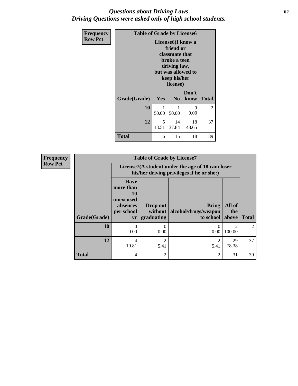### *Questions about Driving Laws* **62** *Driving Questions were asked only of high school students.*

| <b>Frequency</b> |              | <b>Table of Grade by License6</b> |                                                                                                                                                 |               |              |  |  |  |
|------------------|--------------|-----------------------------------|-------------------------------------------------------------------------------------------------------------------------------------------------|---------------|--------------|--|--|--|
| <b>Row Pct</b>   |              |                                   | License <sub>6</sub> (I know a<br>friend or<br>classmate that<br>broke a teen<br>driving law,<br>but was allowed to<br>keep his/her<br>license) |               |              |  |  |  |
|                  | Grade(Grade) | <b>Yes</b>                        | N <sub>0</sub>                                                                                                                                  | Don't<br>know | <b>Total</b> |  |  |  |
|                  | 10           | 1<br>50.00                        | 50.00                                                                                                                                           | 0<br>0.00     | 2            |  |  |  |
|                  | 12           | 5<br>13.51                        | 14<br>37.84                                                                                                                                     | 18<br>48.65   | 37           |  |  |  |
|                  | <b>Total</b> | 6                                 | 15                                                                                                                                              | 18            | 39           |  |  |  |

| <b>Frequency</b> | <b>Table of Grade by License7</b> |                                                                                               |                                   |                                            |                        |                |  |  |
|------------------|-----------------------------------|-----------------------------------------------------------------------------------------------|-----------------------------------|--------------------------------------------|------------------------|----------------|--|--|
| <b>Row Pct</b>   |                                   | License7(A student under the age of 18 cam loser<br>his/her driving privileges if he or she:) |                                   |                                            |                        |                |  |  |
|                  | Grade(Grade)                      | <b>Have</b><br>more than<br>10<br>unexcused<br>absences<br>per school<br>yr                   | Drop out<br>without<br>graduating | Bring<br>alcohol/drugs/weapon<br>to school | All of<br>the<br>above | <b>Total</b>   |  |  |
|                  | 10                                | $\Omega$<br>0.00                                                                              | 0<br>0.00                         | 0.00                                       | 100.00                 | $\mathfrak{D}$ |  |  |
|                  | 12                                | 4<br>10.81                                                                                    | $\mathfrak{D}$<br>5.41            | 5.41                                       | 29<br>78.38            | 37             |  |  |
|                  | <b>Total</b>                      | $\overline{4}$                                                                                | $\overline{2}$                    | $\overline{2}$                             | 31                     | 39             |  |  |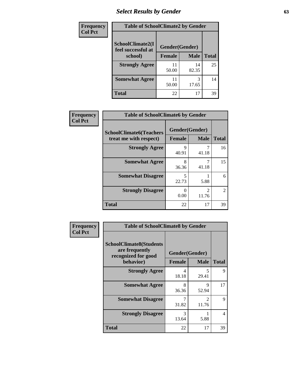# *Select Results by Gender* **63**

| <b>Frequency</b> | <b>Table of SchoolClimate2 by Gender</b> |                |             |              |  |  |
|------------------|------------------------------------------|----------------|-------------|--------------|--|--|
| <b>Col Pct</b>   | SchoolClimate2(I<br>feel successful at   | Gender(Gender) |             |              |  |  |
|                  | school)                                  | <b>Female</b>  | <b>Male</b> | <b>Total</b> |  |  |
|                  | <b>Strongly Agree</b>                    | 11<br>50.00    | 14<br>82.35 | 25           |  |  |
|                  | <b>Somewhat Agree</b>                    | 11<br>50.00    | 17.65       | 14           |  |  |
|                  | <b>Total</b>                             | 22             | 17          | 39           |  |  |

| Frequency      | <b>Table of SchoolClimate6 by Gender</b>                                  |            |                                      |                |  |  |  |
|----------------|---------------------------------------------------------------------------|------------|--------------------------------------|----------------|--|--|--|
| <b>Col Pct</b> | <b>SchoolClimate6(Teachers</b><br>treat me with respect)<br><b>Female</b> |            | Gender(Gender)<br><b>Male</b>        | <b>Total</b>   |  |  |  |
|                | <b>Strongly Agree</b>                                                     | 9<br>40.91 | 41.18                                | 16             |  |  |  |
|                | <b>Somewhat Agree</b>                                                     | 8<br>36.36 | 41.18                                | 15             |  |  |  |
|                | <b>Somewhat Disagree</b>                                                  | 5<br>22.73 | 5.88                                 | 6              |  |  |  |
|                | <b>Strongly Disagree</b>                                                  | 0<br>0.00  | $\mathcal{D}_{\mathcal{L}}$<br>11.76 | $\mathfrak{D}$ |  |  |  |
|                | <b>Total</b>                                                              | 22         | 17                                   | 39             |  |  |  |

| Frequency      | <b>Table of SchoolClimate8 by Gender</b>                                             |               |                               |              |  |  |
|----------------|--------------------------------------------------------------------------------------|---------------|-------------------------------|--------------|--|--|
| <b>Col Pct</b> | <b>SchoolClimate8(Students</b><br>are frequently<br>recognized for good<br>behavior) |               | Gender(Gender)<br><b>Male</b> |              |  |  |
|                |                                                                                      | <b>Female</b> |                               | <b>Total</b> |  |  |
|                | <b>Strongly Agree</b>                                                                | 4<br>18.18    | 5<br>29.41                    | 9            |  |  |
|                | <b>Somewhat Agree</b>                                                                | 8<br>36.36    | 9<br>52.94                    | 17           |  |  |
|                | <b>Somewhat Disagree</b>                                                             | 7<br>31.82    | $\mathfrak{D}$<br>11.76       | 9            |  |  |
|                | <b>Strongly Disagree</b>                                                             | 3<br>13.64    | 5.88                          | 4            |  |  |
|                | <b>Total</b>                                                                         | 22            | 17                            | 39           |  |  |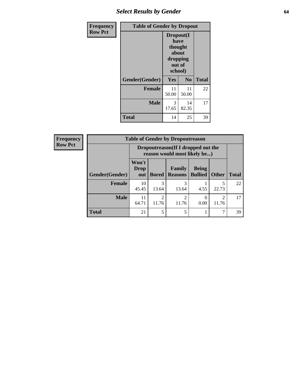# *Select Results by Gender* **64**

| <b>Frequency</b> | <b>Table of Gender by Dropout</b> |                                                                        |                |              |  |
|------------------|-----------------------------------|------------------------------------------------------------------------|----------------|--------------|--|
| <b>Row Pct</b>   |                                   | Dropout(I<br>have<br>thought<br>about<br>dropping<br>out of<br>school) |                |              |  |
|                  | Gender(Gender)                    | Yes                                                                    | N <sub>0</sub> | <b>Total</b> |  |
|                  | <b>Female</b>                     | 11<br>50.00                                                            | 11<br>50.00    | 22           |  |
|                  | <b>Male</b>                       | 3<br>17.65                                                             | 14<br>82.35    | 17           |  |
|                  | <b>Total</b>                      | 14                                                                     | 25             | 39           |  |

| <b>Frequency</b> |                        |                             |                                                                     | <b>Table of Gender by Dropoutreason</b> |                                |                         |              |  |
|------------------|------------------------|-----------------------------|---------------------------------------------------------------------|-----------------------------------------|--------------------------------|-------------------------|--------------|--|
| <b>Row Pct</b>   |                        |                             | Dropoutreason (If I dropped out the<br>reason would most likely be) |                                         |                                |                         |              |  |
|                  | <b>Gender</b> (Gender) | Won't<br><b>Drop</b><br>out | <b>Bored</b>                                                        | Family<br><b>Reasons</b>                | <b>Being</b><br><b>Bullied</b> | Other                   | <b>Total</b> |  |
|                  | Female                 | 10<br>45.45                 | 3<br>13.64                                                          | 3<br>13.64                              | 4.55                           | 5<br>22.73              | 22           |  |
|                  | <b>Male</b>            | 11<br>64.71                 | 2<br>11.76                                                          | $\mathfrak{D}$<br>11.76                 | 0.00                           | $\mathfrak{D}$<br>11.76 | 17           |  |
|                  | <b>Total</b>           | 21                          | 5                                                                   | 5                                       |                                | 7                       | 39           |  |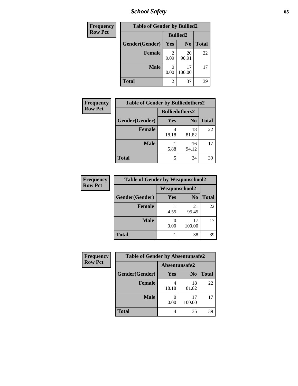*School Safety* **65**

| Frequency      | <b>Table of Gender by Bullied2</b> |                 |                |              |
|----------------|------------------------------------|-----------------|----------------|--------------|
| <b>Row Pct</b> |                                    | <b>Bullied2</b> |                |              |
|                | Gender(Gender)                     | <b>Yes</b>      | N <sub>0</sub> | <b>Total</b> |
|                | <b>Female</b>                      | 2<br>9.09       | 20<br>90.91    | 22           |
|                | <b>Male</b>                        | 0.00            | 17<br>100.00   | 17           |
|                | <b>Total</b>                       | 2               | 37             | 39           |

| Frequency      | <b>Table of Gender by Bulliedothers2</b> |                       |                |              |
|----------------|------------------------------------------|-----------------------|----------------|--------------|
| <b>Row Pct</b> |                                          | <b>Bulliedothers2</b> |                |              |
|                | Gender(Gender)                           | <b>Yes</b>            | N <sub>0</sub> | <b>Total</b> |
|                | <b>Female</b>                            | 4<br>18.18            | 18<br>81.82    | 22           |
|                | <b>Male</b>                              | 5.88                  | 16<br>94.12    | 17           |
|                | Total                                    | 5                     | 34             | 39           |

| Frequency      | <b>Table of Gender by Weaponschool2</b> |               |                |              |
|----------------|-----------------------------------------|---------------|----------------|--------------|
| <b>Row Pct</b> |                                         | Weaponschool2 |                |              |
|                | Gender(Gender)                          | Yes           | N <sub>0</sub> | <b>Total</b> |
|                | <b>Female</b>                           | 4.55          | 21<br>95.45    | 22           |
|                | <b>Male</b>                             | 0.00          | 17<br>100.00   |              |
|                | <b>Total</b>                            |               | 38             | 39           |

| Frequency      | <b>Table of Gender by Absentunsafe2</b> |               |                |              |
|----------------|-----------------------------------------|---------------|----------------|--------------|
| <b>Row Pct</b> |                                         | Absentunsafe2 |                |              |
|                | Gender(Gender)                          | Yes           | N <sub>0</sub> | <b>Total</b> |
|                | <b>Female</b>                           | 18.18         | 18<br>81.82    | 22           |
|                | <b>Male</b>                             | 0.00          | 17<br>100.00   | 17           |
|                | <b>Total</b>                            | 4             | 35             | 39           |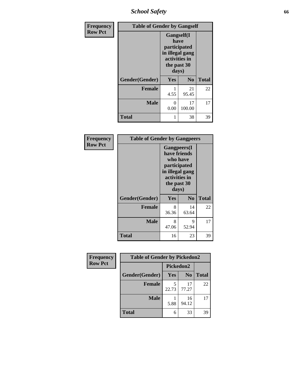*School Safety* **66**

| Frequency      | <b>Table of Gender by Gangself</b> |                                                                                                        |                |              |
|----------------|------------------------------------|--------------------------------------------------------------------------------------------------------|----------------|--------------|
| <b>Row Pct</b> |                                    | <b>Gangself</b> (I<br>have<br>participated<br>in illegal gang<br>activities in<br>the past 30<br>days) |                |              |
|                | Gender(Gender)                     | Yes                                                                                                    | N <sub>0</sub> | <b>Total</b> |
|                | <b>Female</b>                      | 4.55                                                                                                   | 21<br>95.45    | 22           |
|                | <b>Male</b>                        | 0<br>0.00                                                                                              | 17<br>100.00   | 17           |
|                | <b>Total</b>                       |                                                                                                        | 38             | 39           |

| Frequency      |                | <b>Table of Gender by Gangpeers</b>                                                                                         |                |              |
|----------------|----------------|-----------------------------------------------------------------------------------------------------------------------------|----------------|--------------|
| <b>Row Pct</b> |                | <b>Gangpeers</b> (I<br>have friends<br>who have<br>participated<br>in illegal gang<br>activities in<br>the past 30<br>days) |                |              |
|                | Gender(Gender) | <b>Yes</b>                                                                                                                  | N <sub>0</sub> | <b>Total</b> |
|                | <b>Female</b>  | 8<br>36.36                                                                                                                  | 14<br>63.64    | 22           |
|                | <b>Male</b>    | 8<br>47.06                                                                                                                  | 9<br>52.94     | 17           |
|                | <b>Total</b>   | 16                                                                                                                          | 23             | 39           |

| Frequency      | <b>Table of Gender by Pickedon2</b> |            |                |              |
|----------------|-------------------------------------|------------|----------------|--------------|
| <b>Row Pct</b> |                                     | Pickedon2  |                |              |
|                | Gender(Gender)                      | <b>Yes</b> | N <sub>0</sub> | <b>Total</b> |
|                | <b>Female</b>                       | 22.73      | 17<br>77.27    | 22           |
|                | <b>Male</b>                         | 5.88       | 16<br>94.12    | 17           |
|                | <b>Total</b>                        | 6          | 33             | 39           |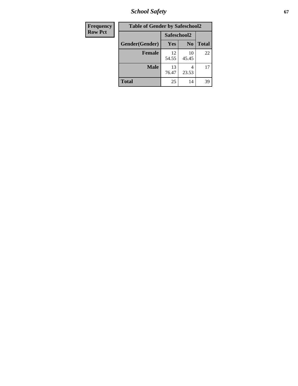*School Safety* **67**

| Frequency      | <b>Table of Gender by Safeschool2</b> |             |                |              |
|----------------|---------------------------------------|-------------|----------------|--------------|
| <b>Row Pct</b> |                                       | Safeschool2 |                |              |
|                | Gender(Gender)                        | Yes         | N <sub>0</sub> | <b>Total</b> |
|                | <b>Female</b>                         | 12<br>54.55 | 10<br>45.45    | 22           |
|                | <b>Male</b>                           | 13<br>76.47 | 4<br>23.53     | 17           |
|                | <b>Total</b>                          | 25          | 14             | 39           |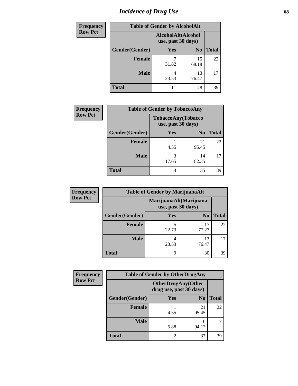# *Incidence of Drug Use* 68

| <b>Frequency</b> | <b>Table of Gender by AlcoholAlt</b> |                                          |                |              |
|------------------|--------------------------------------|------------------------------------------|----------------|--------------|
| <b>Row Pct</b>   |                                      | AlcoholAlt(Alcohol<br>use, past 30 days) |                |              |
|                  | Gender(Gender)                       | <b>Yes</b>                               | N <sub>0</sub> | <b>Total</b> |
|                  | <b>Female</b>                        | 31.82                                    | 15<br>68.18    | 22           |
|                  | <b>Male</b>                          | 4<br>23.53                               | 13<br>76.47    | 17           |
|                  | <b>Total</b>                         | 11                                       | 28             | 39           |

| Frequency      | <b>Table of Gender by TobaccoAny</b> |                                                 |                |              |
|----------------|--------------------------------------|-------------------------------------------------|----------------|--------------|
| <b>Row Pct</b> |                                      | <b>TobaccoAny(Tobacco</b><br>use, past 30 days) |                |              |
|                | Gender(Gender)                       | Yes                                             | N <sub>0</sub> | <b>Total</b> |
|                | <b>Female</b>                        | 4.55                                            | 21<br>95.45    | 22           |
|                | <b>Male</b>                          | 3<br>17.65                                      | 14<br>82.35    |              |
|                | <b>Total</b>                         | 4                                               | 35             | 39           |

| <b>Frequency</b> | <b>Table of Gender by MarijuanaAlt</b> |            |                                              |              |
|------------------|----------------------------------------|------------|----------------------------------------------|--------------|
| <b>Row Pct</b>   |                                        |            | MarijuanaAlt(Marijuana<br>use, past 30 days) |              |
|                  | Gender(Gender)                         | <b>Yes</b> | N <sub>0</sub>                               | <b>Total</b> |
|                  | <b>Female</b>                          | 5<br>22.73 | 17<br>77.27                                  | 22           |
|                  | <b>Male</b>                            | 4<br>23.53 | 13<br>76.47                                  | 17           |
|                  | <b>Total</b>                           | 9          | 30                                           | 39           |

| <b>Frequency</b> | <b>Table of Gender by OtherDrugAny</b> |                                                      |                |              |
|------------------|----------------------------------------|------------------------------------------------------|----------------|--------------|
| <b>Row Pct</b>   |                                        | <b>OtherDrugAny(Other</b><br>drug use, past 30 days) |                |              |
|                  | Gender(Gender)                         | <b>Yes</b>                                           | N <sub>0</sub> | <b>Total</b> |
|                  | <b>Female</b>                          | 4.55                                                 | 21<br>95.45    | 22           |
|                  | <b>Male</b>                            | 5.88                                                 | 16<br>94.12    | 17           |
|                  | <b>Total</b>                           | 2                                                    | 37             | 39           |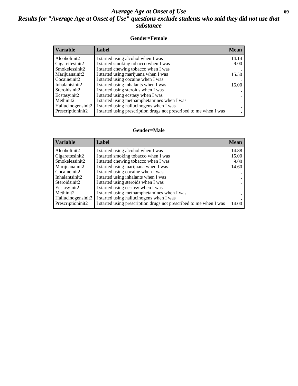### *Average Age at Onset of Use* **69** *Results for "Average Age at Onset of Use" questions exclude students who said they did not use that substance*

### **Gender=Female**

| <b>Variable</b>                 | <b>Label</b>                                                       | <b>Mean</b> |
|---------------------------------|--------------------------------------------------------------------|-------------|
| Alcoholinit2                    | I started using alcohol when I was                                 | 14.14       |
| Cigarettesinit2                 | I started smoking tobacco when I was                               | 9.00        |
| Smokelessinit2                  | I started chewing tobacco when I was                               |             |
| Marijuanainit2                  | I started using marijuana when I was                               | 15.50       |
| Cocaineinit2                    | I started using cocaine when I was                                 |             |
| Inhalantsinit2                  | I started using inhalants when I was                               | 16.00       |
| Steroidsinit2                   | I started using steroids when I was                                |             |
| Ecstasyinit2                    | I started using ecstasy when I was                                 |             |
| Methinit2                       | I started using methamphetamines when I was                        |             |
| Hallucinogensinit2              | I started using hallucinogens when I was                           |             |
| Prescription in it <sub>2</sub> | I started using prescription drugs not prescribed to me when I was |             |

#### **Gender=Male**

| <b>Variable</b>                 | Label                                                              | <b>Mean</b> |
|---------------------------------|--------------------------------------------------------------------|-------------|
| Alcoholinit2                    | I started using alcohol when I was                                 | 14.88       |
| Cigarettesinit2                 | I started smoking tobacco when I was                               | 15.00       |
| Smokelessinit2                  | I started chewing tobacco when I was                               | 9.00        |
| Marijuanainit2                  | I started using marijuana when I was                               | 14.60       |
| Cocaineinit2                    | I started using cocaine when I was                                 |             |
| Inhalantsinit2                  | I started using inhalants when I was                               |             |
| Steroidsinit2                   | I started using steroids when I was                                |             |
| Ecstasyinit2                    | I started using ecstasy when I was                                 |             |
| Methinit2                       | I started using methamphetamines when I was                        |             |
| Hallucinogensinit2              | I started using hallucinogens when I was                           |             |
| Prescription in it <sub>2</sub> | I started using prescription drugs not prescribed to me when I was | 14.00       |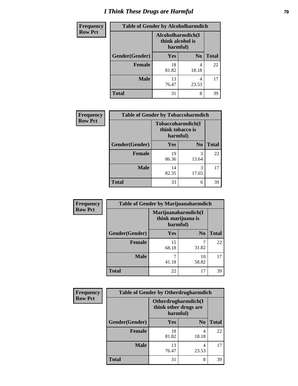# *I Think These Drugs are Harmful* **70**

| <b>Frequency</b> | <b>Table of Gender by Alcoholharmdich</b> |                                                   |                |              |
|------------------|-------------------------------------------|---------------------------------------------------|----------------|--------------|
| <b>Row Pct</b>   |                                           | Alcoholharmdich(I<br>think alcohol is<br>harmful) |                |              |
|                  | Gender(Gender)                            | <b>Yes</b>                                        | N <sub>0</sub> | <b>Total</b> |
|                  | <b>Female</b>                             | 18<br>81.82                                       | 4<br>18.18     | 22           |
|                  | <b>Male</b>                               | 13<br>76.47                                       | 4<br>23.53     | 17           |
|                  | <b>Total</b>                              | 31                                                | 8              | 39           |

| Frequency      | <b>Table of Gender by Tobaccoharmdich</b> |                              |                   |              |
|----------------|-------------------------------------------|------------------------------|-------------------|--------------|
| <b>Row Pct</b> |                                           | think tobacco is<br>harmful) | Tobaccoharmdich(I |              |
|                | Gender(Gender)                            | Yes                          | N <sub>0</sub>    | <b>Total</b> |
|                | <b>Female</b>                             | 19<br>86.36                  | 3<br>13.64        | 22           |
|                | <b>Male</b>                               | 14<br>82.35                  | 3<br>17.65        | 17           |
|                | <b>Total</b>                              | 33                           | 6                 | 39           |

| Frequency      | <b>Table of Gender by Marijuanaharmdich</b> |                                |                     |              |
|----------------|---------------------------------------------|--------------------------------|---------------------|--------------|
| <b>Row Pct</b> |                                             | think marijuana is<br>harmful) | Marijuanaharmdich(I |              |
|                | Gender(Gender)                              | <b>Yes</b>                     | N <sub>0</sub>      | <b>Total</b> |
|                | <b>Female</b>                               | 15<br>68.18                    | 31.82               | 22           |
|                | <b>Male</b>                                 | 41.18                          | 10<br>58.82         | 17           |
|                | <b>Total</b>                                | 22                             | 17                  | 39           |

| Frequency      | <b>Table of Gender by Otherdrugharmdich</b> |                                                          |                |              |
|----------------|---------------------------------------------|----------------------------------------------------------|----------------|--------------|
| <b>Row Pct</b> |                                             | Otherdrugharmdich(I<br>think other drugs are<br>harmful) |                |              |
|                | Gender(Gender)                              | <b>Yes</b>                                               | N <sub>0</sub> | <b>Total</b> |
|                | <b>Female</b>                               | 18<br>81.82                                              | 4<br>18.18     | 22           |
|                | <b>Male</b>                                 | 13<br>76.47                                              | 4<br>23.53     | 17           |
|                | <b>Total</b>                                | 31                                                       | 8              | 39           |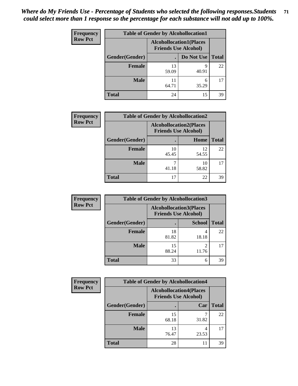| <b>Frequency</b> | <b>Table of Gender by Alcohollocation1</b> |                                                               |            |              |
|------------------|--------------------------------------------|---------------------------------------------------------------|------------|--------------|
| <b>Row Pct</b>   |                                            | <b>Alcohollocation1(Places</b><br><b>Friends Use Alcohol)</b> |            |              |
|                  | Gender(Gender)                             |                                                               | Do Not Use | <b>Total</b> |
|                  | <b>Female</b>                              | 13<br>59.09                                                   | q<br>40.91 | 22           |
|                  | <b>Male</b>                                | 64.71                                                         | 6<br>35.29 | 17           |
|                  | Total                                      | 24                                                            | 15         | 39           |

| <b>Frequency</b> | <b>Table of Gender by Alcohollocation2</b> |             |                                                               |              |
|------------------|--------------------------------------------|-------------|---------------------------------------------------------------|--------------|
| <b>Row Pct</b>   |                                            |             | <b>Alcohollocation2(Places</b><br><b>Friends Use Alcohol)</b> |              |
|                  | Gender(Gender)                             |             | <b>Home</b>                                                   | <b>Total</b> |
|                  | <b>Female</b>                              | 10<br>45.45 | 12<br>54.55                                                   | 22           |
|                  | <b>Male</b>                                | 41.18       | 10<br>58.82                                                   |              |
|                  | <b>Total</b>                               | 17          | 22                                                            | 39           |

| Frequency      | <b>Table of Gender by Alcohollocation3</b> |             |                                                               |              |
|----------------|--------------------------------------------|-------------|---------------------------------------------------------------|--------------|
| <b>Row Pct</b> |                                            |             | <b>Alcohollocation3(Places</b><br><b>Friends Use Alcohol)</b> |              |
|                | Gender(Gender)                             |             | <b>School</b>                                                 | <b>Total</b> |
|                | <b>Female</b>                              | 18<br>81.82 | 18.18                                                         | 22           |
|                | <b>Male</b>                                | 15<br>88.24 | 11.76                                                         | 17           |
|                | <b>Total</b>                               | 33          | 6                                                             | 39           |

| <b>Frequency</b> | <b>Table of Gender by Alcohollocation4</b> |                                                               |       |              |
|------------------|--------------------------------------------|---------------------------------------------------------------|-------|--------------|
| <b>Row Pct</b>   |                                            | <b>Alcohollocation4(Places</b><br><b>Friends Use Alcohol)</b> |       |              |
|                  | Gender(Gender)                             |                                                               | Car   | <b>Total</b> |
|                  | <b>Female</b>                              | 15<br>68.18                                                   | 31.82 | 22           |
|                  | <b>Male</b>                                | 13<br>76.47                                                   | 23.53 | 17           |
|                  | <b>Total</b>                               | 28                                                            | 11    | 39           |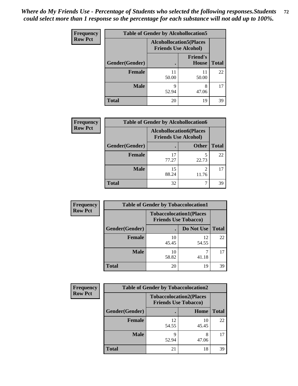| <b>Frequency</b> | <b>Table of Gender by Alcohollocation5</b> |                                                                |                                 |              |
|------------------|--------------------------------------------|----------------------------------------------------------------|---------------------------------|--------------|
| <b>Row Pct</b>   |                                            | <b>Alcohollocation5</b> (Places<br><b>Friends Use Alcohol)</b> |                                 |              |
|                  | Gender(Gender)                             |                                                                | <b>Friend's</b><br><b>House</b> | <b>Total</b> |
|                  | <b>Female</b>                              | 11<br>50.00                                                    | 11<br>50.00                     | 22           |
|                  | <b>Male</b>                                | 9<br>52.94                                                     | 8<br>47.06                      | 17           |
|                  | <b>Total</b>                               | 20                                                             | 19                              | 39           |

| <b>Frequency</b> | <b>Table of Gender by Alcohollocation6</b> |                                                               |              |              |
|------------------|--------------------------------------------|---------------------------------------------------------------|--------------|--------------|
| <b>Row Pct</b>   |                                            | <b>Alcohollocation6(Places</b><br><b>Friends Use Alcohol)</b> |              |              |
|                  | <b>Gender</b> (Gender)                     |                                                               | <b>Other</b> | <b>Total</b> |
|                  | <b>Female</b>                              | 17<br>77.27                                                   | 22.73        | 22           |
|                  | <b>Male</b>                                | 15<br>88.24                                                   | 2<br>11.76   |              |
|                  | <b>Total</b>                               | 32                                                            | ┑            | 39           |

| Frequency      | <b>Table of Gender by Tobaccolocation1</b> |                                                               |             |              |
|----------------|--------------------------------------------|---------------------------------------------------------------|-------------|--------------|
| <b>Row Pct</b> |                                            | <b>Tobaccolocation1(Places</b><br><b>Friends Use Tobacco)</b> |             |              |
|                | Gender(Gender)                             |                                                               | Do Not Use  | <b>Total</b> |
|                | Female                                     | 10<br>45.45                                                   | 12<br>54.55 | 22           |
|                | <b>Male</b>                                | 10<br>58.82                                                   | 41.18       | 17           |
|                | <b>Total</b>                               | 20                                                            | 19          | 39           |

| <b>Frequency</b> | <b>Table of Gender by Tobaccolocation2</b> |                                                               |             |              |
|------------------|--------------------------------------------|---------------------------------------------------------------|-------------|--------------|
| <b>Row Pct</b>   |                                            | <b>Tobaccolocation2(Places</b><br><b>Friends Use Tobacco)</b> |             |              |
|                  | Gender(Gender)                             |                                                               | Home        | <b>Total</b> |
|                  | Female                                     | 12<br>54.55                                                   | 10<br>45.45 | 22           |
|                  | <b>Male</b>                                | 52.94                                                         | 8<br>47.06  | 17           |
|                  | <b>Total</b>                               | 21                                                            | 18          | 39           |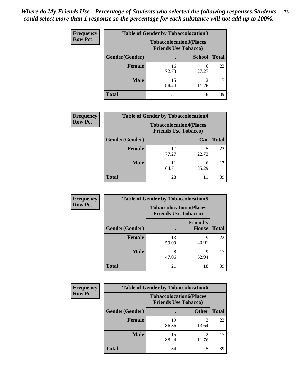| <b>Frequency</b> | <b>Table of Gender by Tobaccolocation3</b> |                                                               |               |              |
|------------------|--------------------------------------------|---------------------------------------------------------------|---------------|--------------|
| <b>Row Pct</b>   |                                            | <b>Tobaccolocation3(Places</b><br><b>Friends Use Tobacco)</b> |               |              |
|                  | Gender(Gender)                             |                                                               | <b>School</b> | <b>Total</b> |
|                  | Female                                     | 16<br>72.73                                                   | 6<br>27.27    | 22           |
|                  | <b>Male</b>                                | 15<br>88.24                                                   | 2<br>11.76    |              |
|                  | <b>Total</b>                               | 31                                                            | 8             | 39           |

| <b>Frequency</b> |                | <b>Table of Gender by Tobaccolocation4</b>                    |            |              |
|------------------|----------------|---------------------------------------------------------------|------------|--------------|
| <b>Row Pct</b>   |                | <b>Tobaccolocation4(Places</b><br><b>Friends Use Tobacco)</b> |            |              |
|                  | Gender(Gender) |                                                               | Car        | <b>Total</b> |
|                  | Female         | 77.27                                                         | 22.73      | 22           |
|                  | <b>Male</b>    | 64.71                                                         | 6<br>35.29 |              |
|                  | <b>Total</b>   | 28                                                            | 11         | 39           |

| <b>Frequency</b> | <b>Table of Gender by Tobaccolocation5</b> |                                                               |                                 |              |
|------------------|--------------------------------------------|---------------------------------------------------------------|---------------------------------|--------------|
| <b>Row Pct</b>   |                                            | <b>Tobaccolocation5(Places</b><br><b>Friends Use Tobacco)</b> |                                 |              |
|                  | Gender(Gender)                             |                                                               | <b>Friend's</b><br><b>House</b> | <b>Total</b> |
|                  | <b>Female</b>                              | 13<br>59.09                                                   | 9<br>40.91                      | 22           |
|                  | <b>Male</b>                                | 8<br>47.06                                                    | q<br>52.94                      | 17           |
|                  | <b>Total</b>                               | 21                                                            | 18                              | 39           |

| <b>Frequency</b> | <b>Table of Gender by Tobaccolocation6</b> |                                                               |              |              |  |
|------------------|--------------------------------------------|---------------------------------------------------------------|--------------|--------------|--|
| <b>Row Pct</b>   |                                            | <b>Tobaccolocation6(Places</b><br><b>Friends Use Tobacco)</b> |              |              |  |
|                  | Gender(Gender)                             |                                                               | <b>Other</b> | <b>Total</b> |  |
|                  | Female                                     | 19<br>86.36                                                   | 13.64        | 22           |  |
|                  | <b>Male</b>                                | 15<br>88.24                                                   | 11.76        | 17           |  |
|                  | <b>Total</b>                               | 34                                                            |              | 39           |  |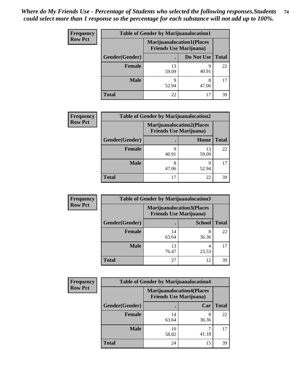| <b>Frequency</b> | <b>Table of Gender by Marijuanalocation1</b> |                                                                    |            |              |
|------------------|----------------------------------------------|--------------------------------------------------------------------|------------|--------------|
| <b>Row Pct</b>   |                                              | <b>Marijuanalocation1(Places</b><br><b>Friends Use Marijuana</b> ) |            |              |
|                  | Gender(Gender)                               |                                                                    | Do Not Use | <b>Total</b> |
|                  | <b>Female</b>                                | 13<br>59.09                                                        | Q<br>40.91 | 22           |
|                  | <b>Male</b>                                  | Q<br>52.94                                                         | 8<br>47.06 | 17           |
|                  | <b>Total</b>                                 | 22                                                                 | 17         | 39           |

| <b>Frequency</b> | <b>Table of Gender by Marijuanalocation2</b> |                                                                    |             |              |  |
|------------------|----------------------------------------------|--------------------------------------------------------------------|-------------|--------------|--|
| <b>Row Pct</b>   |                                              | <b>Marijuanalocation2(Places</b><br><b>Friends Use Marijuana</b> ) |             |              |  |
|                  | Gender(Gender)                               |                                                                    | Home        | <b>Total</b> |  |
|                  | Female                                       | 40.91                                                              | 13<br>59.09 | 22           |  |
|                  | <b>Male</b>                                  | 47.06                                                              | 9<br>52.94  |              |  |
|                  | <b>Total</b>                                 | 17                                                                 | 22          | 39           |  |

| Frequency      | <b>Table of Gender by Marijuanalocation3</b> |                                                                    |               |              |
|----------------|----------------------------------------------|--------------------------------------------------------------------|---------------|--------------|
| <b>Row Pct</b> |                                              | <b>Marijuanalocation3(Places</b><br><b>Friends Use Marijuana</b> ) |               |              |
|                | Gender(Gender)                               |                                                                    | <b>School</b> | <b>Total</b> |
|                | Female                                       | 14<br>63.64                                                        | 8<br>36.36    | 22           |
|                | <b>Male</b>                                  | 13<br>76.47                                                        | 4<br>23.53    | 17           |
|                | <b>Total</b>                                 | 27                                                                 | 12            | 39           |

| <b>Frequency</b> | <b>Table of Gender by Marijuanalocation4</b> |                                                                    |       |              |
|------------------|----------------------------------------------|--------------------------------------------------------------------|-------|--------------|
| <b>Row Pct</b>   |                                              | <b>Marijuanalocation4(Places</b><br><b>Friends Use Marijuana</b> ) |       |              |
|                  | Gender(Gender)                               |                                                                    | Car   | <b>Total</b> |
|                  | Female                                       | 14<br>63.64                                                        | 36.36 | 22           |
|                  | <b>Male</b>                                  | 10<br>58.82                                                        | 41.18 | 17           |
|                  | <b>Total</b>                                 | 24                                                                 | 15    | 39           |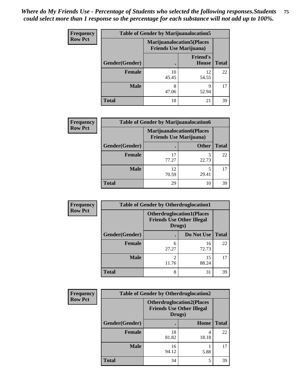| <b>Frequency</b> | <b>Table of Gender by Marijuanalocation5</b> |                                |                                   |              |
|------------------|----------------------------------------------|--------------------------------|-----------------------------------|--------------|
| <b>Row Pct</b>   |                                              | <b>Friends Use Marijuana</b> ) | <b>Marijuanalocation5</b> (Places |              |
|                  | Gender(Gender)                               |                                | <b>Friend's</b><br>House          | <b>Total</b> |
|                  | <b>Female</b>                                | 10<br>45.45                    | 12<br>54.55                       | 22           |
|                  | <b>Male</b>                                  | 8<br>47.06                     | 9<br>52.94                        | 17           |
|                  | <b>Total</b>                                 | 18                             | 21                                | 39           |

| <b>Frequency</b> |                | <b>Table of Gender by Marijuanalocation6</b> |                                  |              |
|------------------|----------------|----------------------------------------------|----------------------------------|--------------|
| <b>Row Pct</b>   |                | <b>Friends Use Marijuana</b> )               | <b>Marijuanalocation6(Places</b> |              |
|                  | Gender(Gender) |                                              | <b>Other</b>                     | <b>Total</b> |
|                  | <b>Female</b>  | 17<br>77.27                                  | 22.73                            | 22           |
|                  | <b>Male</b>    | 12<br>70.59                                  | 5<br>29.41                       | 17           |
|                  | <b>Total</b>   | 29                                           | 10                               | 39           |

| <b>Frequency</b> | <b>Table of Gender by Otherdruglocation1</b> |                                                                                |             |              |
|------------------|----------------------------------------------|--------------------------------------------------------------------------------|-------------|--------------|
| <b>Row Pct</b>   |                                              | <b>Otherdruglocation1(Places</b><br><b>Friends Use Other Illegal</b><br>Drugs) |             |              |
|                  | Gender(Gender)                               |                                                                                | Do Not Use  | <b>Total</b> |
|                  | Female                                       | 6<br>27.27                                                                     | 16<br>72.73 | 22           |
|                  | <b>Male</b>                                  | っ<br>11.76                                                                     | 15<br>88.24 | 17           |
|                  | <b>Total</b>                                 | 8                                                                              | 31          | 39           |

| Frequency      | <b>Table of Gender by Otherdruglocation2</b> |                                                                                |       |              |
|----------------|----------------------------------------------|--------------------------------------------------------------------------------|-------|--------------|
| <b>Row Pct</b> |                                              | <b>Otherdruglocation2(Places</b><br><b>Friends Use Other Illegal</b><br>Drugs) |       |              |
|                | Gender(Gender)                               |                                                                                | Home  | <b>Total</b> |
|                | <b>Female</b>                                | 18<br>81.82                                                                    | 18.18 | 22           |
|                | <b>Male</b>                                  | 16<br>94.12                                                                    | 5.88  | 17           |
|                | <b>Total</b>                                 | 34                                                                             | 5     | 39           |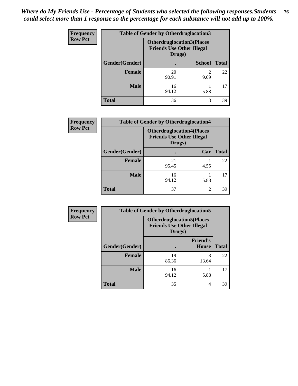| <b>Frequency</b> | <b>Table of Gender by Otherdruglocation3</b> |                                                                                |               |              |
|------------------|----------------------------------------------|--------------------------------------------------------------------------------|---------------|--------------|
| <b>Row Pct</b>   |                                              | <b>Otherdruglocation3(Places</b><br><b>Friends Use Other Illegal</b><br>Drugs) |               |              |
|                  | Gender(Gender)                               |                                                                                | <b>School</b> | <b>Total</b> |
|                  | <b>Female</b>                                | 20<br>90.91                                                                    | ി<br>9.09     | 22           |
|                  | <b>Male</b>                                  | 16<br>94.12                                                                    | 5.88          | 17           |
|                  | <b>Total</b>                                 | 36                                                                             | 3             | 39           |

| Frequency      | <b>Table of Gender by Otherdruglocation4</b> |                                            |                                  |              |
|----------------|----------------------------------------------|--------------------------------------------|----------------------------------|--------------|
| <b>Row Pct</b> |                                              | <b>Friends Use Other Illegal</b><br>Drugs) | <b>Otherdruglocation4(Places</b> |              |
|                | Gender(Gender)                               |                                            | Car                              | <b>Total</b> |
|                | Female                                       | 21<br>95.45                                | 4.55                             | 22           |
|                | <b>Male</b>                                  | 16<br>94.12                                | 5.88                             | 17           |
|                | <b>Total</b>                                 | 37                                         | 2                                | 39           |

| Frequency      | <b>Table of Gender by Otherdruglocation5</b> |             |                                                                      |              |
|----------------|----------------------------------------------|-------------|----------------------------------------------------------------------|--------------|
| <b>Row Pct</b> |                                              | Drugs)      | <b>Otherdruglocation5(Places</b><br><b>Friends Use Other Illegal</b> |              |
|                | Gender(Gender)                               |             | <b>Friend's</b><br><b>House</b>                                      | <b>Total</b> |
|                | <b>Female</b>                                | 19<br>86.36 | 3<br>13.64                                                           | 22           |
|                | <b>Male</b>                                  | 16<br>94.12 | 5.88                                                                 | 17           |
|                | <b>Total</b>                                 | 35          | 4                                                                    | 39           |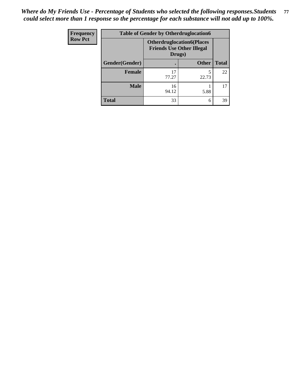| <b>Frequency</b> | <b>Table of Gender by Otherdruglocation6</b> |                                                                                |              |              |
|------------------|----------------------------------------------|--------------------------------------------------------------------------------|--------------|--------------|
| <b>Row Pct</b>   |                                              | <b>Otherdruglocation6(Places</b><br><b>Friends Use Other Illegal</b><br>Drugs) |              |              |
|                  | Gender(Gender)                               |                                                                                | <b>Other</b> | <b>Total</b> |
|                  | <b>Female</b>                                | 17<br>77.27                                                                    | 22.73        | 22           |
|                  | <b>Male</b>                                  | 16<br>94.12                                                                    | 5.88         | 17           |
|                  | <b>Total</b>                                 | 33                                                                             | 6            | 39           |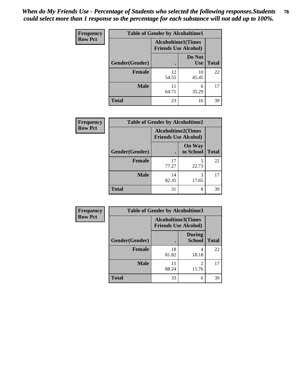| Frequency      | <b>Table of Gender by Alcoholtime1</b> |                                                          |                      |              |
|----------------|----------------------------------------|----------------------------------------------------------|----------------------|--------------|
| <b>Row Pct</b> |                                        | <b>Alcoholtime1(Times</b><br><b>Friends Use Alcohol)</b> |                      |              |
|                | Gender(Gender)                         | $\bullet$                                                | Do Not<br><b>Use</b> | <b>Total</b> |
|                | <b>Female</b>                          | 12<br>54.55                                              | 10<br>45.45          | 22           |
|                | <b>Male</b>                            | 11<br>64.71                                              | 6<br>35.29           | 17           |
|                | <b>Total</b>                           | 23                                                       | 16                   | 39           |

| <b>Frequency</b> | <b>Table of Gender by Alcoholtime2</b> |                                                          |                            |              |
|------------------|----------------------------------------|----------------------------------------------------------|----------------------------|--------------|
| <b>Row Pct</b>   |                                        | <b>Alcoholtime2(Times</b><br><b>Friends Use Alcohol)</b> |                            |              |
|                  | Gender(Gender)                         |                                                          | <b>On Way</b><br>to School | <b>Total</b> |
|                  | <b>Female</b>                          | 17<br>77.27                                              | 5<br>22.73                 | 22           |
|                  | <b>Male</b>                            | 14<br>82.35                                              | 3<br>17.65                 | 17           |
|                  | <b>Total</b>                           | 31                                                       | 8                          | 39           |

| Frequency      | <b>Table of Gender by Alcoholtime3</b> |                                                          |                                   |              |
|----------------|----------------------------------------|----------------------------------------------------------|-----------------------------------|--------------|
| <b>Row Pct</b> |                                        | <b>Alcoholtime3(Times</b><br><b>Friends Use Alcohol)</b> |                                   |              |
|                | Gender(Gender)                         |                                                          | <b>During</b><br>School           | <b>Total</b> |
|                | <b>Female</b>                          | 18<br>81.82                                              | 4<br>18.18                        | 22           |
|                | <b>Male</b>                            | 15<br>88.24                                              | $\overline{\mathcal{L}}$<br>11.76 | 17           |
|                | <b>Total</b>                           | 33                                                       | 6                                 | 39           |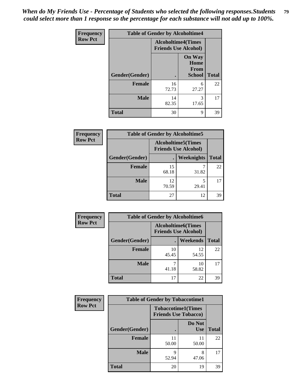*When do My Friends Use - Percentage of Students who selected the following responses.Students could select more than 1 response so the percentage for each substance will not add up to 100%.* **79**

| <b>Frequency</b> | <b>Table of Gender by Alcoholtime4</b> |                                                          |                                                |              |
|------------------|----------------------------------------|----------------------------------------------------------|------------------------------------------------|--------------|
| <b>Row Pct</b>   |                                        | <b>Alcoholtime4(Times</b><br><b>Friends Use Alcohol)</b> |                                                |              |
|                  | Gender(Gender)                         | $\bullet$                                                | <b>On Way</b><br>Home<br>From<br><b>School</b> | <b>Total</b> |
|                  | <b>Female</b>                          | 16<br>72.73                                              | 6<br>27.27                                     | 22           |
|                  | <b>Male</b>                            | 14<br>82.35                                              | 3<br>17.65                                     | 17           |
|                  | <b>Total</b>                           | 30                                                       | 9                                              | 39           |

| <b>Frequency</b> | <b>Table of Gender by Alcoholtime5</b> |                                                           |                   |              |  |
|------------------|----------------------------------------|-----------------------------------------------------------|-------------------|--------------|--|
| <b>Row Pct</b>   |                                        | <b>Alcoholtime5</b> (Times<br><b>Friends Use Alcohol)</b> |                   |              |  |
|                  | Gender(Gender)                         |                                                           | <b>Weeknights</b> | <b>Total</b> |  |
|                  | <b>Female</b>                          | 15<br>68.18                                               | 31.82             | 22           |  |
|                  | <b>Male</b>                            | 12<br>70.59                                               | 5<br>29.41        | 17           |  |
|                  | <b>Total</b>                           | 27                                                        | 12                | 39           |  |

| <b>Frequency</b> | <b>Table of Gender by Alcoholtime6</b> |                                                          |             |              |  |
|------------------|----------------------------------------|----------------------------------------------------------|-------------|--------------|--|
| <b>Row Pct</b>   |                                        | <b>Alcoholtime6(Times</b><br><b>Friends Use Alcohol)</b> |             |              |  |
|                  | Gender(Gender)                         |                                                          | Weekends    | <b>Total</b> |  |
|                  | Female                                 | 10<br>45.45                                              | 12<br>54.55 | 22           |  |
|                  | <b>Male</b>                            | 41.18                                                    | 10<br>58.82 | 17           |  |
|                  | <b>Total</b>                           | 17                                                       | 22          | 39           |  |

| Frequency      | <b>Table of Gender by Tobaccotime1</b> |                                                          |                      |              |
|----------------|----------------------------------------|----------------------------------------------------------|----------------------|--------------|
| <b>Row Pct</b> |                                        | <b>Tobaccotime1(Times</b><br><b>Friends Use Tobacco)</b> |                      |              |
|                | Gender(Gender)                         |                                                          | Do Not<br><b>Use</b> | <b>Total</b> |
|                | <b>Female</b>                          | 11<br>50.00                                              | 11<br>50.00          | 22           |
|                | <b>Male</b>                            | 9<br>52.94                                               | 8<br>47.06           | 17           |
|                | <b>Total</b>                           | 20                                                       | 19                   | 39           |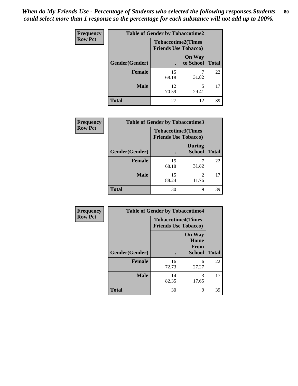| <b>Frequency</b> |                | <b>Table of Gender by Tobaccotime2</b>                   |                            |              |
|------------------|----------------|----------------------------------------------------------|----------------------------|--------------|
| <b>Row Pct</b>   |                | <b>Tobaccotime2(Times</b><br><b>Friends Use Tobacco)</b> |                            |              |
|                  | Gender(Gender) |                                                          | <b>On Way</b><br>to School | <b>Total</b> |
|                  | <b>Female</b>  | 15<br>68.18                                              | 31.82                      | 22           |
|                  | <b>Male</b>    | 12<br>70.59                                              | 5<br>29.41                 | 17           |
|                  | <b>Total</b>   | 27                                                       | 12                         | 39           |

| Frequency      | <b>Table of Gender by Tobaccotime3</b> |                                                          |                                |              |
|----------------|----------------------------------------|----------------------------------------------------------|--------------------------------|--------------|
| <b>Row Pct</b> |                                        | <b>Tobaccotime3(Times</b><br><b>Friends Use Tobacco)</b> |                                |              |
|                | Gender(Gender)                         |                                                          | <b>During</b><br><b>School</b> | <b>Total</b> |
|                | <b>Female</b>                          | 15<br>68.18                                              | 31.82                          | 22           |
|                | <b>Male</b>                            | 15<br>88.24                                              | 11.76                          | 17           |
|                | <b>Total</b>                           | 30                                                       | 9                              | 39           |

| <b>Frequency</b> | <b>Table of Gender by Tobaccotime4</b> |                                                          |                                                       |              |
|------------------|----------------------------------------|----------------------------------------------------------|-------------------------------------------------------|--------------|
| <b>Row Pct</b>   |                                        | <b>Tobaccotime4(Times</b><br><b>Friends Use Tobacco)</b> |                                                       |              |
|                  | Gender(Gender)                         |                                                          | <b>On Way</b><br>Home<br><b>From</b><br><b>School</b> | <b>Total</b> |
|                  | <b>Female</b>                          | 16<br>72.73                                              | 6<br>27.27                                            | 22           |
|                  | <b>Male</b>                            | 14<br>82.35                                              | 3<br>17.65                                            | 17           |
|                  | <b>Total</b>                           | 30                                                       | 9                                                     | 39           |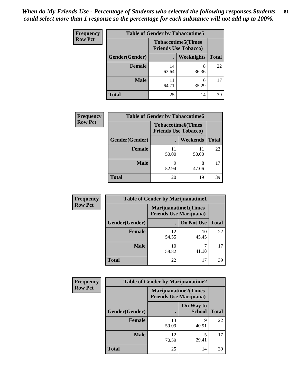| <b>Frequency</b> | <b>Table of Gender by Tobaccotime5</b> |                                                           |            |              |  |
|------------------|----------------------------------------|-----------------------------------------------------------|------------|--------------|--|
| <b>Row Pct</b>   |                                        | <b>Tobaccotime5</b> (Times<br><b>Friends Use Tobacco)</b> |            |              |  |
|                  | <b>Gender</b> (Gender)                 |                                                           | Weeknights | <b>Total</b> |  |
|                  | <b>Female</b>                          | 14<br>63.64                                               | 8<br>36.36 | 22           |  |
|                  | <b>Male</b>                            | 64.71                                                     | 6<br>35.29 | 17           |  |
|                  | Total                                  | 25                                                        | 14         | 39           |  |

| Frequency      |                | <b>Table of Gender by Tobaccotime6</b>                   |             |              |
|----------------|----------------|----------------------------------------------------------|-------------|--------------|
| <b>Row Pct</b> |                | <b>Tobaccotime6(Times</b><br><b>Friends Use Tobacco)</b> |             |              |
|                | Gender(Gender) |                                                          | Weekends    | <b>Total</b> |
|                | Female         | 11<br>50.00                                              | 11<br>50.00 | 22           |
|                | <b>Male</b>    | 9<br>52.94                                               | 8<br>47.06  | 17           |
|                | <b>Total</b>   | 20                                                       | 19          | 39           |

| Frequency      | <b>Table of Gender by Marijuanatime1</b> |                                |                             |              |
|----------------|------------------------------------------|--------------------------------|-----------------------------|--------------|
| <b>Row Pct</b> |                                          | <b>Friends Use Marijuana</b> ) | <b>Marijuanatime1(Times</b> |              |
|                | Gender(Gender)                           |                                | Do Not Use                  | <b>Total</b> |
|                | <b>Female</b>                            | 12<br>54.55                    | 10<br>45.45                 | 22           |
|                | <b>Male</b>                              | 10<br>58.82                    | 41.18                       | 17           |
|                | <b>Total</b>                             | 22                             | 17                          | 39           |

| <b>Frequency</b> | <b>Table of Gender by Marijuanatime2</b>                      |             |                            |              |
|------------------|---------------------------------------------------------------|-------------|----------------------------|--------------|
| <b>Row Pct</b>   | <b>Marijuanatime2(Times</b><br><b>Friends Use Marijuana</b> ) |             |                            |              |
|                  | Gender(Gender)                                                |             | On Way to<br><b>School</b> | <b>Total</b> |
|                  | <b>Female</b>                                                 | 13<br>59.09 | 9<br>40.91                 | 22           |
|                  | <b>Male</b>                                                   | 12<br>70.59 | 5<br>29.41                 | 17           |
|                  | <b>Total</b>                                                  | 25          | 14                         | 39           |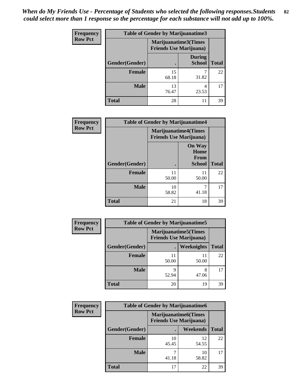| Frequency      | <b>Table of Gender by Marijuanatime3</b> |                                                        |                                |              |
|----------------|------------------------------------------|--------------------------------------------------------|--------------------------------|--------------|
| <b>Row Pct</b> |                                          | Marijuanatime3(Times<br><b>Friends Use Marijuana</b> ) |                                |              |
|                | Gender(Gender)                           |                                                        | <b>During</b><br><b>School</b> | <b>Total</b> |
|                | <b>Female</b>                            | 15<br>68.18                                            | 31.82                          | 22           |
|                | <b>Male</b>                              | 13<br>76.47                                            | 4<br>23.53                     | 17           |
|                | <b>Total</b>                             | 28                                                     | 11                             | 39           |

| Frequency      | <b>Table of Gender by Marijuanatime4</b> |                                                               |                                                |              |
|----------------|------------------------------------------|---------------------------------------------------------------|------------------------------------------------|--------------|
| <b>Row Pct</b> |                                          | <b>Marijuanatime4(Times</b><br><b>Friends Use Marijuana</b> ) |                                                |              |
|                | Gender(Gender)                           |                                                               | <b>On Way</b><br>Home<br>From<br><b>School</b> | <b>Total</b> |
|                | <b>Female</b>                            | 11<br>50.00                                                   | 11<br>50.00                                    | 22           |
|                | <b>Male</b>                              | 10<br>58.82                                                   | 7<br>41.18                                     | 17           |
|                | <b>Total</b>                             | 21                                                            | 18                                             | 39           |

| Frequency      |                | <b>Table of Gender by Marijuanatime5</b> |                                                                |              |
|----------------|----------------|------------------------------------------|----------------------------------------------------------------|--------------|
| <b>Row Pct</b> |                |                                          | <b>Marijuanatime5</b> (Times<br><b>Friends Use Marijuana</b> ) |              |
|                | Gender(Gender) |                                          | Weeknights                                                     | <b>Total</b> |
|                | <b>Female</b>  | 11<br>50.00                              | 11<br>50.00                                                    | 22           |
|                | <b>Male</b>    | Q<br>52.94                               | 8<br>47.06                                                     | 17           |
|                | <b>Total</b>   | 20                                       | 19                                                             | 39           |

| Frequency      |                | <b>Table of Gender by Marijuanatime6</b>                       |             |              |
|----------------|----------------|----------------------------------------------------------------|-------------|--------------|
| <b>Row Pct</b> |                | <b>Marijuanatime6</b> (Times<br><b>Friends Use Marijuana</b> ) |             |              |
|                | Gender(Gender) |                                                                | Weekends    | <b>Total</b> |
|                | Female         | 10<br>45.45                                                    | 12<br>54.55 | 22           |
|                | <b>Male</b>    | 41.18                                                          | 10<br>58.82 | 17           |
|                | <b>Total</b>   | 17                                                             | 22          | 39           |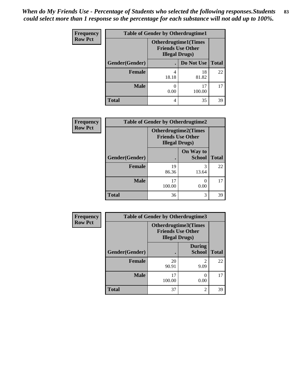| <b>Frequency</b> | <b>Table of Gender by Otherdrugtime1</b> |                                                                                  |              |              |
|------------------|------------------------------------------|----------------------------------------------------------------------------------|--------------|--------------|
| <b>Row Pct</b>   |                                          | <b>Otherdrugtime1(Times</b><br><b>Friends Use Other</b><br><b>Illegal Drugs)</b> |              |              |
|                  | Gender(Gender)                           |                                                                                  | Do Not Use   | <b>Total</b> |
|                  | <b>Female</b>                            | 4<br>18.18                                                                       | 18<br>81.82  | 22           |
|                  | <b>Male</b>                              | 0.00                                                                             | 17<br>100.00 | 17           |
|                  | Total                                    | 4                                                                                | 35           | 39           |

| Frequency      | <b>Table of Gender by Otherdrugtime2</b> |                                                    |                             |              |
|----------------|------------------------------------------|----------------------------------------------------|-----------------------------|--------------|
| <b>Row Pct</b> |                                          | <b>Friends Use Other</b><br><b>Illegal Drugs</b> ) | <b>Otherdrugtime2(Times</b> |              |
|                | Gender(Gender)                           |                                                    | On Way to<br><b>School</b>  | <b>Total</b> |
|                | <b>Female</b>                            | 19<br>86.36                                        | 3<br>13.64                  | 22           |
|                | <b>Male</b>                              | 17<br>100.00                                       | 0.00                        | 17           |
|                | <b>Total</b>                             | 36                                                 | 3                           | 39           |

| <b>Frequency</b> | <b>Table of Gender by Otherdrugtime3</b> |                                                    |                                |              |
|------------------|------------------------------------------|----------------------------------------------------|--------------------------------|--------------|
| <b>Row Pct</b>   |                                          | <b>Friends Use Other</b><br><b>Illegal Drugs</b> ) | Otherdrugtime3(Times           |              |
|                  | Gender(Gender)                           |                                                    | <b>During</b><br><b>School</b> | <b>Total</b> |
|                  | <b>Female</b>                            | 20<br>90.91                                        | $\mathfrak{D}$<br>9.09         | 22           |
|                  | <b>Male</b>                              | 17<br>100.00                                       | $\left( \right)$<br>0.00       | 17           |
|                  | <b>Total</b>                             | 37                                                 | $\overline{c}$                 | 39           |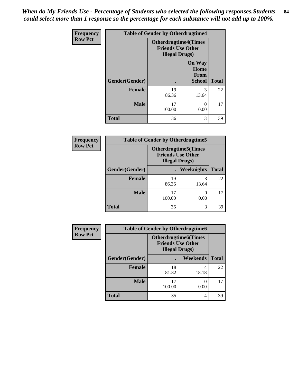*When do My Friends Use - Percentage of Students who selected the following responses.Students could select more than 1 response so the percentage for each substance will not add up to 100%.* **84**

| <b>Frequency</b> | <b>Table of Gender by Otherdrugtime4</b> |                                                                                   |                                                |              |
|------------------|------------------------------------------|-----------------------------------------------------------------------------------|------------------------------------------------|--------------|
| <b>Row Pct</b>   |                                          | <b>Otherdrugtime4(Times</b><br><b>Friends Use Other</b><br><b>Illegal Drugs</b> ) |                                                |              |
|                  | Gender(Gender)                           |                                                                                   | <b>On Way</b><br>Home<br>From<br><b>School</b> | <b>Total</b> |
|                  | <b>Female</b>                            | 19<br>86.36                                                                       | 3<br>13.64                                     | 22           |
|                  | <b>Male</b>                              | 17<br>100.00                                                                      | 0.00                                           | 17           |
|                  | <b>Total</b>                             | 36                                                                                | 3                                              | 39           |

| <b>Frequency</b> | <b>Table of Gender by Otherdrugtime5</b> |              |                                                                                    |              |
|------------------|------------------------------------------|--------------|------------------------------------------------------------------------------------|--------------|
| <b>Row Pct</b>   |                                          |              | <b>Otherdrugtime5</b> (Times<br><b>Friends Use Other</b><br><b>Illegal Drugs</b> ) |              |
|                  | Gender(Gender)                           |              | Weeknights                                                                         | <b>Total</b> |
|                  | <b>Female</b>                            | 19<br>86.36  | 13.64                                                                              | 22           |
|                  | <b>Male</b>                              | 17<br>100.00 | 0.00                                                                               | 17           |
|                  | <b>Total</b>                             | 36           | 3                                                                                  | 39           |

| <b>Frequency</b> | <b>Table of Gender by Otherdrugtime6</b> |                                                                                   |            |              |
|------------------|------------------------------------------|-----------------------------------------------------------------------------------|------------|--------------|
| <b>Row Pct</b>   |                                          | <b>Otherdrugtime6(Times</b><br><b>Friends Use Other</b><br><b>Illegal Drugs</b> ) |            |              |
|                  | Gender(Gender)                           |                                                                                   | Weekends   | <b>Total</b> |
|                  | <b>Female</b>                            | 18<br>81.82                                                                       | 4<br>18.18 | 22           |
|                  | <b>Male</b>                              | 17<br>100.00                                                                      | 0<br>0.00  | 17           |
|                  | <b>Total</b>                             | 35                                                                                | 4          | 39           |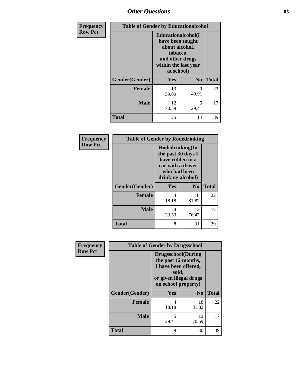## *Other Questions* **85**

| Frequency      |                | <b>Table of Gender by Educationalcohol</b>                                                                                            |                |              |  |
|----------------|----------------|---------------------------------------------------------------------------------------------------------------------------------------|----------------|--------------|--|
| <b>Row Pct</b> |                | <b>Educationalcohol</b> (I<br>have been taught<br>about alcohol,<br>tobacco,<br>and other drugs<br>within the last year<br>at school) |                |              |  |
|                | Gender(Gender) | Yes                                                                                                                                   | N <sub>0</sub> | <b>Total</b> |  |
|                | <b>Female</b>  | 13<br>59.09                                                                                                                           | 9<br>40.91     | 22           |  |
|                | <b>Male</b>    | 12<br>70.59                                                                                                                           | 5<br>29.41     | 17           |  |
|                | <b>Total</b>   | 25                                                                                                                                    | 14             | 39           |  |

| Frequency      | <b>Table of Gender by Rodedrinking</b> |                                                                                                                     |                |              |
|----------------|----------------------------------------|---------------------------------------------------------------------------------------------------------------------|----------------|--------------|
| <b>Row Pct</b> |                                        | Rodedrinking(In<br>the past 30 days I<br>have ridden in a<br>car with a driver<br>who had been<br>drinking alcohol) |                |              |
|                | Gender(Gender)                         | Yes                                                                                                                 | N <sub>0</sub> | <b>Total</b> |
|                | <b>Female</b>                          | 4<br>18.18                                                                                                          | 18<br>81.82    | 22           |
|                | <b>Male</b>                            | 4<br>23.53                                                                                                          | 13<br>76.47    | 17           |
|                | <b>Total</b>                           | 8                                                                                                                   | 31             | 39           |

| Frequency      | <b>Table of Gender by Drugsschool</b> |                                                                                                                                     |                |              |
|----------------|---------------------------------------|-------------------------------------------------------------------------------------------------------------------------------------|----------------|--------------|
| <b>Row Pct</b> |                                       | <b>Drugsschool</b> (During<br>the past 12 months,<br>I have been offered,<br>sold,<br>or given illegal drugs<br>on school property) |                |              |
|                | Gender(Gender)                        | Yes                                                                                                                                 | N <sub>0</sub> | <b>Total</b> |
|                | <b>Female</b>                         | 4<br>18.18                                                                                                                          | 18<br>81.82    | 22           |
|                | <b>Male</b>                           | 5<br>29.41                                                                                                                          | 12<br>70.59    | 17           |
|                | <b>Total</b>                          | 9                                                                                                                                   | 30             | 39           |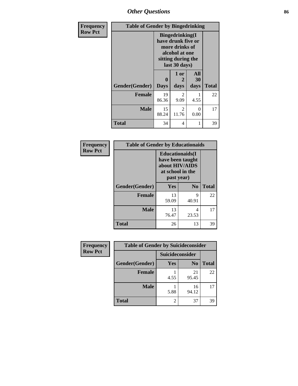# *Other Questions* **86**

| Frequency      | <b>Table of Gender by Bingedrinking</b> |                  |                                                                                                                          |                   |              |
|----------------|-----------------------------------------|------------------|--------------------------------------------------------------------------------------------------------------------------|-------------------|--------------|
| <b>Row Pct</b> |                                         |                  | <b>Bingedrinking</b> (I<br>have drunk five or<br>more drinks of<br>alcohol at one<br>sitting during the<br>last 30 days) |                   |              |
|                | Gender(Gender)                          | 0<br><b>Days</b> | 1 or<br>days                                                                                                             | All<br>30<br>days | <b>Total</b> |
|                | <b>Female</b>                           | 19<br>86.36      | $\mathfrak{D}$<br>9.09                                                                                                   | 4.55              | 22           |
|                | Male                                    | 15<br>88.24      | 2<br>11.76                                                                                                               | 0<br>0.00         | 17           |
|                | <b>Total</b>                            | 34               | 4                                                                                                                        |                   | 39           |

| Frequency      | <b>Table of Gender by Educationaids</b> |                                                                                                 |                |              |  |
|----------------|-----------------------------------------|-------------------------------------------------------------------------------------------------|----------------|--------------|--|
| <b>Row Pct</b> |                                         | <b>Educationaids</b> (I<br>have been taught<br>about HIV/AIDS<br>at school in the<br>past year) |                |              |  |
|                | Gender(Gender)                          | <b>Yes</b>                                                                                      | N <sub>0</sub> | <b>Total</b> |  |
|                | <b>Female</b>                           | 13<br>59.09                                                                                     | 9<br>40.91     | 22           |  |
|                | <b>Male</b>                             | 13<br>76.47                                                                                     | 4<br>23.53     | 17           |  |
|                | <b>Total</b>                            | 26                                                                                              | 13             | 39           |  |

| Frequency      | <b>Table of Gender by Suicideconsider</b> |                 |                |              |
|----------------|-------------------------------------------|-----------------|----------------|--------------|
| <b>Row Pct</b> |                                           | Suicideconsider |                |              |
|                | Gender(Gender)                            | Yes             | N <sub>0</sub> | <b>Total</b> |
|                | <b>Female</b>                             | 4.55            | 21<br>95.45    | 22           |
|                | <b>Male</b>                               | 5.88            | 16<br>94.12    | 17           |
|                | <b>Total</b>                              |                 | 37             | 39           |